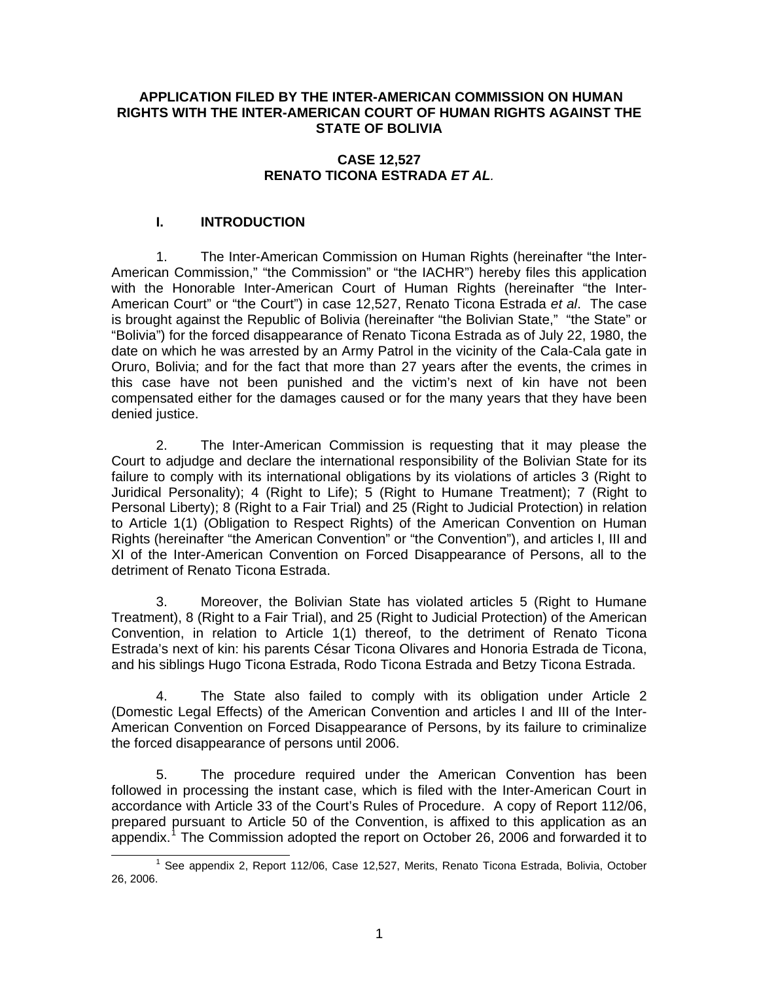#### **APPLICATION FILED BY THE INTER-AMERICAN COMMISSION ON HUMAN RIGHTS WITH THE INTER-AMERICAN COURT OF HUMAN RIGHTS AGAINST THE STATE OF BOLIVIA**

## **CASE 12,527 RENATO TICONA ESTRADA** *ET AL.*

# **I. INTRODUCTION**

1. The Inter-American Commission on Human Rights (hereinafter "the Inter-American Commission," "the Commission" or "the IACHR") hereby files this application with the Honorable Inter-American Court of Human Rights (hereinafter "the Inter-American Court" or "the Court") in case 12,527, Renato Ticona Estrada *et al*. The case is brought against the Republic of Bolivia (hereinafter "the Bolivian State," "the State" or "Bolivia") for the forced disappearance of Renato Ticona Estrada as of July 22, 1980, the date on which he was arrested by an Army Patrol in the vicinity of the Cala-Cala gate in Oruro, Bolivia; and for the fact that more than 27 years after the events, the crimes in this case have not been punished and the victim's next of kin have not been compensated either for the damages caused or for the many years that they have been denied justice.

2. The Inter-American Commission is requesting that it may please the Court to adjudge and declare the international responsibility of the Bolivian State for its failure to comply with its international obligations by its violations of articles 3 (Right to Juridical Personality); 4 (Right to Life); 5 (Right to Humane Treatment); 7 (Right to Personal Liberty); 8 (Right to a Fair Trial) and 25 (Right to Judicial Protection) in relation to Article 1(1) (Obligation to Respect Rights) of the American Convention on Human Rights (hereinafter "the American Convention" or "the Convention"), and articles I, III and XI of the Inter-American Convention on Forced Disappearance of Persons, all to the detriment of Renato Ticona Estrada.

3. Moreover, the Bolivian State has violated articles 5 (Right to Humane Treatment), 8 (Right to a Fair Trial), and 25 (Right to Judicial Protection) of the American Convention, in relation to Article 1(1) thereof, to the detriment of Renato Ticona Estrada's next of kin: his parents César Ticona Olivares and Honoria Estrada de Ticona, and his siblings Hugo Ticona Estrada, Rodo Ticona Estrada and Betzy Ticona Estrada.

4. The State also failed to comply with its obligation under Article 2 (Domestic Legal Effects) of the American Convention and articles I and III of the Inter-American Convention on Forced Disappearance of Persons, by its failure to criminalize the forced disappearance of persons until 2006.

5. The procedure required under the American Convention has been followed in processing the instant case, which is filed with the Inter-American Court in accordance with Article 33 of the Court's Rules of Procedure. A copy of Report 112/06, prepared pursuant to Article 50 of the Convention, is affixed to this application as an appendix.<sup>[1](#page-0-0)</sup> The Commission adopted the report on October 26, 2006 and forwarded it to

<span id="page-0-0"></span> $\overline{1}$ <sup>1</sup> See appendix 2, Report 112/06, Case 12,527, Merits, Renato Ticona Estrada, Bolivia, October 26, 2006.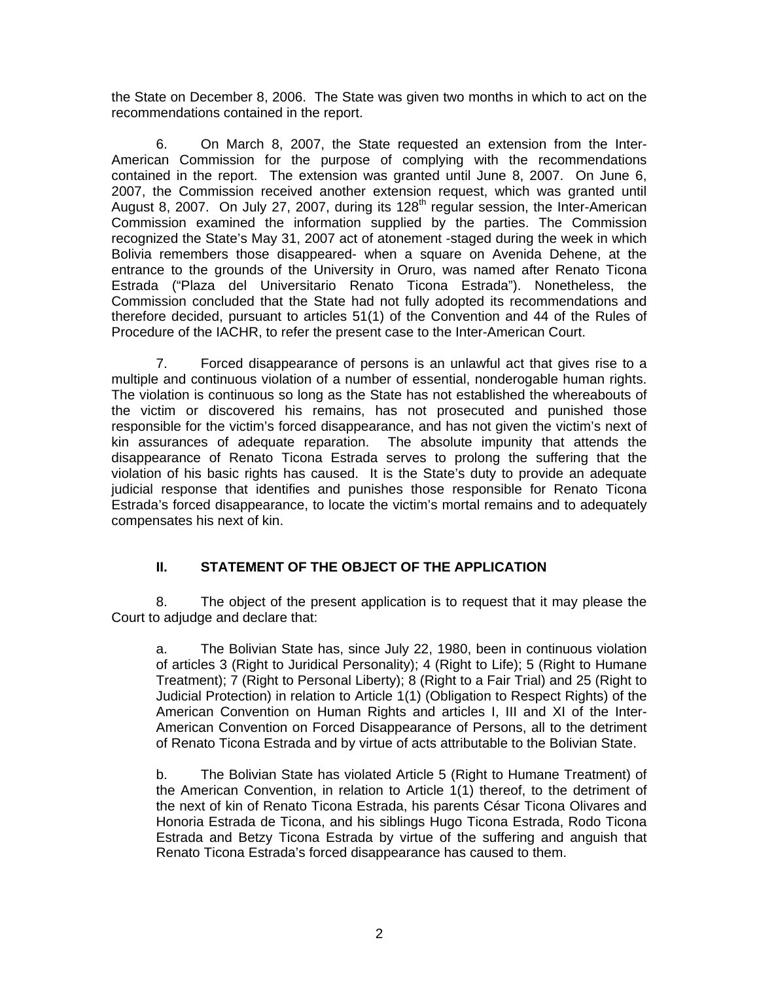the State on December 8, 2006. The State was given two months in which to act on the recommendations contained in the report.

6. On March 8, 2007, the State requested an extension from the Inter-American Commission for the purpose of complying with the recommendations contained in the report. The extension was granted until June 8, 2007. On June 6, 2007, the Commission received another extension request, which was granted until August 8, 2007. On July 27, 2007, during its 128<sup>th</sup> regular session, the Inter-American Commission examined the information supplied by the parties. The Commission recognized the State's May 31, 2007 act of atonement -staged during the week in which Bolivia remembers those disappeared- when a square on Avenida Dehene, at the entrance to the grounds of the University in Oruro, was named after Renato Ticona Estrada ("Plaza del Universitario Renato Ticona Estrada"). Nonetheless, the Commission concluded that the State had not fully adopted its recommendations and therefore decided, pursuant to articles 51(1) of the Convention and 44 of the Rules of Procedure of the IACHR, to refer the present case to the Inter-American Court.

7. Forced disappearance of persons is an unlawful act that gives rise to a multiple and continuous violation of a number of essential, nonderogable human rights. The violation is continuous so long as the State has not established the whereabouts of the victim or discovered his remains, has not prosecuted and punished those responsible for the victim's forced disappearance, and has not given the victim's next of kin assurances of adequate reparation. The absolute impunity that attends the disappearance of Renato Ticona Estrada serves to prolong the suffering that the violation of his basic rights has caused. It is the State's duty to provide an adequate judicial response that identifies and punishes those responsible for Renato Ticona Estrada's forced disappearance, to locate the victim's mortal remains and to adequately compensates his next of kin.

# **II. STATEMENT OF THE OBJECT OF THE APPLICATION**

8. The object of the present application is to request that it may please the Court to adjudge and declare that:

a. The Bolivian State has, since July 22, 1980, been in continuous violation of articles 3 (Right to Juridical Personality); 4 (Right to Life); 5 (Right to Humane Treatment); 7 (Right to Personal Liberty); 8 (Right to a Fair Trial) and 25 (Right to Judicial Protection) in relation to Article 1(1) (Obligation to Respect Rights) of the American Convention on Human Rights and articles I, III and XI of the Inter-American Convention on Forced Disappearance of Persons, all to the detriment of Renato Ticona Estrada and by virtue of acts attributable to the Bolivian State.

b. The Bolivian State has violated Article 5 (Right to Humane Treatment) of the American Convention, in relation to Article 1(1) thereof, to the detriment of the next of kin of Renato Ticona Estrada, his parents César Ticona Olivares and Honoria Estrada de Ticona, and his siblings Hugo Ticona Estrada, Rodo Ticona Estrada and Betzy Ticona Estrada by virtue of the suffering and anguish that Renato Ticona Estrada's forced disappearance has caused to them.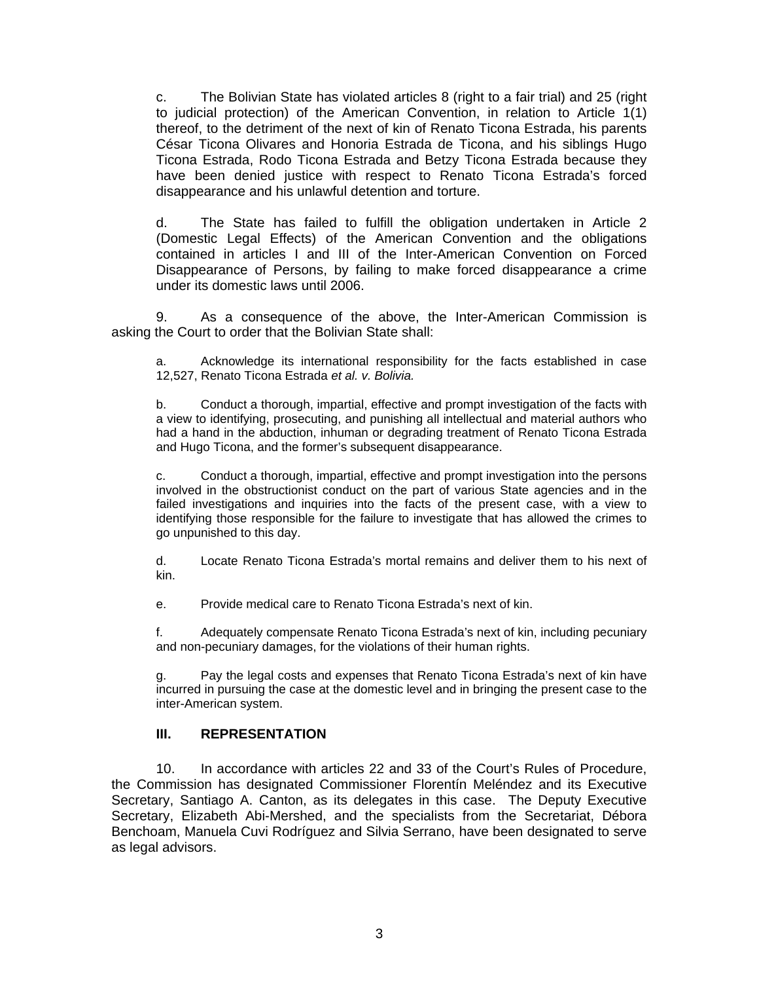c. The Bolivian State has violated articles 8 (right to a fair trial) and 25 (right to judicial protection) of the American Convention, in relation to Article 1(1) thereof, to the detriment of the next of kin of Renato Ticona Estrada, his parents César Ticona Olivares and Honoria Estrada de Ticona, and his siblings Hugo Ticona Estrada, Rodo Ticona Estrada and Betzy Ticona Estrada because they have been denied justice with respect to Renato Ticona Estrada's forced disappearance and his unlawful detention and torture.

d. The State has failed to fulfill the obligation undertaken in Article 2 (Domestic Legal Effects) of the American Convention and the obligations contained in articles I and III of the Inter-American Convention on Forced Disappearance of Persons, by failing to make forced disappearance a crime under its domestic laws until 2006.

9. As a consequence of the above, the Inter-American Commission is asking the Court to order that the Bolivian State shall:

a. Acknowledge its international responsibility for the facts established in case 12,527, Renato Ticona Estrada *et al. v. Bolivia.*

b. Conduct a thorough, impartial, effective and prompt investigation of the facts with a view to identifying, prosecuting, and punishing all intellectual and material authors who had a hand in the abduction, inhuman or degrading treatment of Renato Ticona Estrada and Hugo Ticona, and the former's subsequent disappearance.

c. Conduct a thorough, impartial, effective and prompt investigation into the persons involved in the obstructionist conduct on the part of various State agencies and in the failed investigations and inquiries into the facts of the present case, with a view to identifying those responsible for the failure to investigate that has allowed the crimes to go unpunished to this day.

d. Locate Renato Ticona Estrada's mortal remains and deliver them to his next of kin.

e. Provide medical care to Renato Ticona Estrada's next of kin.

f. Adequately compensate Renato Ticona Estrada's next of kin, including pecuniary and non-pecuniary damages, for the violations of their human rights.

g. Pay the legal costs and expenses that Renato Ticona Estrada's next of kin have incurred in pursuing the case at the domestic level and in bringing the present case to the inter-American system.

#### **III. REPRESENTATION**

10. In accordance with articles 22 and 33 of the Court's Rules of Procedure, the Commission has designated Commissioner Florentín Meléndez and its Executive Secretary, Santiago A. Canton, as its delegates in this case. The Deputy Executive Secretary, Elizabeth Abi-Mershed, and the specialists from the Secretariat, Débora Benchoam, Manuela Cuvi Rodríguez and Silvia Serrano, have been designated to serve as legal advisors.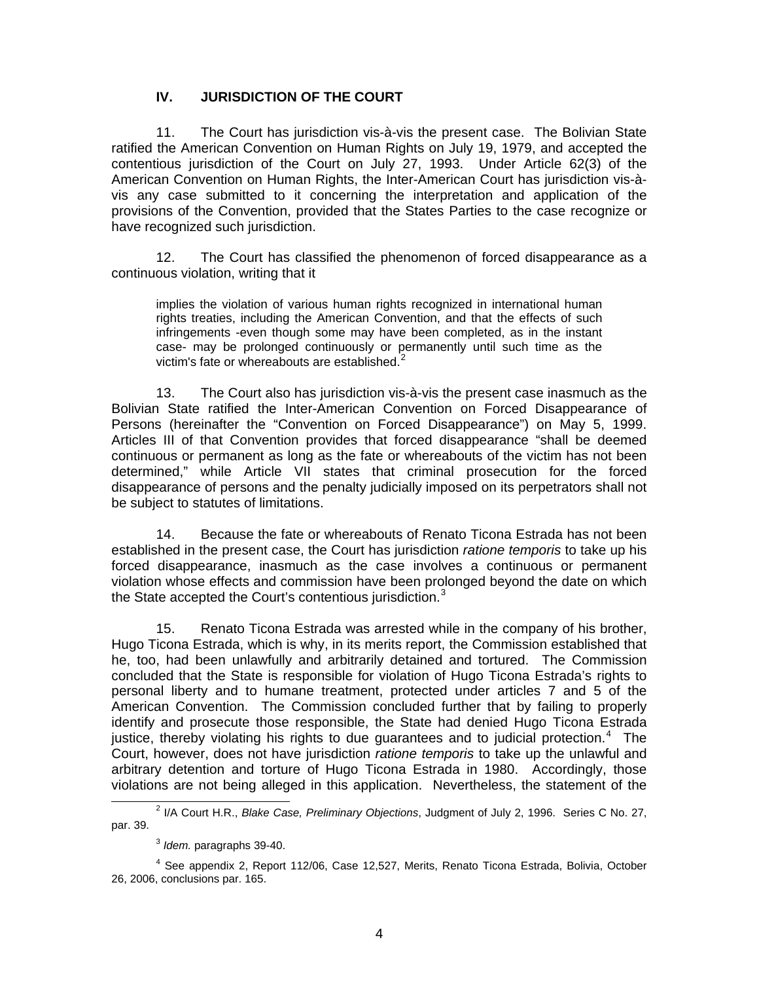### **IV. JURISDICTION OF THE COURT**

11. The Court has jurisdiction vis-à-vis the present case. The Bolivian State ratified the American Convention on Human Rights on July 19, 1979, and accepted the contentious jurisdiction of the Court on July 27, 1993. Under Article 62(3) of the American Convention on Human Rights, the Inter-American Court has jurisdiction vis-àvis any case submitted to it concerning the interpretation and application of the provisions of the Convention, provided that the States Parties to the case recognize or have recognized such jurisdiction.

12. The Court has classified the phenomenon of forced disappearance as a continuous violation, writing that it

implies the violation of various human rights recognized in international human rights treaties, including the American Convention, and that the effects of such infringements -even though some may have been completed, as in the instant case- may be prolonged continuously or permanently until such time as the victim's fate or whereabouts are established. $2^2$  $2^2$ 

13. The Court also has jurisdiction vis-à-vis the present case inasmuch as the Bolivian State ratified the Inter-American Convention on Forced Disappearance of Persons (hereinafter the "Convention on Forced Disappearance") on May 5, 1999. Articles III of that Convention provides that forced disappearance "shall be deemed continuous or permanent as long as the fate or whereabouts of the victim has not been determined," while Article VII states that criminal prosecution for the forced disappearance of persons and the penalty judicially imposed on its perpetrators shall not be subject to statutes of limitations.

14. Because the fate or whereabouts of Renato Ticona Estrada has not been established in the present case, the Court has jurisdiction *ratione temporis* to take up his forced disappearance, inasmuch as the case involves a continuous or permanent violation whose effects and commission have been prolonged beyond the date on which the State accepted the Court's contentious jurisdiction.<sup>[3](#page-3-1)</sup>

15. Renato Ticona Estrada was arrested while in the company of his brother, Hugo Ticona Estrada, which is why, in its merits report, the Commission established that he, too, had been unlawfully and arbitrarily detained and tortured. The Commission concluded that the State is responsible for violation of Hugo Ticona Estrada's rights to personal liberty and to humane treatment, protected under articles 7 and 5 of the American Convention. The Commission concluded further that by failing to properly identify and prosecute those responsible, the State had denied Hugo Ticona Estrada justice, thereby violating his rights to due guarantees and to judicial protection.<sup>[4](#page-3-2)</sup> The Court, however, does not have jurisdiction *ratione temporis* to take up the unlawful and arbitrary detention and torture of Hugo Ticona Estrada in 1980. Accordingly, those violations are not being alleged in this application. Nevertheless, the statement of the

<span id="page-3-0"></span> $\overline{\phantom{a}}$ <sup>2</sup> I/A Court H.R., *Blake Case, Preliminary Objections*, Judgment of July 2, 1996. Series C No. 27, par. 39.

<sup>3</sup> *Idem.* paragraphs 39-40.

<span id="page-3-2"></span><span id="page-3-1"></span><sup>&</sup>lt;sup>4</sup> See appendix 2, Report 112/06, Case 12,527, Merits, Renato Ticona Estrada, Bolivia, October 26, 2006, conclusions par. 165.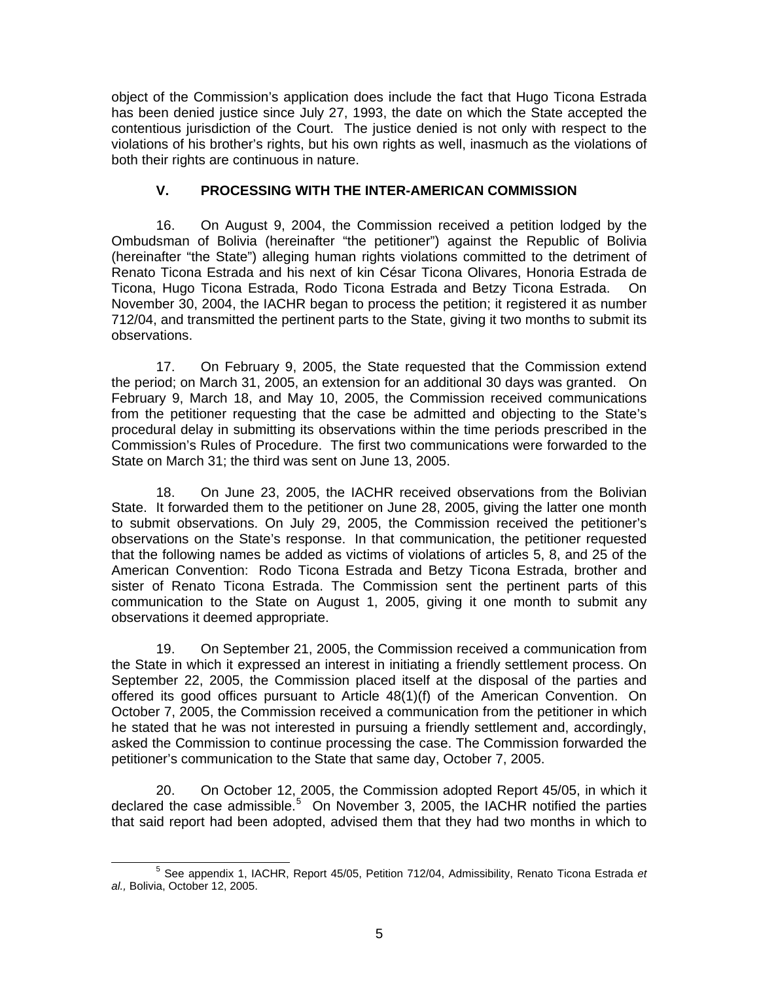object of the Commission's application does include the fact that Hugo Ticona Estrada has been denied justice since July 27, 1993, the date on which the State accepted the contentious jurisdiction of the Court. The justice denied is not only with respect to the violations of his brother's rights, but his own rights as well, inasmuch as the violations of both their rights are continuous in nature.

### **V. PROCESSING WITH THE INTER-AMERICAN COMMISSION**

16. On August 9, 2004, the Commission received a petition lodged by the Ombudsman of Bolivia (hereinafter "the petitioner") against the Republic of Bolivia (hereinafter "the State") alleging human rights violations committed to the detriment of Renato Ticona Estrada and his next of kin César Ticona Olivares, Honoria Estrada de Ticona, Hugo Ticona Estrada, Rodo Ticona Estrada and Betzy Ticona Estrada. On November 30, 2004, the IACHR began to process the petition; it registered it as number 712/04, and transmitted the pertinent parts to the State, giving it two months to submit its observations.

17. On February 9, 2005, the State requested that the Commission extend the period; on March 31, 2005, an extension for an additional 30 days was granted. On February 9, March 18, and May 10, 2005, the Commission received communications from the petitioner requesting that the case be admitted and objecting to the State's procedural delay in submitting its observations within the time periods prescribed in the Commission's Rules of Procedure. The first two communications were forwarded to the State on March 31; the third was sent on June 13, 2005.

18. On June 23, 2005, the IACHR received observations from the Bolivian State. It forwarded them to the petitioner on June 28, 2005, giving the latter one month to submit observations. On July 29, 2005, the Commission received the petitioner's observations on the State's response. In that communication, the petitioner requested that the following names be added as victims of violations of articles 5, 8, and 25 of the American Convention: Rodo Ticona Estrada and Betzy Ticona Estrada, brother and sister of Renato Ticona Estrada. The Commission sent the pertinent parts of this communication to the State on August 1, 2005, giving it one month to submit any observations it deemed appropriate.

19. On September 21, 2005, the Commission received a communication from the State in which it expressed an interest in initiating a friendly settlement process. On September 22, 2005, the Commission placed itself at the disposal of the parties and offered its good offices pursuant to Article 48(1)(f) of the American Convention. On October 7, 2005, the Commission received a communication from the petitioner in which he stated that he was not interested in pursuing a friendly settlement and, accordingly, asked the Commission to continue processing the case. The Commission forwarded the petitioner's communication to the State that same day, October 7, 2005.

20. On October 12, 2005, the Commission adopted Report 45/05, in which it declared the case admissible. $5$  On November 3, 2005, the IACHR notified the parties that said report had been adopted, advised them that they had two months in which to

<span id="page-4-0"></span> $\sim$  5 See appendix 1, IACHR, Report 45/05, Petition 712/04, Admissibility, Renato Ticona Estrada *et al.,* Bolivia, October 12, 2005.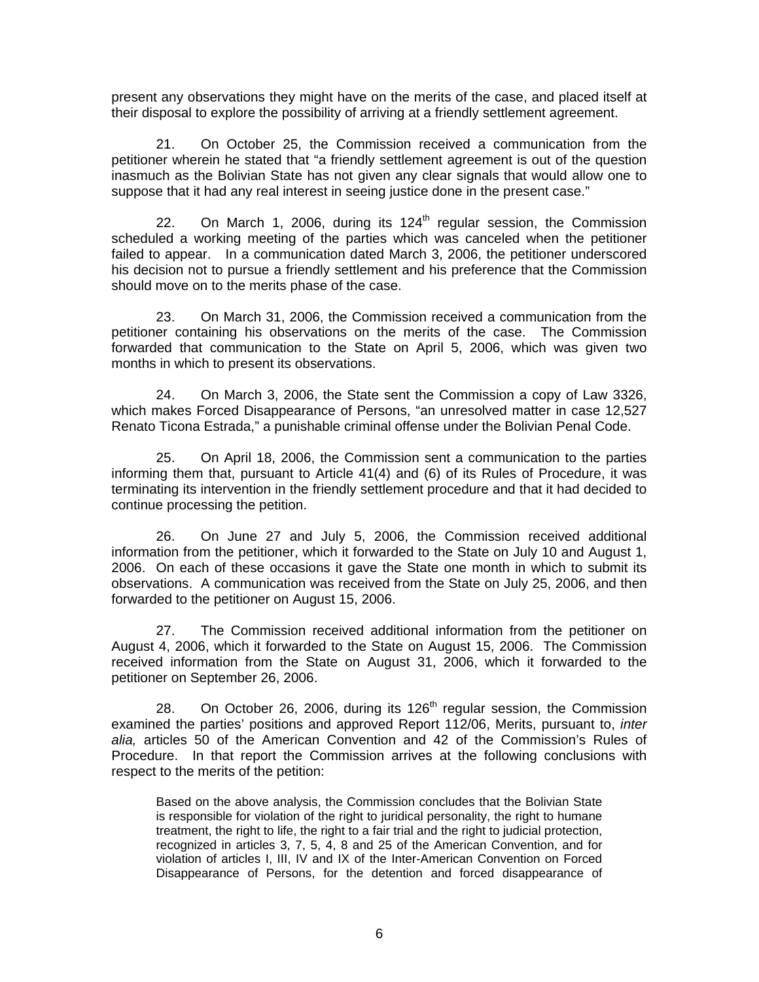present any observations they might have on the merits of the case, and placed itself at their disposal to explore the possibility of arriving at a friendly settlement agreement.

21. On October 25, the Commission received a communication from the petitioner wherein he stated that "a friendly settlement agreement is out of the question inasmuch as the Bolivian State has not given any clear signals that would allow one to suppose that it had any real interest in seeing justice done in the present case."

22. On March 1, 2006, during its  $124<sup>th</sup>$  regular session, the Commission scheduled a working meeting of the parties which was canceled when the petitioner failed to appear. In a communication dated March 3, 2006, the petitioner underscored his decision not to pursue a friendly settlement and his preference that the Commission should move on to the merits phase of the case.

23. On March 31, 2006, the Commission received a communication from the petitioner containing his observations on the merits of the case. The Commission forwarded that communication to the State on April 5, 2006, which was given two months in which to present its observations.

24. On March 3, 2006, the State sent the Commission a copy of Law 3326, which makes Forced Disappearance of Persons, "an unresolved matter in case 12,527 Renato Ticona Estrada," a punishable criminal offense under the Bolivian Penal Code.

25. On April 18, 2006, the Commission sent a communication to the parties informing them that, pursuant to Article 41(4) and (6) of its Rules of Procedure, it was terminating its intervention in the friendly settlement procedure and that it had decided to continue processing the petition.

26. On June 27 and July 5, 2006, the Commission received additional information from the petitioner, which it forwarded to the State on July 10 and August 1, 2006. On each of these occasions it gave the State one month in which to submit its observations. A communication was received from the State on July 25, 2006, and then forwarded to the petitioner on August 15, 2006.

27. The Commission received additional information from the petitioner on August 4, 2006, which it forwarded to the State on August 15, 2006. The Commission received information from the State on August 31, 2006, which it forwarded to the petitioner on September 26, 2006.

28. On October 26, 2006, during its  $126<sup>th</sup>$  regular session, the Commission examined the parties' positions and approved Report 112/06, Merits, pursuant to, *inter alia,* articles 50 of the American Convention and 42 of the Commission's Rules of Procedure. In that report the Commission arrives at the following conclusions with respect to the merits of the petition:

Based on the above analysis, the Commission concludes that the Bolivian State is responsible for violation of the right to juridical personality, the right to humane treatment, the right to life, the right to a fair trial and the right to judicial protection, recognized in articles 3, 7, 5, 4, 8 and 25 of the American Convention, and for violation of articles I, III, IV and IX of the Inter-American Convention on Forced Disappearance of Persons, for the detention and forced disappearance of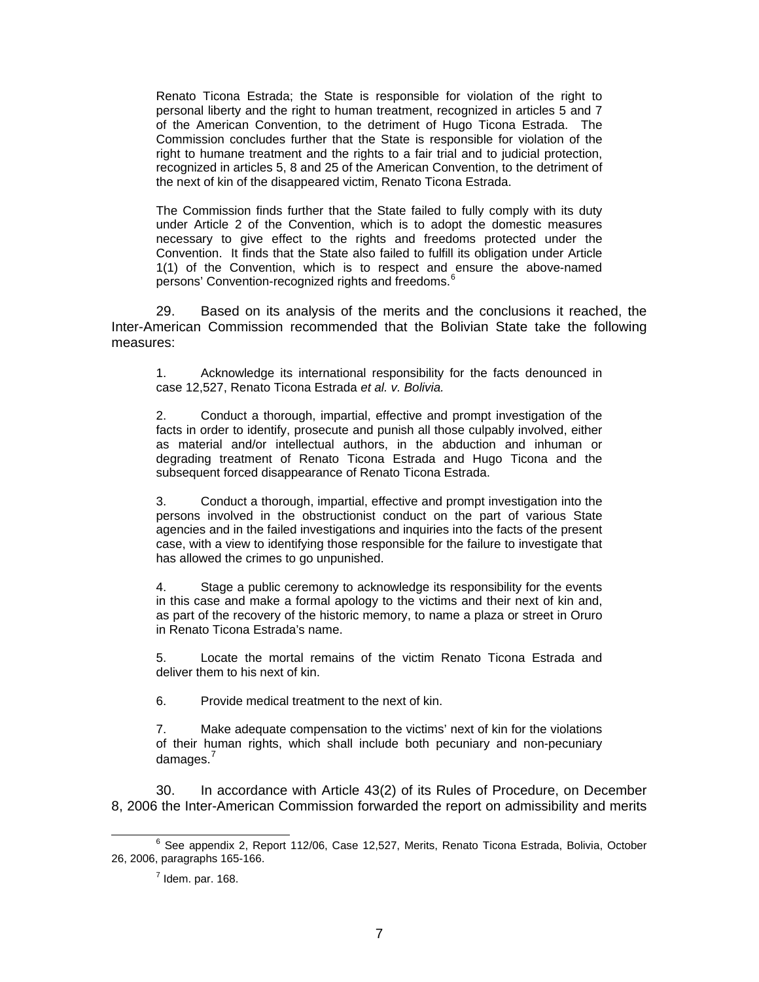Renato Ticona Estrada; the State is responsible for violation of the right to personal liberty and the right to human treatment, recognized in articles 5 and 7 of the American Convention, to the detriment of Hugo Ticona Estrada. The Commission concludes further that the State is responsible for violation of the right to humane treatment and the rights to a fair trial and to judicial protection, recognized in articles 5, 8 and 25 of the American Convention, to the detriment of the next of kin of the disappeared victim, Renato Ticona Estrada.

The Commission finds further that the State failed to fully comply with its duty under Article 2 of the Convention, which is to adopt the domestic measures necessary to give effect to the rights and freedoms protected under the Convention. It finds that the State also failed to fulfill its obligation under Article 1(1) of the Convention, which is to respect and ensure the above-named persons' Convention-recognized rights and freedoms.<sup>[6](#page-6-0)</sup>

29. Based on its analysis of the merits and the conclusions it reached, the Inter-American Commission recommended that the Bolivian State take the following measures:

1. Acknowledge its international responsibility for the facts denounced in case 12,527, Renato Ticona Estrada *et al. v. Bolivia.*

2. Conduct a thorough, impartial, effective and prompt investigation of the facts in order to identify, prosecute and punish all those culpably involved, either as material and/or intellectual authors, in the abduction and inhuman or degrading treatment of Renato Ticona Estrada and Hugo Ticona and the subsequent forced disappearance of Renato Ticona Estrada.

3. Conduct a thorough, impartial, effective and prompt investigation into the persons involved in the obstructionist conduct on the part of various State agencies and in the failed investigations and inquiries into the facts of the present case, with a view to identifying those responsible for the failure to investigate that has allowed the crimes to go unpunished.

4. Stage a public ceremony to acknowledge its responsibility for the events in this case and make a formal apology to the victims and their next of kin and, as part of the recovery of the historic memory, to name a plaza or street in Oruro in Renato Ticona Estrada's name.

5. Locate the mortal remains of the victim Renato Ticona Estrada and deliver them to his next of kin.

6. Provide medical treatment to the next of kin.

7. Make adequate compensation to the victims' next of kin for the violations of their human rights, which shall include both pecuniary and non-pecuniary damages.<sup>[7](#page-6-1)</sup>

30. In accordance with Article 43(2) of its Rules of Procedure, on December 8, 2006 the Inter-American Commission forwarded the report on admissibility and merits

<span id="page-6-1"></span><span id="page-6-0"></span> <sup>6</sup>  $6$  See appendix 2, Report 112/06, Case 12,527, Merits, Renato Ticona Estrada, Bolivia, October 26, 2006, paragraphs 165-166.

 $<sup>7</sup>$  Idem. par. 168.</sup>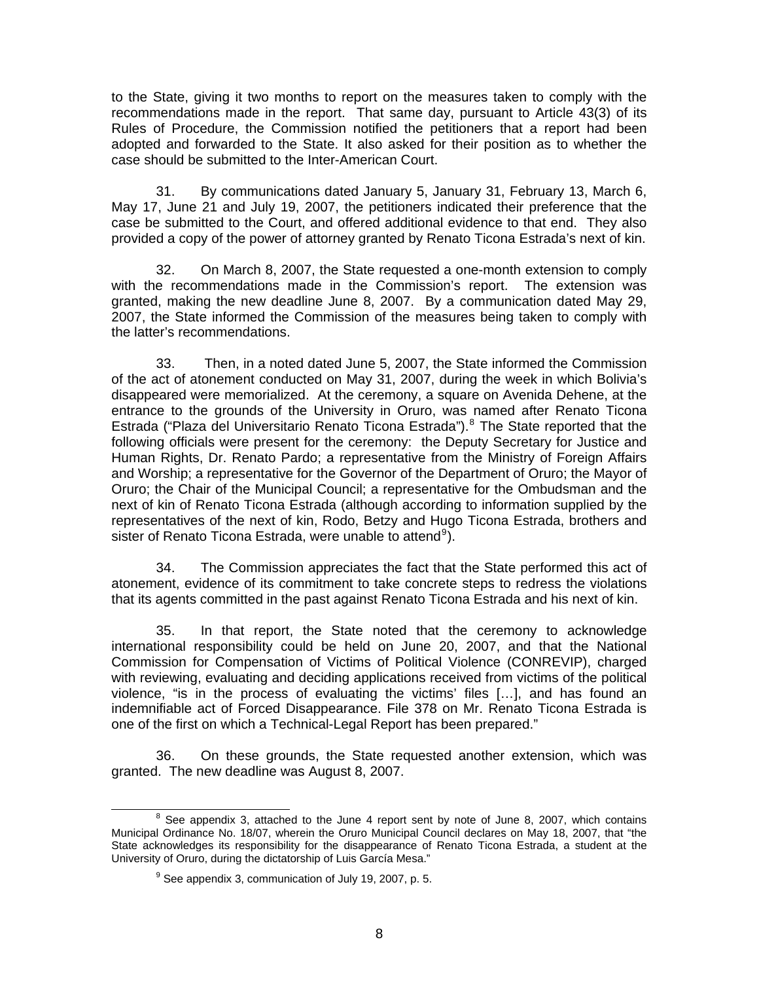to the State, giving it two months to report on the measures taken to comply with the recommendations made in the report. That same day, pursuant to Article 43(3) of its Rules of Procedure, the Commission notified the petitioners that a report had been adopted and forwarded to the State. It also asked for their position as to whether the case should be submitted to the Inter-American Court.

31. By communications dated January 5, January 31, February 13, March 6, May 17, June 21 and July 19, 2007, the petitioners indicated their preference that the case be submitted to the Court, and offered additional evidence to that end. They also provided a copy of the power of attorney granted by Renato Ticona Estrada's next of kin.

32. On March 8, 2007, the State requested a one-month extension to comply with the recommendations made in the Commission's report. The extension was granted, making the new deadline June 8, 2007. By a communication dated May 29, 2007, the State informed the Commission of the measures being taken to comply with the latter's recommendations.

33. Then, in a noted dated June 5, 2007, the State informed the Commission of the act of atonement conducted on May 31, 2007, during the week in which Bolivia's disappeared were memorialized. At the ceremony, a square on Avenida Dehene, at the entrance to the grounds of the University in Oruro, was named after Renato Ticona Estrada ("Plaza del Universitario Renato Ticona Estrada").<sup>[8](#page-7-0)</sup> The State reported that the following officials were present for the ceremony: the Deputy Secretary for Justice and Human Rights, Dr. Renato Pardo; a representative from the Ministry of Foreign Affairs and Worship; a representative for the Governor of the Department of Oruro; the Mayor of Oruro; the Chair of the Municipal Council; a representative for the Ombudsman and the next of kin of Renato Ticona Estrada (although according to information supplied by the representatives of the next of kin, Rodo, Betzy and Hugo Ticona Estrada, brothers and sister of Renato Ticona Estrada, were unable to attend<sup>[9](#page-7-1)</sup>).

34. The Commission appreciates the fact that the State performed this act of atonement, evidence of its commitment to take concrete steps to redress the violations that its agents committed in the past against Renato Ticona Estrada and his next of kin.

35. In that report, the State noted that the ceremony to acknowledge international responsibility could be held on June 20, 2007, and that the National Commission for Compensation of Victims of Political Violence (CONREVIP), charged with reviewing, evaluating and deciding applications received from victims of the political violence, "is in the process of evaluating the victims' files […], and has found an indemnifiable act of Forced Disappearance. File 378 on Mr. Renato Ticona Estrada is one of the first on which a Technical-Legal Report has been prepared."

36. On these grounds, the State requested another extension, which was granted. The new deadline was August 8, 2007.

<span id="page-7-1"></span><span id="page-7-0"></span> <sup>8</sup>  $8$  See appendix 3, attached to the June 4 report sent by note of June 8, 2007, which contains Municipal Ordinance No. 18/07, wherein the Oruro Municipal Council declares on May 18, 2007, that "the State acknowledges its responsibility for the disappearance of Renato Ticona Estrada, a student at the University of Oruro, during the dictatorship of Luis García Mesa."

 $9^9$  See appendix 3, communication of July 19, 2007, p. 5.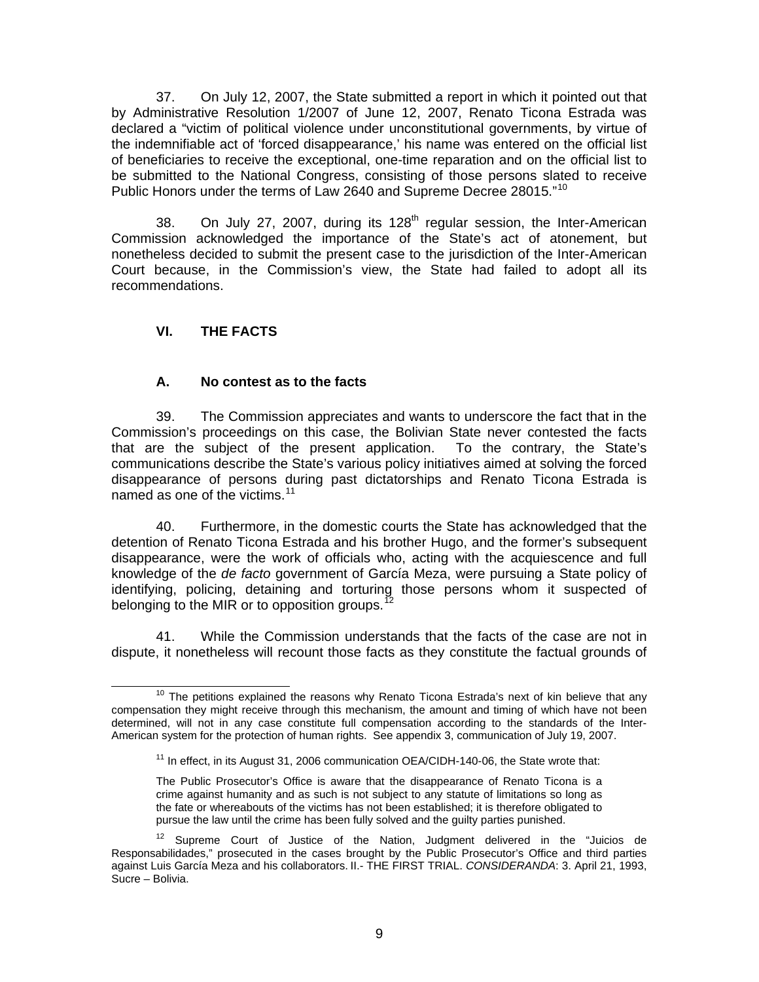37. On July 12, 2007, the State submitted a report in which it pointed out that by Administrative Resolution 1/2007 of June 12, 2007, Renato Ticona Estrada was declared a "victim of political violence under unconstitutional governments, by virtue of the indemnifiable act of 'forced disappearance,' his name was entered on the official list of beneficiaries to receive the exceptional, one-time reparation and on the official list to be submitted to the National Congress, consisting of those persons slated to receive Public Honors under the terms of Law 2640 and Supreme Decree 28015."<sup>[10](#page-8-0)</sup>

38. On July 27, 2007, during its  $128<sup>th</sup>$  regular session, the Inter-American Commission acknowledged the importance of the State's act of atonement, but nonetheless decided to submit the present case to the jurisdiction of the Inter-American Court because, in the Commission's view, the State had failed to adopt all its recommendations.

## **VI. THE FACTS**

### **A. No contest as to the facts**

39. The Commission appreciates and wants to underscore the fact that in the Commission's proceedings on this case, the Bolivian State never contested the facts that are the subject of the present application. To the contrary, the State's communications describe the State's various policy initiatives aimed at solving the forced disappearance of persons during past dictatorships and Renato Ticona Estrada is named as one of the victims. $11$ 

40. Furthermore, in the domestic courts the State has acknowledged that the detention of Renato Ticona Estrada and his brother Hugo, and the former's subsequent disappearance, were the work of officials who, acting with the acquiescence and full knowledge of the *de facto* government of García Meza, were pursuing a State policy of identifying, policing, detaining and torturing those persons whom it suspected of belonging to the MIR or to opposition groups.<sup>1</sup>

41. While the Commission understands that the facts of the case are not in dispute, it nonetheless will recount those facts as they constitute the factual grounds of

<span id="page-8-1"></span><span id="page-8-0"></span> $10$  The petitions explained the reasons why Renato Ticona Estrada's next of kin believe that any compensation they might receive through this mechanism, the amount and timing of which have not been determined, will not in any case constitute full compensation according to the standards of the Inter-American system for the protection of human rights. See appendix 3, communication of July 19, 2007.

 $11$  In effect, in its August 31, 2006 communication OEA/CIDH-140-06, the State wrote that:

The Public Prosecutor's Office is aware that the disappearance of Renato Ticona is a crime against humanity and as such is not subject to any statute of limitations so long as the fate or whereabouts of the victims has not been established; it is therefore obligated to pursue the law until the crime has been fully solved and the guilty parties punished.

<span id="page-8-2"></span>Supreme Court of Justice of the Nation, Judgment delivered in the "Juicios de Responsabilidades," prosecuted in the cases brought by the Public Prosecutor's Office and third parties against Luis García Meza and his collaborators. II.- THE FIRST TRIAL. *CONSIDERANDA*: 3. April 21, 1993, Sucre – Bolivia.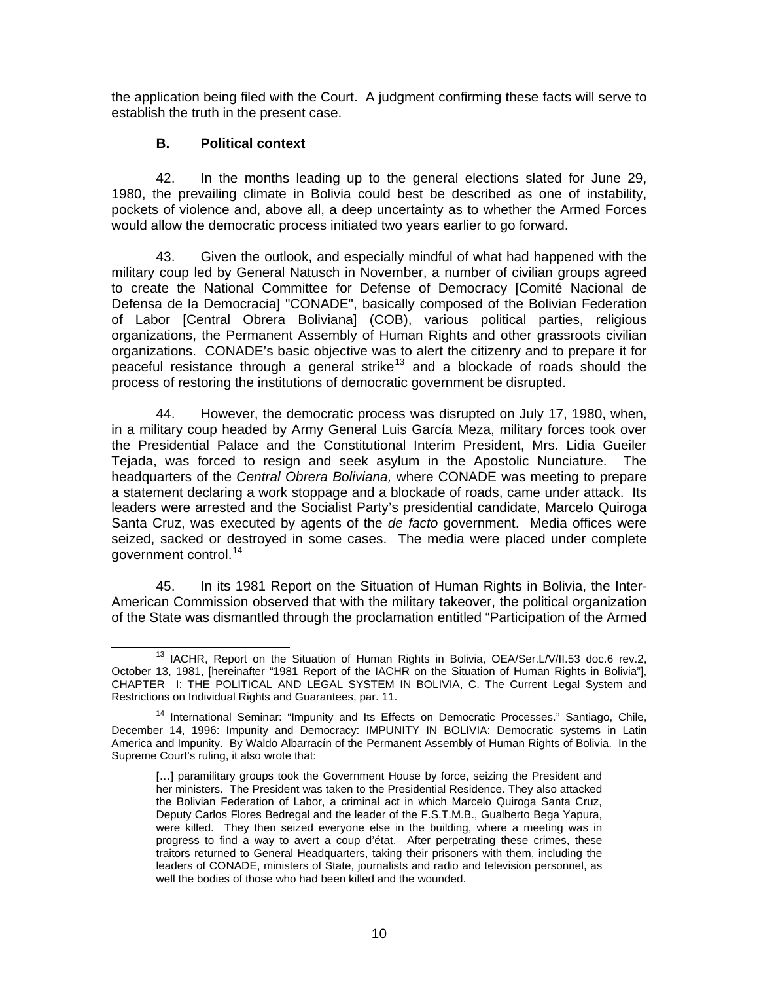the application being filed with the Court. A judgment confirming these facts will serve to establish the truth in the present case.

### **B. Political context**

42. In the months leading up to the general elections slated for June 29, 1980, the prevailing climate in Bolivia could best be described as one of instability, pockets of violence and, above all, a deep uncertainty as to whether the Armed Forces would allow the democratic process initiated two years earlier to go forward.

43. Given the outlook, and especially mindful of what had happened with the military coup led by General Natusch in November, a number of civilian groups agreed to create the National Committee for Defense of Democracy [Comité Nacional de Defensa de la Democracia] "CONADE", basically composed of the Bolivian Federation of Labor [Central Obrera Boliviana] (COB), various political parties, religious organizations, the Permanent Assembly of Human Rights and other grassroots civilian organizations. CONADE's basic objective was to alert the citizenry and to prepare it for peaceful resistance through a general strike<sup>[13](#page-9-0)</sup> and a blockade of roads should the process of restoring the institutions of democratic government be disrupted.

44. However, the democratic process was disrupted on July 17, 1980, when, in a military coup headed by Army General Luis García Meza, military forces took over the Presidential Palace and the Constitutional Interim President, Mrs. Lidia Gueiler Tejada, was forced to resign and seek asylum in the Apostolic Nunciature. The headquarters of the *Central Obrera Boliviana,* where CONADE was meeting to prepare a statement declaring a work stoppage and a blockade of roads, came under attack. Its leaders were arrested and the Socialist Party's presidential candidate, Marcelo Quiroga Santa Cruz, was executed by agents of the *de facto* government. Media offices were seized, sacked or destroyed in some cases. The media were placed under complete government control.<sup>[14](#page-9-1)</sup>

45. In its 1981 Report on the Situation of Human Rights in Bolivia, the Inter-American Commission observed that with the military takeover, the political organization of the State was dismantled through the proclamation entitled "Participation of the Armed

<span id="page-9-0"></span><sup>&</sup>lt;sup>13</sup> IACHR, Report on the Situation of Human Rights in Bolivia, OEA/Ser.L/V/II.53 doc.6 rev.2, October 13, 1981, [hereinafter "1981 Report of the IACHR on the Situation of Human Rights in Bolivia"], CHAPTER I: THE POLITICAL AND LEGAL SYSTEM IN BOLIVIA, C. The Current Legal System and Restrictions on Individual Rights and Guarantees, par. 11.

<span id="page-9-1"></span><sup>&</sup>lt;sup>14</sup> International Seminar: "Impunity and Its Effects on Democratic Processes." Santiago, Chile, December 14, 1996: Impunity and Democracy: IMPUNITY IN BOLIVIA: Democratic systems in Latin America and Impunity. By Waldo Albarracín of the Permanent Assembly of Human Rights of Bolivia. In the Supreme Court's ruling, it also wrote that:

<sup>[...]</sup> paramilitary groups took the Government House by force, seizing the President and her ministers. The President was taken to the Presidential Residence. They also attacked the Bolivian Federation of Labor, a criminal act in which Marcelo Quiroga Santa Cruz, Deputy Carlos Flores Bedregal and the leader of the F.S.T.M.B., Gualberto Bega Yapura, were killed. They then seized everyone else in the building, where a meeting was in progress to find a way to avert a coup d'état. After perpetrating these crimes, these traitors returned to General Headquarters, taking their prisoners with them, including the leaders of CONADE, ministers of State, journalists and radio and television personnel, as well the bodies of those who had been killed and the wounded.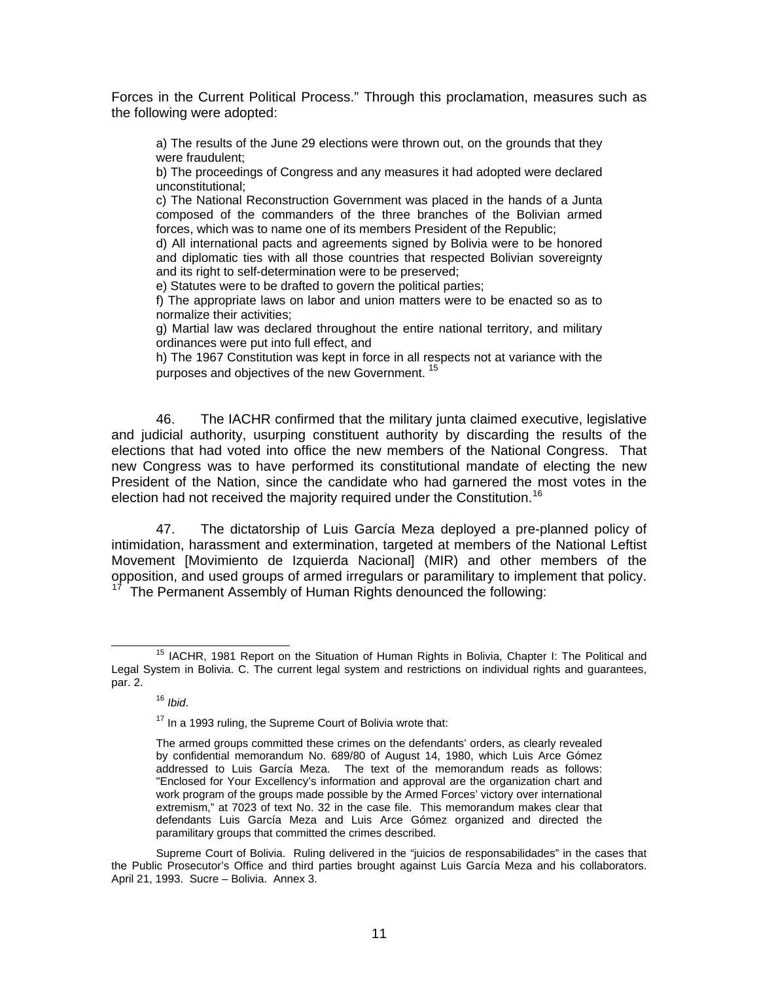Forces in the Current Political Process." Through this proclamation, measures such as the following were adopted:

a) The results of the June 29 elections were thrown out, on the grounds that they were fraudulent;

b) The proceedings of Congress and any measures it had adopted were declared unconstitutional;

c) The National Reconstruction Government was placed in the hands of a Junta composed of the commanders of the three branches of the Bolivian armed forces, which was to name one of its members President of the Republic;

d) All international pacts and agreements signed by Bolivia were to be honored and diplomatic ties with all those countries that respected Bolivian sovereignty and its right to self-determination were to be preserved:

e) Statutes were to be drafted to govern the political parties;

f) The appropriate laws on labor and union matters were to be enacted so as to normalize their activities;

g) Martial law was declared throughout the entire national territory, and military ordinances were put into full effect, and

h) The 1967 Constitution was kept in force in all respects not at variance with the purposes and objectives of the new Government.<sup>[15](#page-10-0)</sup>

46. The IACHR confirmed that the military junta claimed executive, legislative and judicial authority, usurping constituent authority by discarding the results of the elections that had voted into office the new members of the National Congress. That new Congress was to have performed its constitutional mandate of electing the new President of the Nation, since the candidate who had garnered the most votes in the election had not received the majority required under the Constitution.<sup>[16](#page-10-1)</sup>

47. The dictatorship of Luis García Meza deployed a pre-planned policy of intimidation, harassment and extermination, targeted at members of the National Leftist Movement [Movimiento de Izquierda Nacional] (MIR) and other members of the opposition, and used groups of armed irregulars or paramilitary to implement that policy.

The Permanent Assembly of Human Rights denounced the following:

<span id="page-10-2"></span><span id="page-10-1"></span><span id="page-10-0"></span><sup>&</sup>lt;sup>15</sup> IACHR. 1981 Report on the Situation of Human Rights in Bolivia, Chapter I: The Political and Legal System in Bolivia. C. The current legal system and restrictions on individual rights and guarantees, par. 2.

<sup>16</sup> *Ibid*.

<sup>&</sup>lt;sup>17</sup> In a 1993 ruling, the Supreme Court of Bolivia wrote that:

The armed groups committed these crimes on the defendants' orders, as clearly revealed by confidential memorandum No. 689/80 of August 14, 1980, which Luis Arce Gómez addressed to Luis García Meza. The text of the memorandum reads as follows: "Enclosed for Your Excellency's information and approval are the organization chart and work program of the groups made possible by the Armed Forces' victory over international extremism," at 7023 of text No. 32 in the case file. This memorandum makes clear that defendants Luis García Meza and Luis Arce Gómez organized and directed the paramilitary groups that committed the crimes described.

Supreme Court of Bolivia. Ruling delivered in the "juicios de responsabilidades" in the cases that the Public Prosecutor's Office and third parties brought against Luis García Meza and his collaborators. April 21, 1993. Sucre – Bolivia. Annex 3.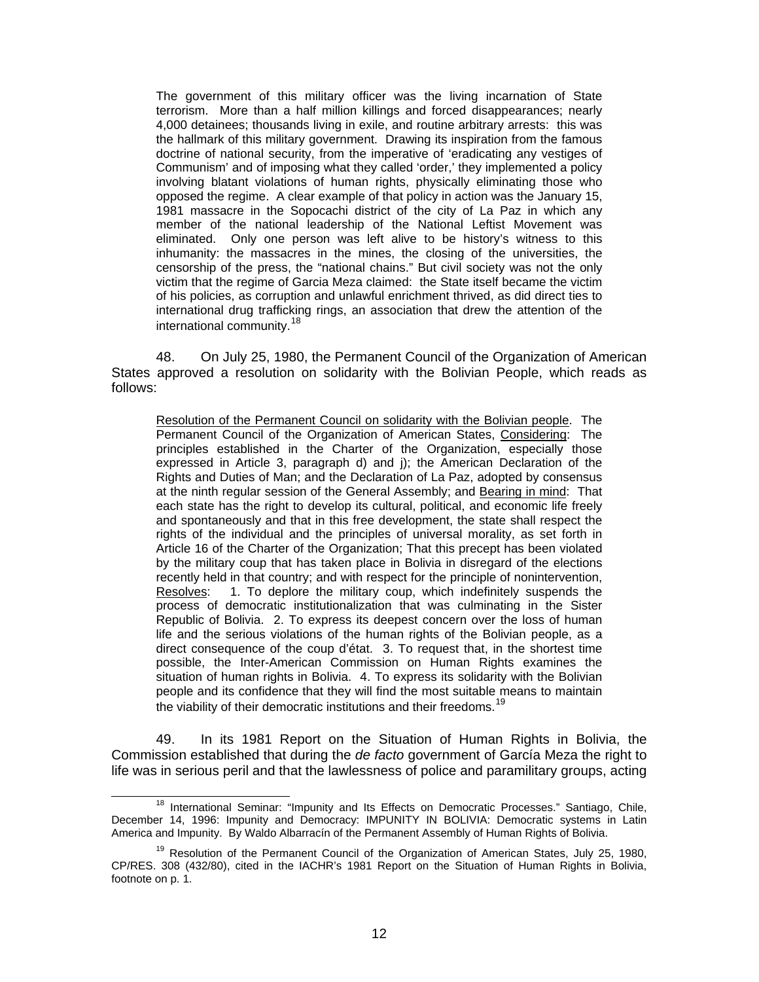The government of this military officer was the living incarnation of State terrorism. More than a half million killings and forced disappearances; nearly 4,000 detainees; thousands living in exile, and routine arbitrary arrests: this was the hallmark of this military government. Drawing its inspiration from the famous doctrine of national security, from the imperative of 'eradicating any vestiges of Communism' and of imposing what they called 'order,' they implemented a policy involving blatant violations of human rights, physically eliminating those who opposed the regime. A clear example of that policy in action was the January 15, 1981 massacre in the Sopocachi district of the city of La Paz in which any member of the national leadership of the National Leftist Movement was eliminated. Only one person was left alive to be history's witness to this inhumanity: the massacres in the mines, the closing of the universities, the censorship of the press, the "national chains." But civil society was not the only victim that the regime of Garcia Meza claimed: the State itself became the victim of his policies, as corruption and unlawful enrichment thrived, as did direct ties to international drug trafficking rings, an association that drew the attention of the international community.<sup>[18](#page-11-0)</sup>

48. On July 25, 1980, the Permanent Council of the Organization of American States approved a resolution on solidarity with the Bolivian People, which reads as follows:

Resolution of the Permanent Council on solidarity with the Bolivian people. The Permanent Council of the Organization of American States, Considering: The principles established in the Charter of the Organization, especially those expressed in Article 3, paragraph d) and j); the American Declaration of the Rights and Duties of Man; and the Declaration of La Paz, adopted by consensus at the ninth regular session of the General Assembly; and Bearing in mind: That each state has the right to develop its cultural, political, and economic life freely and spontaneously and that in this free development, the state shall respect the rights of the individual and the principles of universal morality, as set forth in Article 16 of the Charter of the Organization; That this precept has been violated by the military coup that has taken place in Bolivia in disregard of the elections recently held in that country; and with respect for the principle of nonintervention, Resolves: 1. To deplore the military coup, which indefinitely suspends the process of democratic institutionalization that was culminating in the Sister Republic of Bolivia. 2. To express its deepest concern over the loss of human life and the serious violations of the human rights of the Bolivian people, as a direct consequence of the coup d'état. 3. To request that, in the shortest time possible, the Inter-American Commission on Human Rights examines the situation of human rights in Bolivia. 4. To express its solidarity with the Bolivian people and its confidence that they will find the most suitable means to maintain the viability of their democratic institutions and their freedoms.<sup>[19](#page-11-1)</sup>

49. In its 1981 Report on the Situation of Human Rights in Bolivia, the Commission established that during the *de facto* government of García Meza the right to life was in serious peril and that the lawlessness of police and paramilitary groups, acting

<span id="page-11-0"></span><sup>&</sup>lt;sup>18</sup> International Seminar: "Impunity and Its Effects on Democratic Processes." Santiago, Chile, December 14, 1996: Impunity and Democracy: IMPUNITY IN BOLIVIA: Democratic systems in Latin America and Impunity. By Waldo Albarracín of the Permanent Assembly of Human Rights of Bolivia.

<span id="page-11-1"></span> $19$  Resolution of the Permanent Council of the Organization of American States, July 25, 1980, CP/RES. 308 (432/80), cited in the IACHR's 1981 Report on the Situation of Human Rights in Bolivia, footnote on p. 1.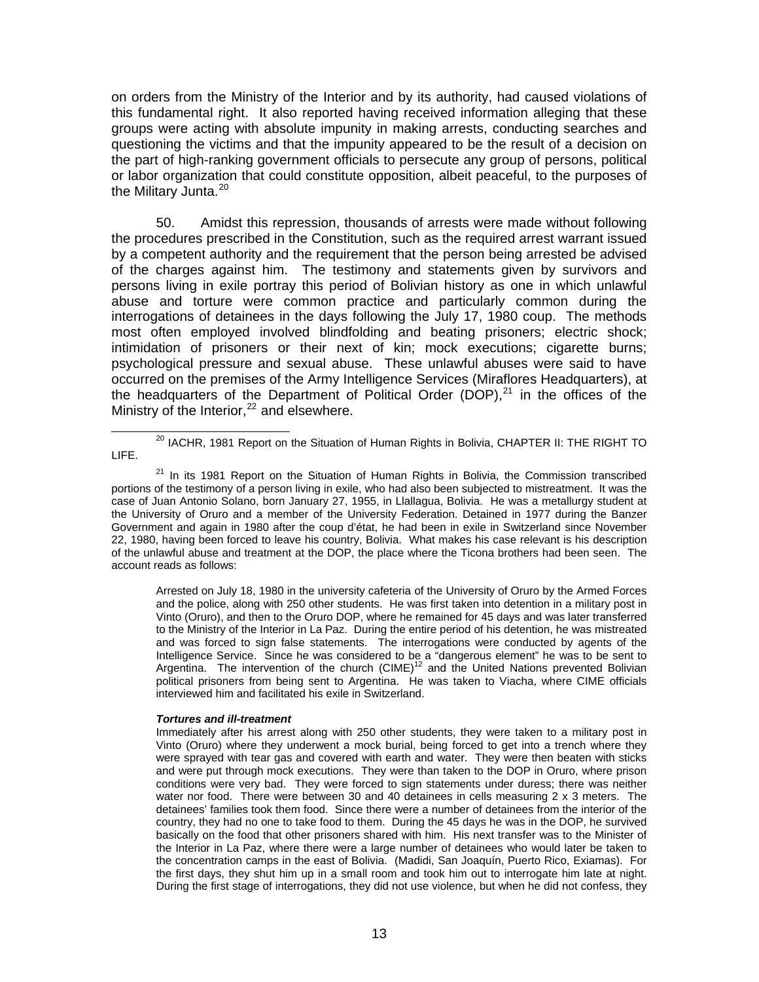on orders from the Ministry of the Interior and by its authority, had caused violations of this fundamental right. It also reported having received information alleging that these groups were acting with absolute impunity in making arrests, conducting searches and questioning the victims and that the impunity appeared to be the result of a decision on the part of high-ranking government officials to persecute any group of persons, political or labor organization that could constitute opposition, albeit peaceful, to the purposes of the Military Junta.<sup>[20](#page-12-0)</sup>

50. Amidst this repression, thousands of arrests were made without following the procedures prescribed in the Constitution, such as the required arrest warrant issued by a competent authority and the requirement that the person being arrested be advised of the charges against him. The testimony and statements given by survivors and persons living in exile portray this period of Bolivian history as one in which unlawful abuse and torture were common practice and particularly common during the interrogations of detainees in the days following the July 17, 1980 coup. The methods most often employed involved blindfolding and beating prisoners; electric shock; intimidation of prisoners or their next of kin; mock executions; cigarette burns; psychological pressure and sexual abuse. These unlawful abuses were said to have occurred on the premises of the Army Intelligence Services (Miraflores Headquarters), at the headquarters of the Department of Political Order (DOP), $^{21}$  $^{21}$  $^{21}$  in the offices of the Ministry of the Interior,  $22$  and elsewhere.

Arrested on July 18, 1980 in the university cafeteria of the University of Oruro by the Armed Forces and the police, along with 250 other students. He was first taken into detention in a military post in Vinto (Oruro), and then to the Oruro DOP, where he remained for 45 days and was later transferred to the Ministry of the Interior in La Paz. During the entire period of his detention, he was mistreated and was forced to sign false statements. The interrogations were conducted by agents of the Intelligence Service. Since he was considered to be a "dangerous element" he was to be sent to Argentina. The intervention of the church (CIME)<sup>12</sup> and the United Nations prevented Bolivian political prisoners from being sent to Argentina. He was taken to Viacha, where CIME officials interviewed him and facilitated his exile in Switzerland.

#### *Tortures and ill-treatment*

<span id="page-12-0"></span><sup>&</sup>lt;sup>20</sup> IACHR, 1981 Report on the Situation of Human Rights in Bolivia, CHAPTER II: THE RIGHT TO LIFE.

<span id="page-12-1"></span> $21$  In its 1981 Report on the Situation of Human Rights in Bolivia, the Commission transcribed portions of the testimony of a person living in exile, who had also been subjected to mistreatment. It was the case of Juan Antonio Solano, born January 27, 1955, in Llallagua, Bolivia. He was a metallurgy student at the University of Oruro and a member of the University Federation. Detained in 1977 during the Banzer Government and again in 1980 after the coup d'état, he had been in exile in Switzerland since November 22, 1980, having been forced to leave his country, Bolivia. What makes his case relevant is his description of the unlawful abuse and treatment at the DOP, the place where the Ticona brothers had been seen. The account reads as follows:

<span id="page-12-2"></span>Immediately after his arrest along with 250 other students, they were taken to a military post in Vinto (Oruro) where they underwent a mock burial, being forced to get into a trench where they were sprayed with tear gas and covered with earth and water. They were then beaten with sticks and were put through mock executions. They were than taken to the DOP in Oruro, where prison conditions were very bad. They were forced to sign statements under duress; there was neither water nor food. There were between 30 and 40 detainees in cells measuring 2 x 3 meters. The detainees' families took them food. Since there were a number of detainees from the interior of the country, they had no one to take food to them. During the 45 days he was in the DOP, he survived basically on the food that other prisoners shared with him. His next transfer was to the Minister of the Interior in La Paz, where there were a large number of detainees who would later be taken to the concentration camps in the east of Bolivia. (Madidi, San Joaquín, Puerto Rico, Exiamas). For the first days, they shut him up in a small room and took him out to interrogate him late at night. During the first stage of interrogations, they did not use violence, but when he did not confess, they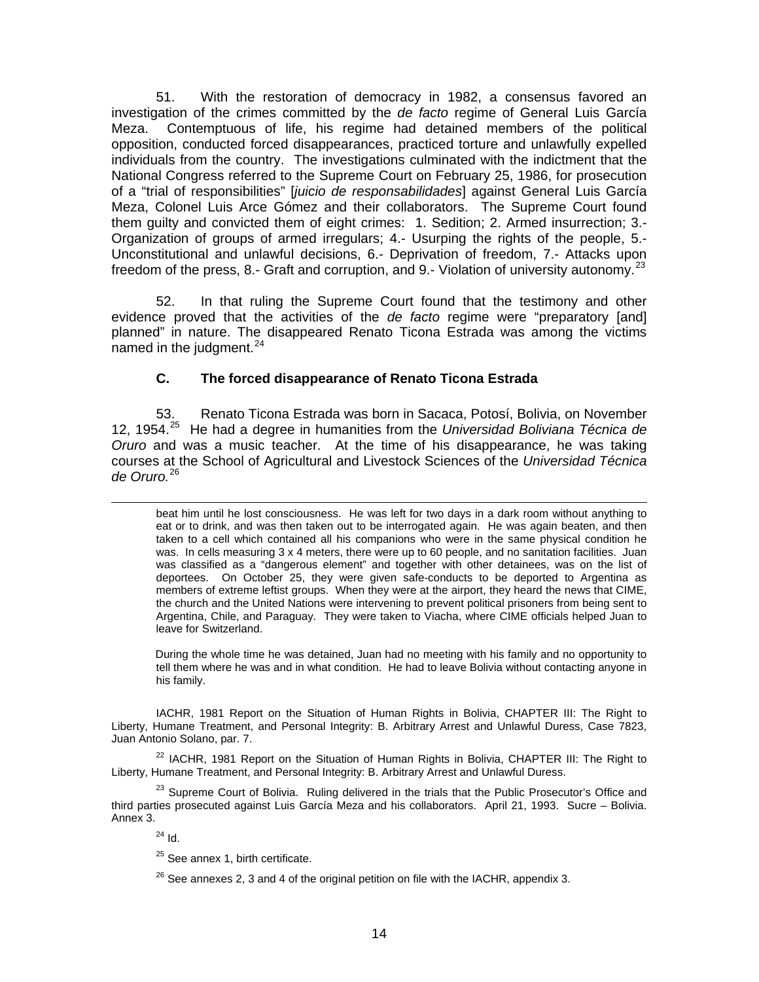51. With the restoration of democracy in 1982, a consensus favored an investigation of the crimes committed by the *de facto* regime of General Luis García Meza. Contemptuous of life, his regime had detained members of the political opposition, conducted forced disappearances, practiced torture and unlawfully expelled individuals from the country. The investigations culminated with the indictment that the National Congress referred to the Supreme Court on February 25, 1986, for prosecution of a "trial of responsibilities" [*juicio de responsabilidades*] against General Luis García Meza, Colonel Luis Arce Gómez and their collaborators. The Supreme Court found them guilty and convicted them of eight crimes: 1. Sedition; 2. Armed insurrection; 3.- Organization of groups of armed irregulars; 4.- Usurping the rights of the people, 5.- Unconstitutional and unlawful decisions, 6.- Deprivation of freedom, 7.- Attacks upon freedom of the press, 8.- Graft and corruption, and 9.- Violation of university autonomy.<sup>[23](#page-13-0)</sup>

52. In that ruling the Supreme Court found that the testimony and other evidence proved that the activities of the *de facto* regime were "preparatory [and] planned" in nature. The disappeared Renato Ticona Estrada was among the victims named in the judgment.<sup>[24](#page-13-1)</sup>

### **C. The forced disappearance of Renato Ticona Estrada**

53. Renato Ticona Estrada was born in Sacaca, Potosí, Bolivia, on November 12, 1954.[25](#page-13-2) He had a degree in humanities from the *Universidad Boliviana Técnica de Oruro* and was a music teacher. At the time of his disappearance, he was taking courses at the School of Agricultural and Livestock Sciences of the *Universidad Técnica de Oruro.*[26](#page-13-3)

beat him until he lost consciousness. He was left for two days in a dark room without anything to eat or to drink, and was then taken out to be interrogated again. He was again beaten, and then taken to a cell which contained all his companions who were in the same physical condition he was. In cells measuring 3 x 4 meters, there were up to 60 people, and no sanitation facilities. Juan was classified as a "dangerous element" and together with other detainees, was on the list of deportees. On October 25, they were given safe-conducts to be deported to Argentina as members of extreme leftist groups. When they were at the airport, they heard the news that CIME, the church and the United Nations were intervening to prevent political prisoners from being sent to Argentina, Chile, and Paraguay. They were taken to Viacha, where CIME officials helped Juan to leave for Switzerland.

During the whole time he was detained, Juan had no meeting with his family and no opportunity to tell them where he was and in what condition. He had to leave Bolivia without contacting anyone in his family.

IACHR, 1981 Report on the Situation of Human Rights in Bolivia, CHAPTER III: The Right to Liberty, Humane Treatment, and Personal Integrity: B. Arbitrary Arrest and Unlawful Duress, Case 7823, Juan Antonio Solano, par. 7.

 $22$  IACHR, 1981 Report on the Situation of Human Rights in Bolivia, CHAPTER III: The Right to Liberty, Humane Treatment, and Personal Integrity: B. Arbitrary Arrest and Unlawful Duress.

<span id="page-13-3"></span><span id="page-13-2"></span><span id="page-13-1"></span><span id="page-13-0"></span><sup>23</sup> Supreme Court of Bolivia. Ruling delivered in the trials that the Public Prosecutor's Office and third parties prosecuted against Luis García Meza and his collaborators. April 21, 1993. Sucre – Bolivia. Annex 3.

 $^{24}$  Id.

l

<sup>25</sup> See annex 1, birth certificate.

 $26$  See annexes 2, 3 and 4 of the original petition on file with the IACHR, appendix 3.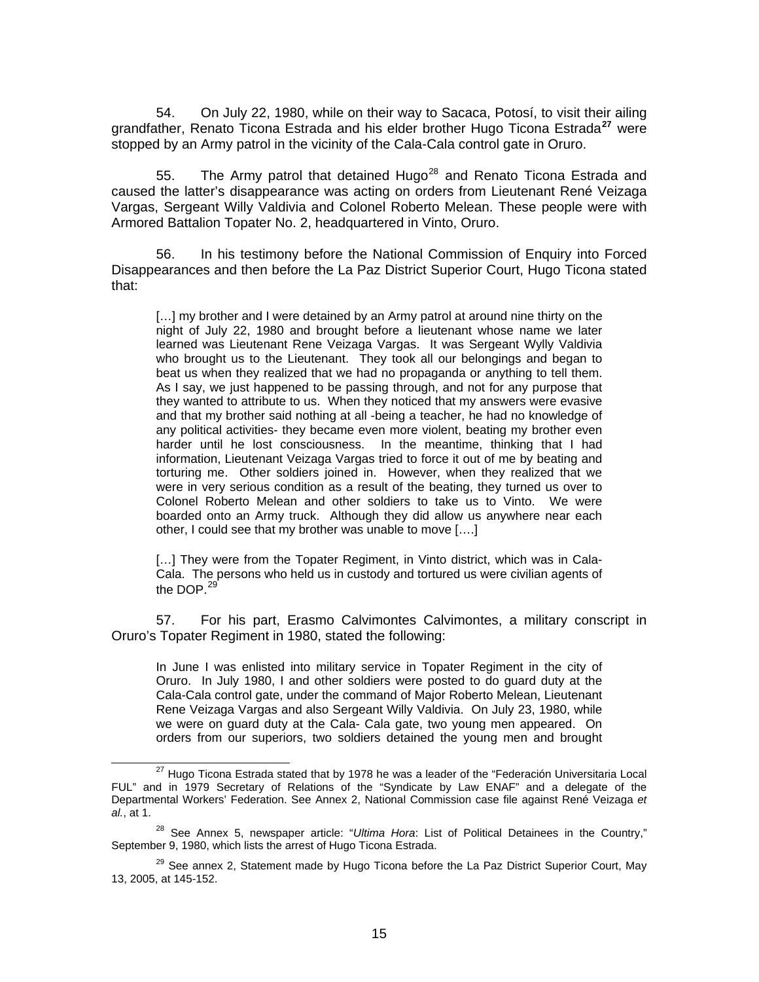54. On July 22, 1980, while on their way to Sacaca, Potosí, to visit their ailing grandfather, Renato Ticona Estrada and his elder brother Hugo Ticona Estrada**[27](#page-14-0)** were stopped by an Army patrol in the vicinity of the Cala-Cala control gate in Oruro.

55. The Army patrol that detained Hugo<sup>[28](#page-14-1)</sup> and Renato Ticona Estrada and caused the latter's disappearance was acting on orders from Lieutenant René Veizaga Vargas, Sergeant Willy Valdivia and Colonel Roberto Melean. These people were with Armored Battalion Topater No. 2, headquartered in Vinto, Oruro.

56. In his testimony before the National Commission of Enquiry into Forced Disappearances and then before the La Paz District Superior Court, Hugo Ticona stated that:

[...] my brother and I were detained by an Army patrol at around nine thirty on the night of July 22, 1980 and brought before a lieutenant whose name we later learned was Lieutenant Rene Veizaga Vargas. It was Sergeant Wylly Valdivia who brought us to the Lieutenant. They took all our belongings and began to beat us when they realized that we had no propaganda or anything to tell them. As I say, we just happened to be passing through, and not for any purpose that they wanted to attribute to us. When they noticed that my answers were evasive and that my brother said nothing at all -being a teacher, he had no knowledge of any political activities- they became even more violent, beating my brother even harder until he lost consciousness. In the meantime, thinking that I had information, Lieutenant Veizaga Vargas tried to force it out of me by beating and torturing me. Other soldiers joined in. However, when they realized that we were in very serious condition as a result of the beating, they turned us over to Colonel Roberto Melean and other soldiers to take us to Vinto. We were boarded onto an Army truck. Although they did allow us anywhere near each other, I could see that my brother was unable to move [….]

[...] They were from the Topater Regiment, in Vinto district, which was in Cala-Cala. The persons who held us in custody and tortured us were civilian agents of the DOP.<sup>[29](#page-14-2)'</sup>

57. For his part, Erasmo Calvimontes Calvimontes, a military conscript in Oruro's Topater Regiment in 1980, stated the following:

In June I was enlisted into military service in Topater Regiment in the city of Oruro. In July 1980, I and other soldiers were posted to do guard duty at the Cala-Cala control gate, under the command of Major Roberto Melean, Lieutenant Rene Veizaga Vargas and also Sergeant Willy Valdivia. On July 23, 1980, while we were on guard duty at the Cala- Cala gate, two young men appeared. On orders from our superiors, two soldiers detained the young men and brought

<span id="page-14-0"></span><sup>&</sup>lt;sup>27</sup> Hugo Ticona Estrada stated that by 1978 he was a leader of the "Federación Universitaria Local FUL" and in 1979 Secretary of Relations of the "Syndicate by Law ENAF" and a delegate of the Departmental Workers' Federation. See Annex 2, National Commission case file against René Veizaga *et al.*, at 1.

<span id="page-14-1"></span><sup>28</sup> See Annex 5, newspaper article: "*Ultima Hora*: List of Political Detainees in the Country," September 9, 1980, which lists the arrest of Hugo Ticona Estrada.

<span id="page-14-2"></span><sup>&</sup>lt;sup>29</sup> See annex 2, Statement made by Hugo Ticona before the La Paz District Superior Court, May 13, 2005, at 145-152.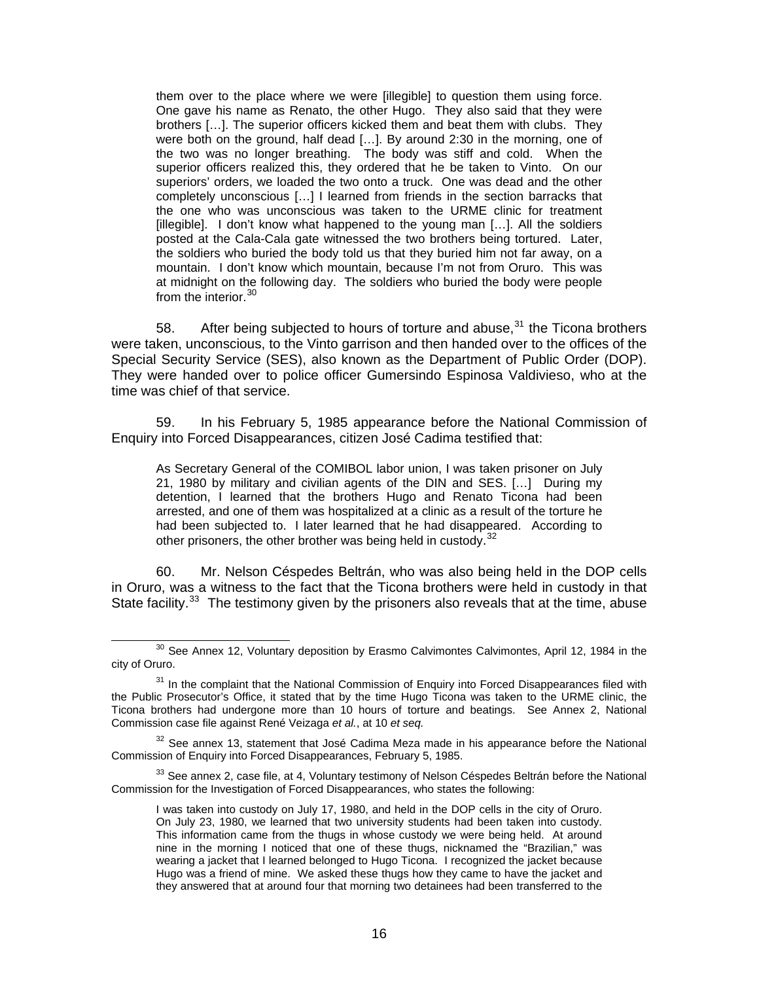them over to the place where we were [illegible] to question them using force. One gave his name as Renato, the other Hugo. They also said that they were brothers […]. The superior officers kicked them and beat them with clubs. They were both on the ground, half dead [...]. By around 2:30 in the morning, one of the two was no longer breathing. The body was stiff and cold. When the superior officers realized this, they ordered that he be taken to Vinto. On our superiors' orders, we loaded the two onto a truck. One was dead and the other completely unconscious […] I learned from friends in the section barracks that the one who was unconscious was taken to the URME clinic for treatment [illegible]. I don't know what happened to the young man […]. All the soldiers posted at the Cala-Cala gate witnessed the two brothers being tortured. Later, the soldiers who buried the body told us that they buried him not far away, on a mountain. I don't know which mountain, because I'm not from Oruro. This was at midnight on the following day. The soldiers who buried the body were people from the interior.<sup>[30](#page-15-0)</sup>

58. After being subjected to hours of torture and abuse,  $31$  the Ticona brothers were taken, unconscious, to the Vinto garrison and then handed over to the offices of the Special Security Service (SES), also known as the Department of Public Order (DOP). They were handed over to police officer Gumersindo Espinosa Valdivieso, who at the time was chief of that service.

59. In his February 5, 1985 appearance before the National Commission of Enquiry into Forced Disappearances, citizen José Cadima testified that:

As Secretary General of the COMIBOL labor union, I was taken prisoner on July 21, 1980 by military and civilian agents of the DIN and SES. […] During my detention, I learned that the brothers Hugo and Renato Ticona had been arrested, and one of them was hospitalized at a clinic as a result of the torture he had been subjected to. I later learned that he had disappeared. According to other prisoners, the other brother was being held in custody.<sup>[32](#page-15-2)</sup>

60. Mr. Nelson Céspedes Beltrán, who was also being held in the DOP cells in Oruro, was a witness to the fact that the Ticona brothers were held in custody in that State facility.<sup>[33](#page-15-3)</sup> The testimony given by the prisoners also reveals that at the time, abuse

<span id="page-15-0"></span> $30$  See Annex 12, Voluntary deposition by Erasmo Calvimontes Calvimontes, April 12, 1984 in the city of Oruro.

<span id="page-15-1"></span> $31$  In the complaint that the National Commission of Enguiry into Forced Disappearances filed with the Public Prosecutor's Office, it stated that by the time Hugo Ticona was taken to the URME clinic, the Ticona brothers had undergone more than 10 hours of torture and beatings. See Annex 2, National Commission case file against René Veizaga *et al.*, at 10 *et seq.*

<span id="page-15-2"></span> $32$  See annex 13, statement that José Cadima Meza made in his appearance before the National Commission of Enquiry into Forced Disappearances, February 5, 1985.

<span id="page-15-3"></span> $33$  See annex 2, case file, at 4, Voluntary testimony of Nelson Céspedes Beltrán before the National Commission for the Investigation of Forced Disappearances, who states the following:

I was taken into custody on July 17, 1980, and held in the DOP cells in the city of Oruro. On July 23, 1980, we learned that two university students had been taken into custody. This information came from the thugs in whose custody we were being held. At around nine in the morning I noticed that one of these thugs, nicknamed the "Brazilian," was wearing a jacket that I learned belonged to Hugo Ticona. I recognized the jacket because Hugo was a friend of mine. We asked these thugs how they came to have the jacket and they answered that at around four that morning two detainees had been transferred to the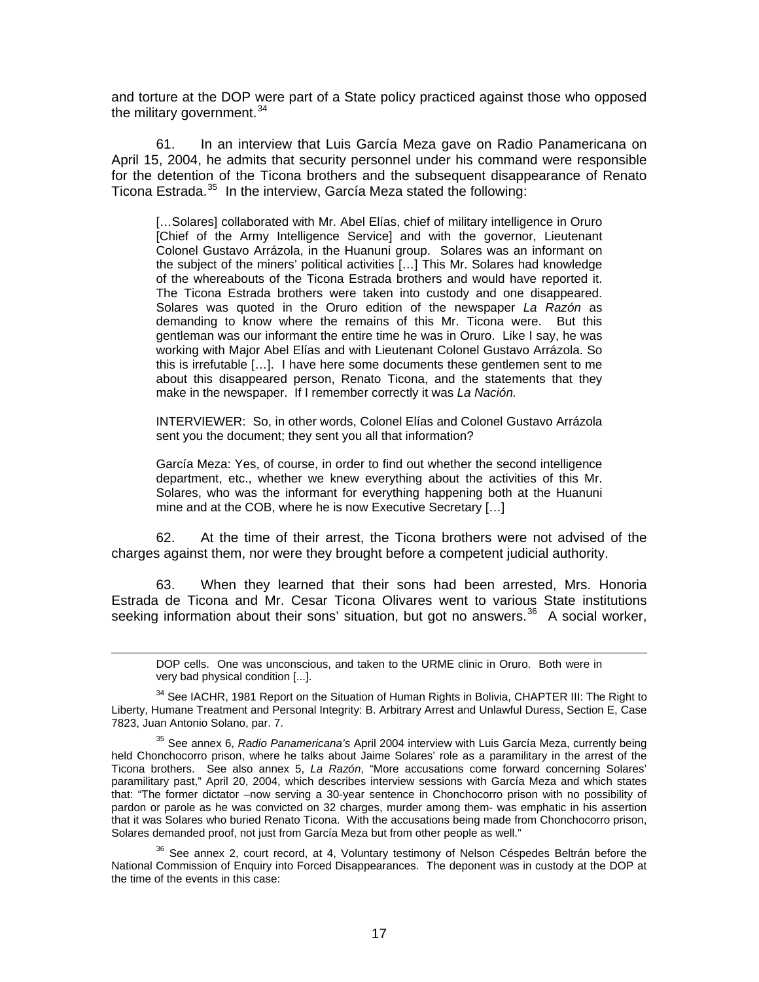and torture at the DOP were part of a State policy practiced against those who opposed the military government.  $34$ 

61. In an interview that Luis García Meza gave on Radio Panamericana on April 15, 2004, he admits that security personnel under his command were responsible for the detention of the Ticona brothers and the subsequent disappearance of Renato Ticona Estrada.<sup>[35](#page-16-1)</sup> In the interview, García Meza stated the following:

[…Solares] collaborated with Mr. Abel Elías, chief of military intelligence in Oruro [Chief of the Army Intelligence Service] and with the governor, Lieutenant Colonel Gustavo Arrázola, in the Huanuni group. Solares was an informant on the subject of the miners' political activities […] This Mr. Solares had knowledge of the whereabouts of the Ticona Estrada brothers and would have reported it. The Ticona Estrada brothers were taken into custody and one disappeared. Solares was quoted in the Oruro edition of the newspaper *La Razón* as demanding to know where the remains of this Mr. Ticona were. But this gentleman was our informant the entire time he was in Oruro. Like I say, he was working with Major Abel Elías and with Lieutenant Colonel Gustavo Arrázola. So this is irrefutable […]. I have here some documents these gentlemen sent to me about this disappeared person, Renato Ticona, and the statements that they make in the newspaper. If I remember correctly it was *La Nación.*

INTERVIEWER: So, in other words, Colonel Elías and Colonel Gustavo Arrázola sent you the document; they sent you all that information?

García Meza: Yes, of course, in order to find out whether the second intelligence department, etc., whether we knew everything about the activities of this Mr. Solares, who was the informant for everything happening both at the Huanuni mine and at the COB, where he is now Executive Secretary […]

62. At the time of their arrest, the Ticona brothers were not advised of the charges against them, nor were they brought before a competent judicial authority.

63. When they learned that their sons had been arrested, Mrs. Honoria Estrada de Ticona and Mr. Cesar Ticona Olivares went to various State institutions seeking information about their sons' situation, but got no answers.<sup>[36](#page-16-2)</sup> A social worker,

DOP cells. One was unconscious, and taken to the URME clinic in Oruro. Both were in very bad physical condition [...].

l

<span id="page-16-0"></span><sup>34</sup> See IACHR, 1981 Report on the Situation of Human Rights in Bolivia, CHAPTER III: The Right to Liberty, Humane Treatment and Personal Integrity: B. Arbitrary Arrest and Unlawful Duress, Section E, Case 7823, Juan Antonio Solano, par. 7.

<span id="page-16-1"></span>35 See annex 6, *Radio Panamericana's* April 2004 interview with Luis García Meza, currently being held Chonchocorro prison, where he talks about Jaime Solares' role as a paramilitary in the arrest of the Ticona brothers. See also annex 5, *La Razón*, "More accusations come forward concerning Solares' paramilitary past," April 20, 2004, which describes interview sessions with García Meza and which states that: "The former dictator –now serving a 30-year sentence in Chonchocorro prison with no possibility of pardon or parole as he was convicted on 32 charges, murder among them- was emphatic in his assertion that it was Solares who buried Renato Ticona. With the accusations being made from Chonchocorro prison, Solares demanded proof, not just from García Meza but from other people as well."

<span id="page-16-2"></span> $36$  See annex 2, court record, at 4, Voluntary testimony of Nelson Céspedes Beltrán before the National Commission of Enquiry into Forced Disappearances. The deponent was in custody at the DOP at the time of the events in this case: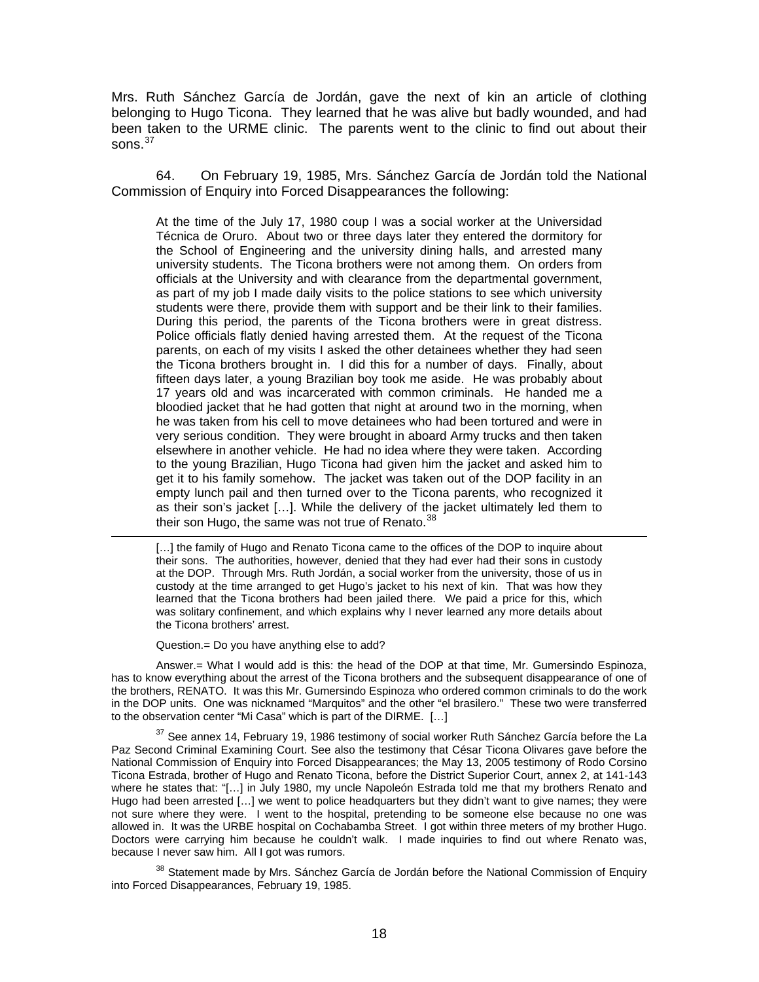Mrs. Ruth Sánchez García de Jordán, gave the next of kin an article of clothing belonging to Hugo Ticona. They learned that he was alive but badly wounded, and had been taken to the URME clinic. The parents went to the clinic to find out about their sons.<sup>[37](#page-17-0)</sup>

64. On February 19, 1985, Mrs. Sánchez García de Jordán told the National Commission of Enquiry into Forced Disappearances the following:

At the time of the July 17, 1980 coup I was a social worker at the Universidad Técnica de Oruro. About two or three days later they entered the dormitory for the School of Engineering and the university dining halls, and arrested many university students. The Ticona brothers were not among them. On orders from officials at the University and with clearance from the departmental government, as part of my job I made daily visits to the police stations to see which university students were there, provide them with support and be their link to their families. During this period, the parents of the Ticona brothers were in great distress. Police officials flatly denied having arrested them. At the request of the Ticona parents, on each of my visits I asked the other detainees whether they had seen the Ticona brothers brought in. I did this for a number of days. Finally, about fifteen days later, a young Brazilian boy took me aside. He was probably about 17 years old and was incarcerated with common criminals. He handed me a bloodied jacket that he had gotten that night at around two in the morning, when he was taken from his cell to move detainees who had been tortured and were in very serious condition. They were brought in aboard Army trucks and then taken elsewhere in another vehicle. He had no idea where they were taken. According to the young Brazilian, Hugo Ticona had given him the jacket and asked him to get it to his family somehow. The jacket was taken out of the DOP facility in an empty lunch pail and then turned over to the Ticona parents, who recognized it as their son's jacket […]. While the delivery of the jacket ultimately led them to their son Hugo, the same was not true of Renato.<sup>[38](#page-17-1)</sup>

[...] the family of Hugo and Renato Ticona came to the offices of the DOP to inquire about their sons. The authorities, however, denied that they had ever had their sons in custody at the DOP. Through Mrs. Ruth Jordán, a social worker from the university, those of us in custody at the time arranged to get Hugo's jacket to his next of kin. That was how they learned that the Ticona brothers had been jailed there. We paid a price for this, which was solitary confinement, and which explains why I never learned any more details about the Ticona brothers' arrest.

Question.= Do you have anything else to add?

Answer.= What I would add is this: the head of the DOP at that time, Mr. Gumersindo Espinoza, has to know everything about the arrest of the Ticona brothers and the subsequent disappearance of one of the brothers, RENATO. It was this Mr. Gumersindo Espinoza who ordered common criminals to do the work in the DOP units. One was nicknamed "Marquitos" and the other "el brasilero." These two were transferred to the observation center "Mi Casa" which is part of the DIRME. […]

<span id="page-17-0"></span> $37$  See annex 14, February 19, 1986 testimony of social worker Ruth Sánchez García before the La Paz Second Criminal Examining Court. See also the testimony that César Ticona Olivares gave before the National Commission of Enquiry into Forced Disappearances; the May 13, 2005 testimony of Rodo Corsino Ticona Estrada, brother of Hugo and Renato Ticona, before the District Superior Court, annex 2, at 141-143 where he states that: "[…] in July 1980, my uncle Napoleón Estrada told me that my brothers Renato and Hugo had been arrested […] we went to police headquarters but they didn't want to give names; they were not sure where they were. I went to the hospital, pretending to be someone else because no one was allowed in. It was the URBE hospital on Cochabamba Street. I got within three meters of my brother Hugo. Doctors were carrying him because he couldn't walk. I made inquiries to find out where Renato was, because I never saw him. All I got was rumors.

<span id="page-17-1"></span><sup>38</sup> Statement made by Mrs. Sánchez García de Jordán before the National Commission of Enquiry into Forced Disappearances, February 19, 1985.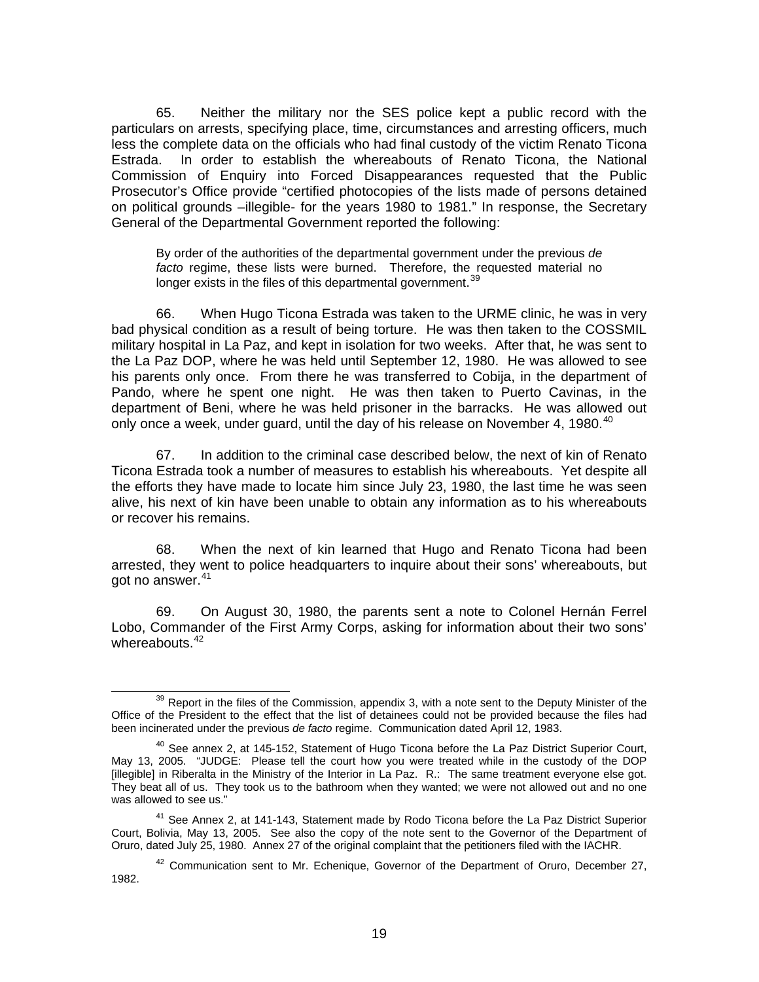65. Neither the military nor the SES police kept a public record with the particulars on arrests, specifying place, time, circumstances and arresting officers, much less the complete data on the officials who had final custody of the victim Renato Ticona Estrada. In order to establish the whereabouts of Renato Ticona, the National Commission of Enquiry into Forced Disappearances requested that the Public Prosecutor's Office provide "certified photocopies of the lists made of persons detained on political grounds –illegible- for the years 1980 to 1981." In response, the Secretary General of the Departmental Government reported the following:

By order of the authorities of the departmental government under the previous *de facto* regime, these lists were burned. Therefore, the requested material no longer exists in the files of this departmental government.<sup>[39](#page-18-0)</sup>

66. When Hugo Ticona Estrada was taken to the URME clinic, he was in very bad physical condition as a result of being torture. He was then taken to the COSSMIL military hospital in La Paz, and kept in isolation for two weeks. After that, he was sent to the La Paz DOP, where he was held until September 12, 1980. He was allowed to see his parents only once. From there he was transferred to Cobija, in the department of Pando, where he spent one night. He was then taken to Puerto Cavinas, in the department of Beni, where he was held prisoner in the barracks. He was allowed out only once a week, under guard, until the day of his release on November 4, 1980.<sup>[40](#page-18-1)</sup>

67. In addition to the criminal case described below, the next of kin of Renato Ticona Estrada took a number of measures to establish his whereabouts. Yet despite all the efforts they have made to locate him since July 23, 1980, the last time he was seen alive, his next of kin have been unable to obtain any information as to his whereabouts or recover his remains.

68. When the next of kin learned that Hugo and Renato Ticona had been arrested, they went to police headquarters to inquire about their sons' whereabouts, but got no answer.<sup>[41](#page-18-2)</sup>

69. On August 30, 1980, the parents sent a note to Colonel Hernán Ferrel Lobo, Commander of the First Army Corps, asking for information about their two sons' whereabouts.<sup>[42](#page-18-3)</sup>

<span id="page-18-0"></span> $39$  Report in the files of the Commission, appendix 3, with a note sent to the Deputy Minister of the Office of the President to the effect that the list of detainees could not be provided because the files had been incinerated under the previous *de facto* regime. Communication dated April 12, 1983.

<span id="page-18-1"></span> $40$  See annex 2, at 145-152, Statement of Hugo Ticona before the La Paz District Superior Court, May 13, 2005. "JUDGE: Please tell the court how you were treated while in the custody of the DOP [illegible] in Riberalta in the Ministry of the Interior in La Paz. R.: The same treatment everyone else got. They beat all of us. They took us to the bathroom when they wanted; we were not allowed out and no one was allowed to see us."

<span id="page-18-2"></span><sup>&</sup>lt;sup>41</sup> See Annex 2, at 141-143, Statement made by Rodo Ticona before the La Paz District Superior Court, Bolivia, May 13, 2005. See also the copy of the note sent to the Governor of the Department of Oruro, dated July 25, 1980. Annex 27 of the original complaint that the petitioners filed with the IACHR.

<span id="page-18-3"></span> $42$  Communication sent to Mr. Echenique, Governor of the Department of Oruro, December 27, 1982.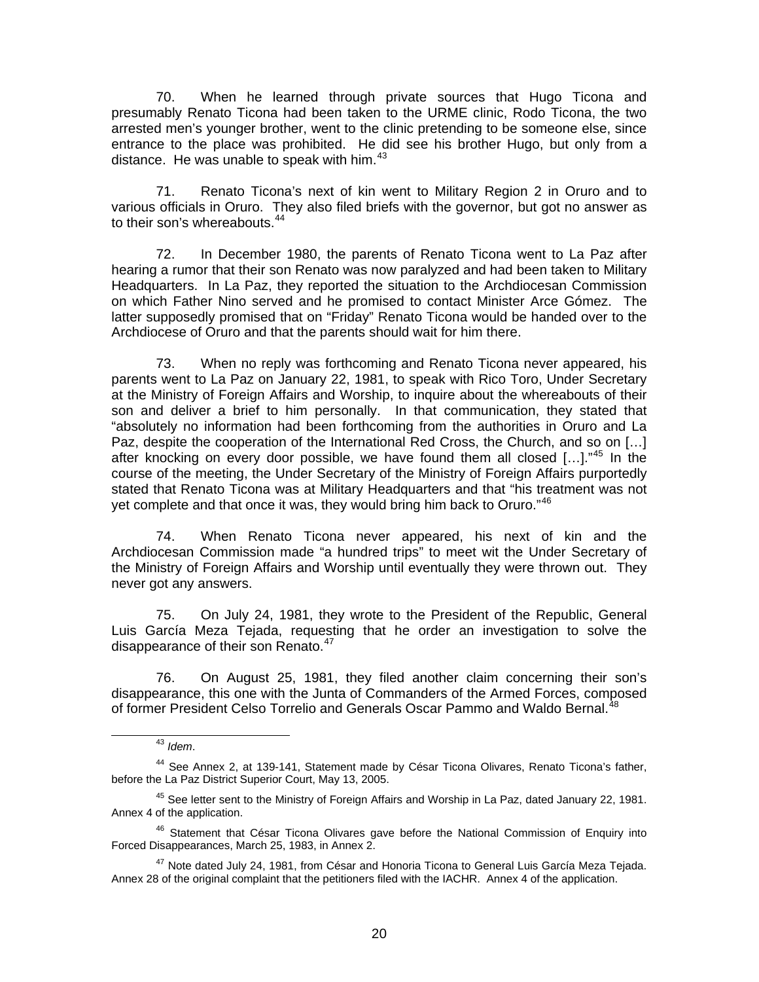70. When he learned through private sources that Hugo Ticona and presumably Renato Ticona had been taken to the URME clinic, Rodo Ticona, the two arrested men's younger brother, went to the clinic pretending to be someone else, since entrance to the place was prohibited. He did see his brother Hugo, but only from a distance. He was unable to speak with him.<sup>[43](#page-19-0)</sup>

71. Renato Ticona's next of kin went to Military Region 2 in Oruro and to various officials in Oruro. They also filed briefs with the governor, but got no answer as to their son's whereabouts.<sup>[44](#page-19-1)</sup>

72. In December 1980, the parents of Renato Ticona went to La Paz after hearing a rumor that their son Renato was now paralyzed and had been taken to Military Headquarters. In La Paz, they reported the situation to the Archdiocesan Commission on which Father Nino served and he promised to contact Minister Arce Gómez. The latter supposedly promised that on "Friday" Renato Ticona would be handed over to the Archdiocese of Oruro and that the parents should wait for him there.

73. When no reply was forthcoming and Renato Ticona never appeared, his parents went to La Paz on January 22, 1981, to speak with Rico Toro, Under Secretary at the Ministry of Foreign Affairs and Worship, to inquire about the whereabouts of their son and deliver a brief to him personally. In that communication, they stated that "absolutely no information had been forthcoming from the authorities in Oruro and La Paz, despite the cooperation of the International Red Cross, the Church, and so on […] after knocking on every door possible, we have found them all closed [...]."<sup>[45](#page-19-2)</sup> In the course of the meeting, the Under Secretary of the Ministry of Foreign Affairs purportedly stated that Renato Ticona was at Military Headquarters and that "his treatment was not yet complete and that once it was, they would bring him back to Oruro."<sup>[46](#page-19-3)</sup>

74. When Renato Ticona never appeared, his next of kin and the Archdiocesan Commission made "a hundred trips" to meet wit the Under Secretary of the Ministry of Foreign Affairs and Worship until eventually they were thrown out. They never got any answers.

75. On July 24, 1981, they wrote to the President of the Republic, General Luis García Meza Tejada, requesting that he order an investigation to solve the disappearance of their son Renato.<sup>[47](#page-19-4)</sup>

<span id="page-19-5"></span>76. On August 25, 1981, they filed another claim concerning their son's disappearance, this one with the Junta of Commanders of the Armed Forces, composed of former President Celso Torrelio and Generals Oscar Pammo and Waldo Bernal.<sup>[48](#page-19-5)</sup>

 <sup>43</sup> *Idem*.

<span id="page-19-1"></span><span id="page-19-0"></span><sup>44</sup> See Annex 2, at 139-141, Statement made by César Ticona Olivares, Renato Ticona's father, before the La Paz District Superior Court, May 13, 2005.

<span id="page-19-2"></span><sup>45</sup> See letter sent to the Ministry of Foreign Affairs and Worship in La Paz, dated January 22, 1981. Annex 4 of the application.

<span id="page-19-3"></span><sup>&</sup>lt;sup>46</sup> Statement that César Ticona Olivares gave before the National Commission of Enquiry into Forced Disappearances, March 25, 1983, in Annex 2.

<span id="page-19-4"></span><sup>&</sup>lt;sup>47</sup> Note dated July 24, 1981, from César and Honoria Ticona to General Luis García Meza Tejada. Annex 28 of the original complaint that the petitioners filed with the IACHR. Annex 4 of the application.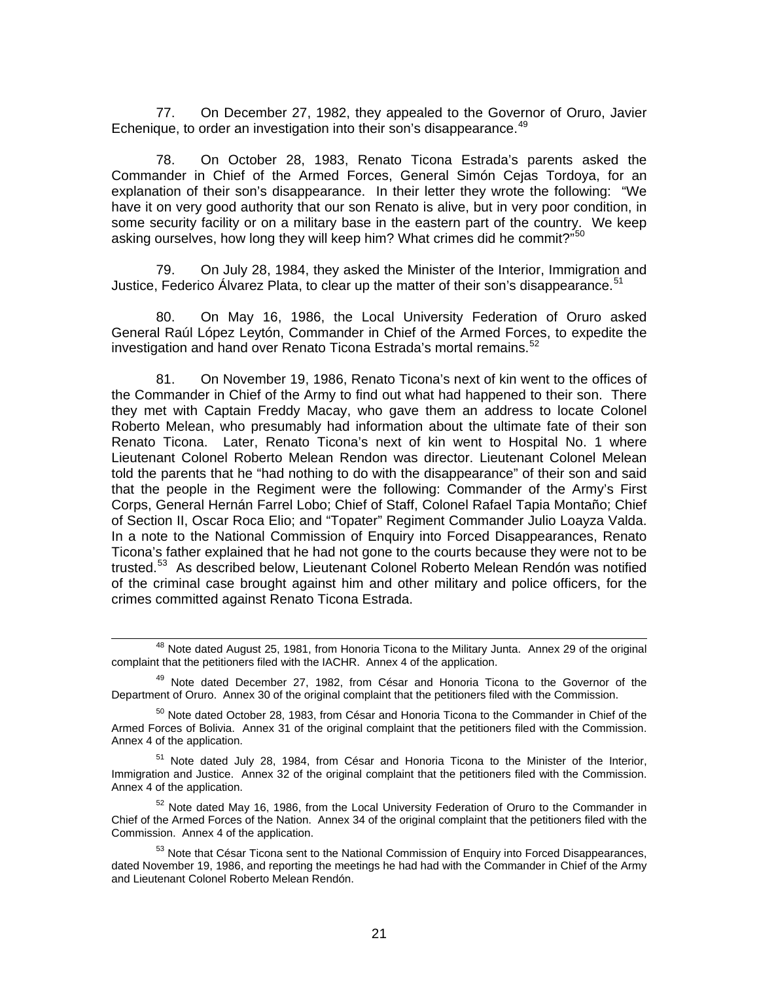77. On December 27, 1982, they appealed to the Governor of Oruro, Javier Echenique, to order an investigation into their son's disappearance.<sup>[49](#page-20-0)</sup>

78. On October 28, 1983, Renato Ticona Estrada's parents asked the Commander in Chief of the Armed Forces, General Simón Cejas Tordoya, for an explanation of their son's disappearance. In their letter they wrote the following: "We have it on very good authority that our son Renato is alive, but in very poor condition, in some security facility or on a military base in the eastern part of the country. We keep asking ourselves, how long they will keep him? What crimes did he commit?"<sup>[50](#page-20-1)</sup>

79. On July 28, 1984, they asked the Minister of the Interior, Immigration and Justice, Federico Álvarez Plata, to clear up the matter of their son's disappearance.  $51$ 

80. On May 16, 1986, the Local University Federation of Oruro asked General Raúl López Leytón, Commander in Chief of the Armed Forces, to expedite the investigation and hand over Renato Ticona Estrada's mortal remains.<sup>[52](#page-20-3)</sup>

81. On November 19, 1986, Renato Ticona's next of kin went to the offices of the Commander in Chief of the Army to find out what had happened to their son. There they met with Captain Freddy Macay, who gave them an address to locate Colonel Roberto Melean, who presumably had information about the ultimate fate of their son Renato Ticona. Later, Renato Ticona's next of kin went to Hospital No. 1 where Lieutenant Colonel Roberto Melean Rendon was director. Lieutenant Colonel Melean told the parents that he "had nothing to do with the disappearance" of their son and said that the people in the Regiment were the following: Commander of the Army's First Corps, General Hernán Farrel Lobo; Chief of Staff, Colonel Rafael Tapia Montaño; Chief of Section II, Oscar Roca Elio; and "Topater" Regiment Commander Julio Loayza Valda. In a note to the National Commission of Enquiry into Forced Disappearances, Renato Ticona's father explained that he had not gone to the courts because they were not to be trusted.<sup>[53](#page-20-4)</sup> As described below, Lieutenant Colonel Roberto Melean Rendón was notified of the criminal case brought against him and other military and police officers, for the crimes committed against Renato Ticona Estrada.

<span id="page-20-2"></span><sup>51</sup> Note dated July 28, 1984, from César and Honoria Ticona to the Minister of the Interior, Immigration and Justice. Annex 32 of the original complaint that the petitioners filed with the Commission. Annex 4 of the application.

<span id="page-20-3"></span> $52$  Note dated May 16, 1986, from the Local University Federation of Oruro to the Commander in Chief of the Armed Forces of the Nation. Annex 34 of the original complaint that the petitioners filed with the Commission. Annex 4 of the application.

<sup>&</sup>lt;sup>48</sup> Note dated August 25, 1981, from Honoria Ticona to the Military Junta. Annex 29 of the original complaint that the petitioners filed with the IACHR. Annex 4 of the application.

<span id="page-20-0"></span><sup>&</sup>lt;sup>49</sup> Note dated December 27, 1982, from César and Honoria Ticona to the Governor of the Department of Oruro. Annex 30 of the original complaint that the petitioners filed with the Commission.

<span id="page-20-1"></span><sup>&</sup>lt;sup>50</sup> Note dated October 28, 1983, from César and Honoria Ticona to the Commander in Chief of the Armed Forces of Bolivia. Annex 31 of the original complaint that the petitioners filed with the Commission. Annex 4 of the application.

<span id="page-20-4"></span><sup>&</sup>lt;sup>53</sup> Note that César Ticona sent to the National Commission of Enquiry into Forced Disappearances, dated November 19, 1986, and reporting the meetings he had had with the Commander in Chief of the Army and Lieutenant Colonel Roberto Melean Rendón.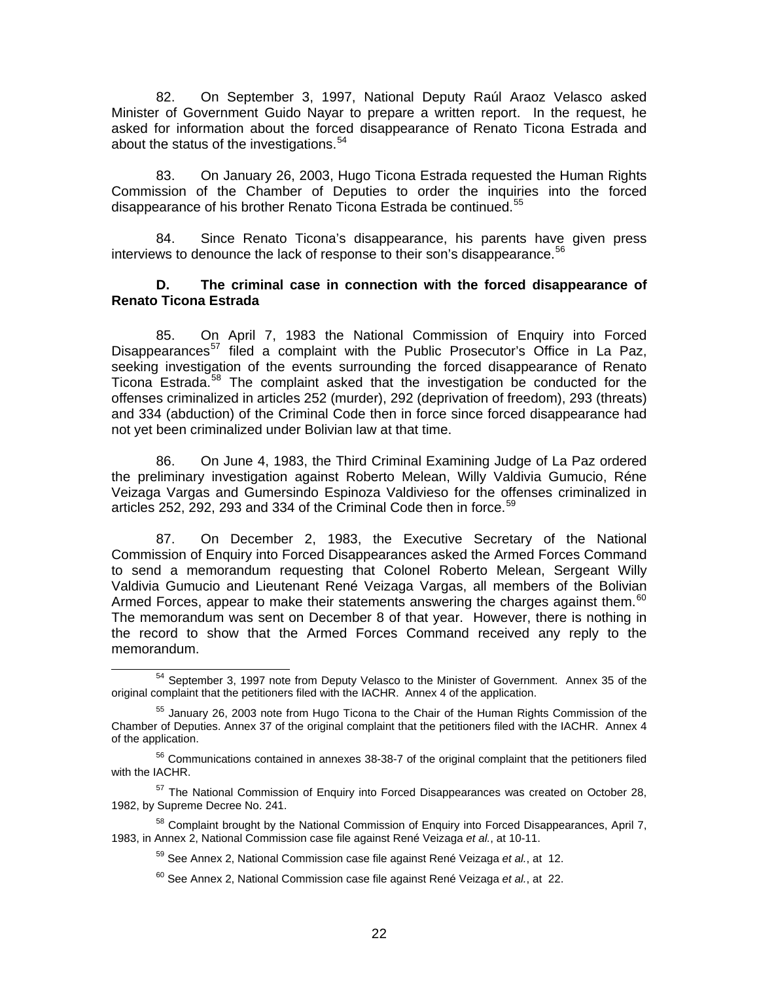82. On September 3, 1997, National Deputy Raúl Araoz Velasco asked Minister of Government Guido Nayar to prepare a written report. In the request, he asked for information about the forced disappearance of Renato Ticona Estrada and about the status of the investigations.<sup>[54](#page-21-0)</sup>

83. On January 26, 2003, Hugo Ticona Estrada requested the Human Rights Commission of the Chamber of Deputies to order the inquiries into the forced disappearance of his brother Renato Ticona Estrada be continued.<sup>[55](#page-21-1)</sup>

84. Since Renato Ticona's disappearance, his parents have given press interviews to denounce the lack of response to their son's disappearance.<sup>[56](#page-21-2)</sup>

#### **D. The criminal case in connection with the forced disappearance of Renato Ticona Estrada**

85. On April 7, 1983 the National Commission of Enquiry into Forced Disappearances<sup>[57](#page-21-3)</sup> filed a complaint with the Public Prosecutor's Office in La Paz, seeking investigation of the events surrounding the forced disappearance of Renato Ticona Estrada.<sup>[58](#page-21-4)</sup> The complaint asked that the investigation be conducted for the offenses criminalized in articles 252 (murder), 292 (deprivation of freedom), 293 (threats) and 334 (abduction) of the Criminal Code then in force since forced disappearance had not yet been criminalized under Bolivian law at that time.

86. On June 4, 1983, the Third Criminal Examining Judge of La Paz ordered the preliminary investigation against Roberto Melean, Willy Valdivia Gumucio, Réne Veizaga Vargas and Gumersindo Espinoza Valdivieso for the offenses criminalized in articles 252, 292, 293 and 334 of the Criminal Code then in force.<sup>[59](#page-21-5)</sup>

87. On December 2, 1983, the Executive Secretary of the National Commission of Enquiry into Forced Disappearances asked the Armed Forces Command to send a memorandum requesting that Colonel Roberto Melean, Sergeant Willy Valdivia Gumucio and Lieutenant René Veizaga Vargas, all members of the Bolivian Armed Forces, appear to make their statements answering the charges against them.<sup>60</sup> The memorandum was sent on December 8 of that year. However, there is nothing in the record to show that the Armed Forces Command received any reply to the memorandum.

<span id="page-21-0"></span><sup>&</sup>lt;sup>54</sup> September 3, 1997 note from Deputy Velasco to the Minister of Government. Annex 35 of the original complaint that the petitioners filed with the IACHR. Annex 4 of the application.

<span id="page-21-1"></span><sup>&</sup>lt;sup>55</sup> January 26, 2003 note from Hugo Ticona to the Chair of the Human Rights Commission of the Chamber of Deputies. Annex 37 of the original complaint that the petitioners filed with the IACHR. Annex 4 of the application.

<span id="page-21-2"></span><sup>&</sup>lt;sup>56</sup> Communications contained in annexes 38-38-7 of the original complaint that the petitioners filed with the IACHR.

<span id="page-21-3"></span><sup>57</sup> The National Commission of Enquiry into Forced Disappearances was created on October 28, 1982, by Supreme Decree No. 241.

<span id="page-21-6"></span><span id="page-21-5"></span><span id="page-21-4"></span><sup>&</sup>lt;sup>58</sup> Complaint brought by the National Commission of Enquiry into Forced Disappearances, April 7, 1983, in Annex 2, National Commission case file against René Veizaga *et al.*, at 10-11.

<sup>59</sup> See Annex 2, National Commission case file against René Veizaga *et al.*, at 12.

<sup>60</sup> See Annex 2, National Commission case file against René Veizaga *et al.*, at 22.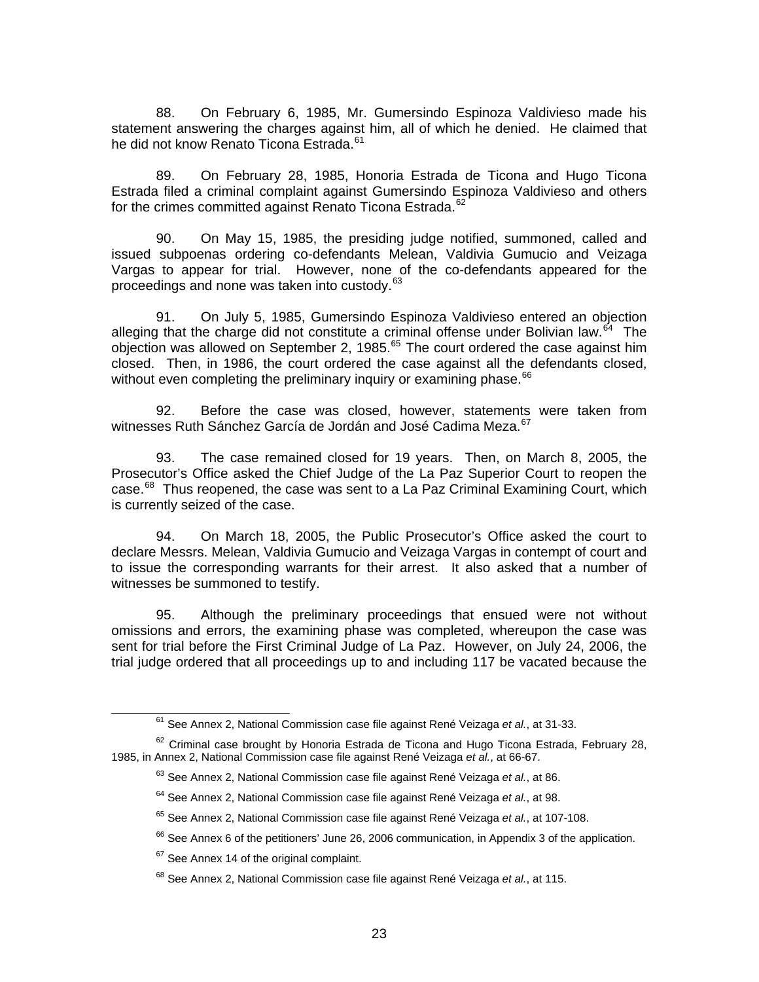88. On February 6, 1985, Mr. Gumersindo Espinoza Valdivieso made his statement answering the charges against him, all of which he denied. He claimed that he did not know Renato Ticona Estrada.<sup>[61](#page-22-0)</sup>

89. On February 28, 1985, Honoria Estrada de Ticona and Hugo Ticona Estrada filed a criminal complaint against Gumersindo Espinoza Valdivieso and others for the crimes committed against Renato Ticona Estrada.<sup>[62](#page-22-1)</sup>

90. On May 15, 1985, the presiding judge notified, summoned, called and issued subpoenas ordering co-defendants Melean, Valdivia Gumucio and Veizaga Vargas to appear for trial. However, none of the co-defendants appeared for the proceedings and none was taken into custody.<sup>[63](#page-22-2)</sup>

91. On July 5, 1985, Gumersindo Espinoza Valdivieso entered an objection alleging that the charge did not constitute a criminal offense under Bolivian law.<sup>[64](#page-22-3)</sup> The objection was allowed on September 2, 1985. $<sup>65</sup>$  $<sup>65</sup>$  $<sup>65</sup>$  The court ordered the case against him</sup> closed. Then, in 1986, the court ordered the case against all the defendants closed, without even completing the preliminary inquiry or examining phase.<sup>[66](#page-22-5)</sup>

92. Before the case was closed, however, statements were taken from witnesses Ruth Sánchez García de Jordán and José Cadima Meza.<sup>[67](#page-22-6)</sup>

93. The case remained closed for 19 years. Then, on March 8, 2005, the Prosecutor's Office asked the Chief Judge of the La Paz Superior Court to reopen the case. $^{68}$  $^{68}$  $^{68}$  Thus reopened, the case was sent to a La Paz Criminal Examining Court, which is currently seized of the case.

94. On March 18, 2005, the Public Prosecutor's Office asked the court to declare Messrs. Melean, Valdivia Gumucio and Veizaga Vargas in contempt of court and to issue the corresponding warrants for their arrest. It also asked that a number of witnesses be summoned to testify.

95. Although the preliminary proceedings that ensued were not without omissions and errors, the examining phase was completed, whereupon the case was sent for trial before the First Criminal Judge of La Paz. However, on July 24, 2006, the trial judge ordered that all proceedings up to and including 117 be vacated because the

 <sup>61</sup> See Annex 2, National Commission case file against René Veizaga *et al.*, at 31-33.

<span id="page-22-5"></span><span id="page-22-4"></span><span id="page-22-3"></span><span id="page-22-2"></span><span id="page-22-1"></span><span id="page-22-0"></span> $62$  Criminal case brought by Honoria Estrada de Ticona and Hugo Ticona Estrada, February 28, 1985, in Annex 2, National Commission case file against René Veizaga *et al.*, at 66-67.

<sup>63</sup> See Annex 2, National Commission case file against René Veizaga *et al.*, at 86.

<sup>64</sup> See Annex 2, National Commission case file against René Veizaga *et al.*, at 98.

<sup>65</sup> See Annex 2, National Commission case file against René Veizaga *et al.*, at 107-108.

 $66$  See Annex 6 of the petitioners' June 26, 2006 communication, in Appendix 3 of the application.

<span id="page-22-6"></span> $67$  See Annex 14 of the original complaint.

<span id="page-22-7"></span><sup>68</sup> See Annex 2, National Commission case file against René Veizaga *et al.*, at 115.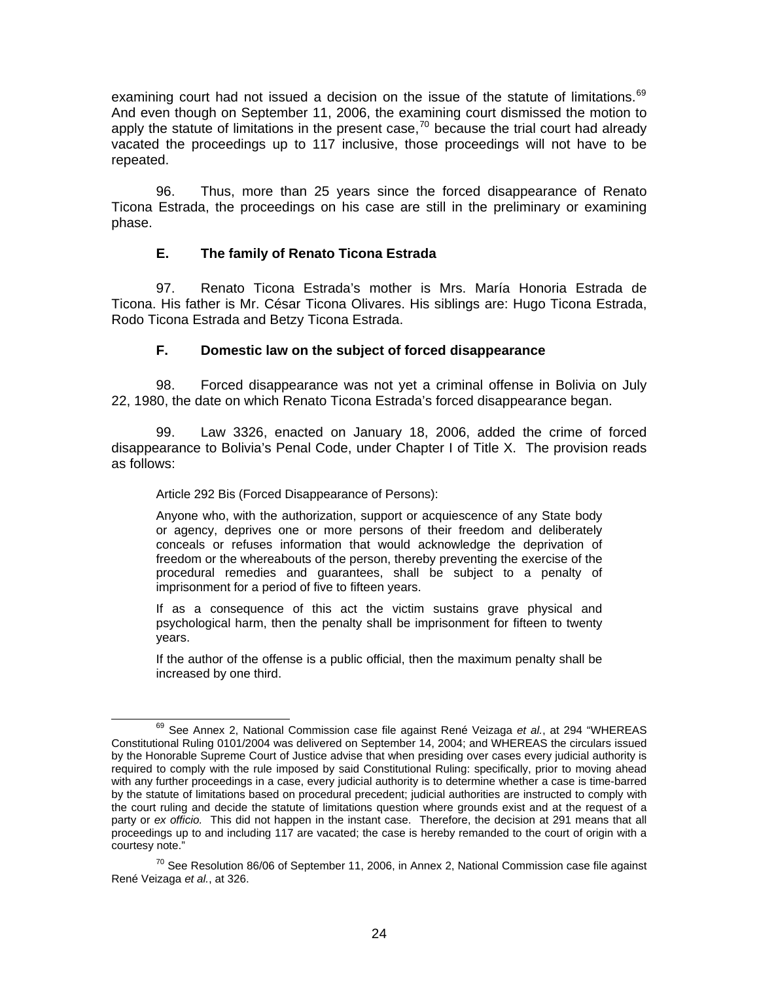examining court had not issued a decision on the issue of the statute of limitations. $69$ And even though on September 11, 2006, the examining court dismissed the motion to apply the statute of limitations in the present case,  $70$  because the trial court had already vacated the proceedings up to 117 inclusive, those proceedings will not have to be repeated.

96. Thus, more than 25 years since the forced disappearance of Renato Ticona Estrada, the proceedings on his case are still in the preliminary or examining phase.

### **E. The family of Renato Ticona Estrada**

97. Renato Ticona Estrada's mother is Mrs. María Honoria Estrada de Ticona. His father is Mr. César Ticona Olivares. His siblings are: Hugo Ticona Estrada, Rodo Ticona Estrada and Betzy Ticona Estrada.

### **F. Domestic law on the subject of forced disappearance**

98. Forced disappearance was not yet a criminal offense in Bolivia on July 22, 1980, the date on which Renato Ticona Estrada's forced disappearance began.

99. Law 3326, enacted on January 18, 2006, added the crime of forced disappearance to Bolivia's Penal Code, under Chapter I of Title X. The provision reads as follows:

Article 292 Bis (Forced Disappearance of Persons):

Anyone who, with the authorization, support or acquiescence of any State body or agency, deprives one or more persons of their freedom and deliberately conceals or refuses information that would acknowledge the deprivation of freedom or the whereabouts of the person, thereby preventing the exercise of the procedural remedies and guarantees, shall be subject to a penalty of imprisonment for a period of five to fifteen years.

If as a consequence of this act the victim sustains grave physical and psychological harm, then the penalty shall be imprisonment for fifteen to twenty years.

If the author of the offense is a public official, then the maximum penalty shall be increased by one third.

<span id="page-23-0"></span> <sup>69</sup> See Annex 2, National Commission case file against René Veizaga *et al.*, at 294 "WHEREAS Constitutional Ruling 0101/2004 was delivered on September 14, 2004; and WHEREAS the circulars issued by the Honorable Supreme Court of Justice advise that when presiding over cases every judicial authority is required to comply with the rule imposed by said Constitutional Ruling: specifically, prior to moving ahead with any further proceedings in a case, every judicial authority is to determine whether a case is time-barred by the statute of limitations based on procedural precedent; judicial authorities are instructed to comply with the court ruling and decide the statute of limitations question where grounds exist and at the request of a party or *ex officio.* This did not happen in the instant case. Therefore, the decision at 291 means that all proceedings up to and including 117 are vacated; the case is hereby remanded to the court of origin with a courtesy note."

<span id="page-23-1"></span> $^{70}$  See Resolution 86/06 of September 11, 2006, in Annex 2, National Commission case file against René Veizaga *et al.*, at 326.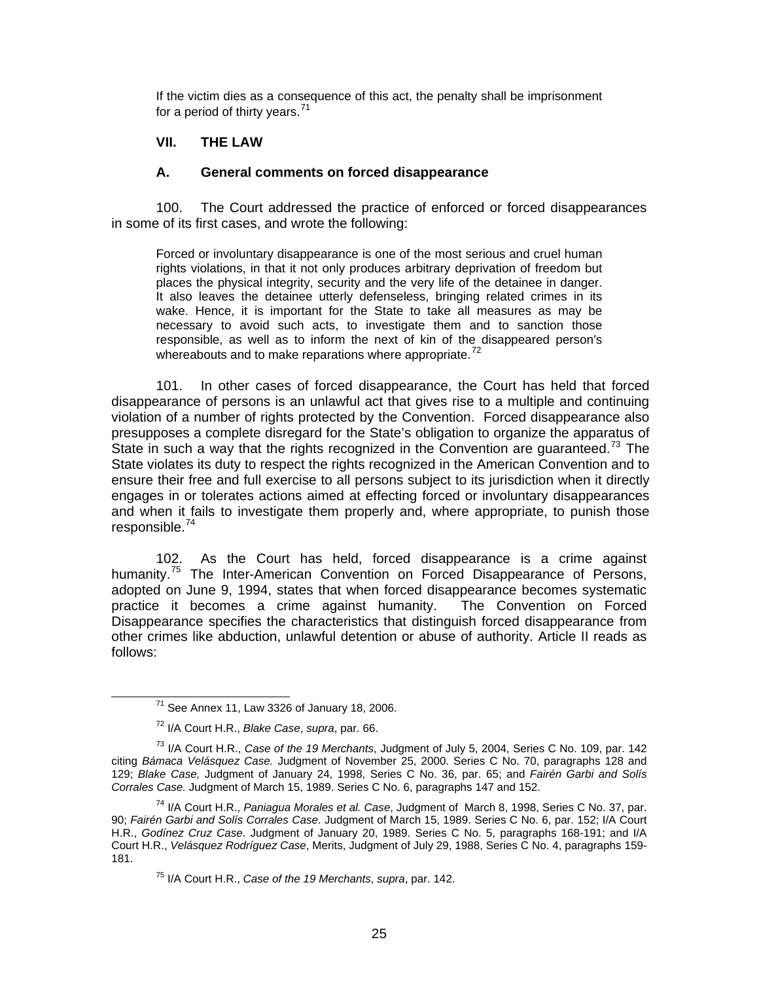If the victim dies as a consequence of this act, the penalty shall be imprisonment for a period of thirty years. $71$ 

### **VII. THE LAW**

#### **A. General comments on forced disappearance**

100. The Court addressed the practice of enforced or forced disappearances in some of its first cases, and wrote the following:

Forced or involuntary disappearance is one of the most serious and cruel human rights violations, in that it not only produces arbitrary deprivation of freedom but places the physical integrity, security and the very life of the detainee in danger. It also leaves the detainee utterly defenseless, bringing related crimes in its wake. Hence, it is important for the State to take all measures as may be necessary to avoid such acts, to investigate them and to sanction those responsible, as well as to inform the next of kin of the disappeared person's whereabouts and to make reparations where appropriate. $72$ 

101. In other cases of forced disappearance, the Court has held that forced disappearance of persons is an unlawful act that gives rise to a multiple and continuing violation of a number of rights protected by the Convention. Forced disappearance also presupposes a complete disregard for the State's obligation to organize the apparatus of State in such a way that the rights recognized in the Convention are guaranteed.<sup>[73](#page-24-2)</sup> The State violates its duty to respect the rights recognized in the American Convention and to ensure their free and full exercise to all persons subject to its jurisdiction when it directly engages in or tolerates actions aimed at effecting forced or involuntary disappearances and when it fails to investigate them properly and, where appropriate, to punish those responsible.[74](#page-24-3)

102. As the Court has held, forced disappearance is a crime against humanity.<sup>[75](#page-24-4)</sup> The Inter-American Convention on Forced Disappearance of Persons, adopted on June 9, 1994, states that when forced disappearance becomes systematic practice it becomes a crime against humanity. The Convention on Forced Disappearance specifies the characteristics that distinguish forced disappearance from other crimes like abduction, unlawful detention or abuse of authority. Article II reads as follows:

 $71$  See Annex 11, Law 3326 of January 18, 2006.

<sup>72</sup> I/A Court H.R., *Blake Case*, *supra*, par. 66.

<span id="page-24-2"></span><span id="page-24-1"></span><span id="page-24-0"></span><sup>73</sup> I/A Court H.R., *Case of the 19 Merchants*, Judgment of July 5, 2004, Series C No. 109, par. 142 citing *Bámaca Velásquez Case.* Judgment of November 25, 2000. Series C No. 70, paragraphs 128 and 129; *Blake Case,* Judgment of January 24, 1998, Series C No. 36, par. 65; and *Fairén Garbi and Solís Corrales Case.* Judgment of March 15, 1989. Series C No. 6, paragraphs 147 and 152.

<span id="page-24-4"></span><span id="page-24-3"></span><sup>74</sup> I/A Court H.R., *Paniagua Morales et al. Case*, Judgment of March 8, 1998, Series C No. 37, par. 90; *Fairén Garbi and Solís Corrales Case*. Judgment of March 15, 1989. Series C No. 6, par. 152; I/A Court H.R., *Godínez Cruz Case*. Judgment of January 20, 1989. Series C No. 5, paragraphs 168-191; and I/A Court H.R., *Velásquez Rodríguez Case*, Merits, Judgment of July 29, 1988, Series C No. 4, paragraphs 159- 181.

<sup>75</sup> I/A Court H.R., *Case of the 19 Merchants*, *supra*, par. 142.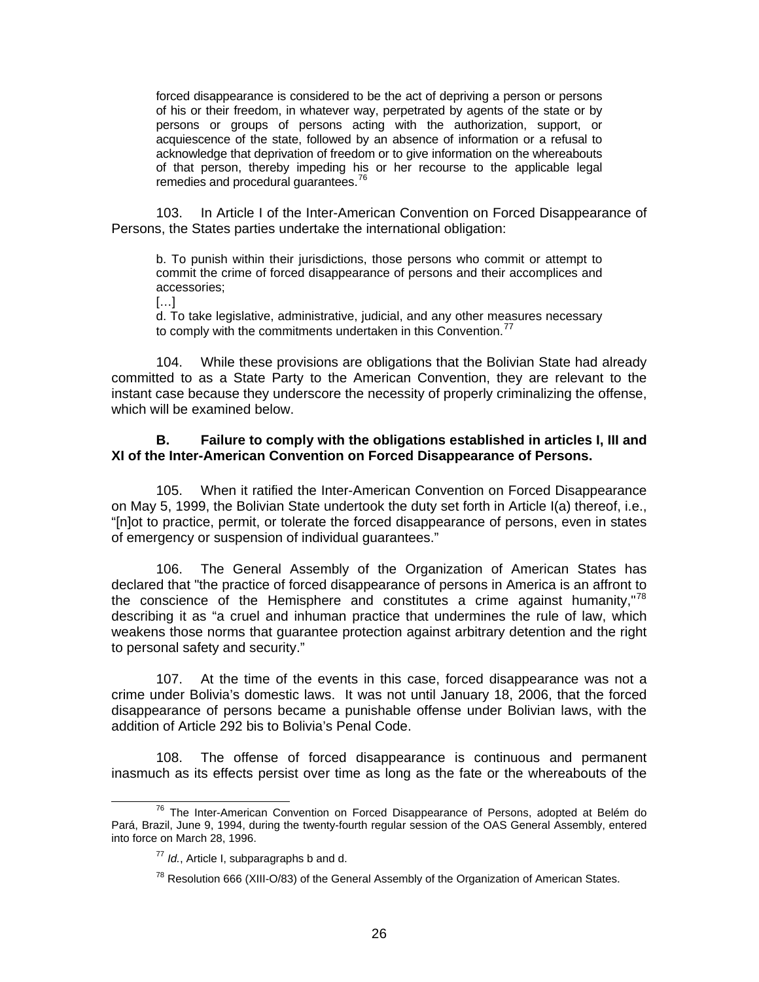forced disappearance is considered to be the act of depriving a person or persons of his or their freedom, in whatever way, perpetrated by agents of the state or by persons or groups of persons acting with the authorization, support, or acquiescence of the state, followed by an absence of information or a refusal to acknowledge that deprivation of freedom or to give information on the whereabouts of that person, thereby impeding his or her recourse to the applicable legal remedies and procedural guarantees.<sup>[76](#page-25-0)</sup>

103. In Article I of the Inter-American Convention on Forced Disappearance of Persons, the States parties undertake the international obligation:

b. To punish within their jurisdictions, those persons who commit or attempt to commit the crime of forced disappearance of persons and their accomplices and accessories;

 $[...]$ 

d. To take legislative, administrative, judicial, and any other measures necessary to comply with the commitments undertaken in this Convention.<sup>[77](#page-25-1)</sup>

104. While these provisions are obligations that the Bolivian State had already committed to as a State Party to the American Convention, they are relevant to the instant case because they underscore the necessity of properly criminalizing the offense, which will be examined below.

### **B. Failure to comply with the obligations established in articles I, III and XI of the Inter-American Convention on Forced Disappearance of Persons.**

105. When it ratified the Inter-American Convention on Forced Disappearance on May 5, 1999, the Bolivian State undertook the duty set forth in Article I(a) thereof, i.e., "[n]ot to practice, permit, or tolerate the forced disappearance of persons, even in states of emergency or suspension of individual guarantees."

106. The General Assembly of the Organization of American States has declared that "the practice of forced disappearance of persons in America is an affront to the conscience of the Hemisphere and constitutes a crime against humanity," $78$ describing it as "a cruel and inhuman practice that undermines the rule of law, which weakens those norms that guarantee protection against arbitrary detention and the right to personal safety and security."

107. At the time of the events in this case, forced disappearance was not a crime under Bolivia's domestic laws. It was not until January 18, 2006, that the forced disappearance of persons became a punishable offense under Bolivian laws, with the addition of Article 292 bis to Bolivia's Penal Code.

108. The offense of forced disappearance is continuous and permanent inasmuch as its effects persist over time as long as the fate or the whereabouts of the

<span id="page-25-2"></span><span id="page-25-1"></span><span id="page-25-0"></span><sup>&</sup>lt;sup>76</sup> The Inter-American Convention on Forced Disappearance of Persons, adopted at Belém do Pará, Brazil, June 9, 1994, during the twenty-fourth regular session of the OAS General Assembly, entered into force on March 28, 1996.

<sup>77</sup> *Id.*, Article I, subparagraphs b and d.

 $78$  Resolution 666 (XIII-O/83) of the General Assembly of the Organization of American States.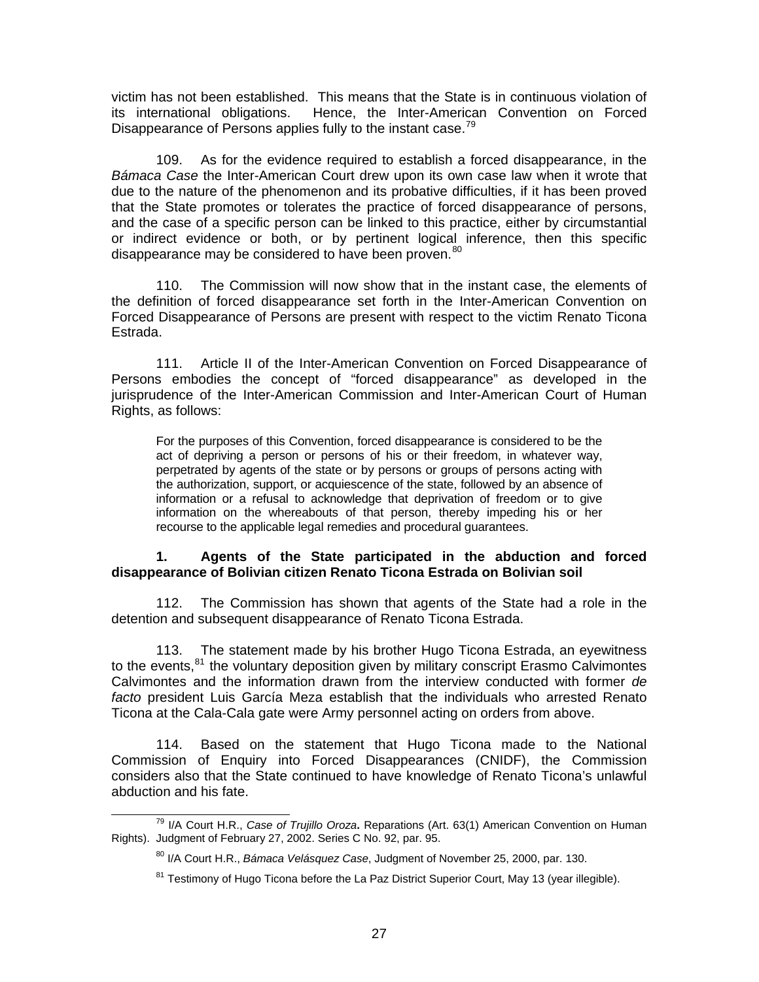victim has not been established. This means that the State is in continuous violation of its international obligations. Hence, the Inter-American Convention on Forced Disappearance of Persons applies fully to the instant case.<sup>[79](#page-26-0)</sup>

109. As for the evidence required to establish a forced disappearance, in the *Bámaca Case* the Inter-American Court drew upon its own case law when it wrote that due to the nature of the phenomenon and its probative difficulties, if it has been proved that the State promotes or tolerates the practice of forced disappearance of persons, and the case of a specific person can be linked to this practice, either by circumstantial or indirect evidence or both, or by pertinent logical inference, then this specific disappearance may be considered to have been proven.<sup>[80](#page-26-1)</sup>

110. The Commission will now show that in the instant case, the elements of the definition of forced disappearance set forth in the Inter-American Convention on Forced Disappearance of Persons are present with respect to the victim Renato Ticona Estrada.

111. Article II of the Inter-American Convention on Forced Disappearance of Persons embodies the concept of "forced disappearance" as developed in the jurisprudence of the Inter-American Commission and Inter-American Court of Human Rights, as follows:

For the purposes of this Convention, forced disappearance is considered to be the act of depriving a person or persons of his or their freedom, in whatever way, perpetrated by agents of the state or by persons or groups of persons acting with the authorization, support, or acquiescence of the state, followed by an absence of information or a refusal to acknowledge that deprivation of freedom or to give information on the whereabouts of that person, thereby impeding his or her recourse to the applicable legal remedies and procedural guarantees.

### **1. Agents of the State participated in the abduction and forced disappearance of Bolivian citizen Renato Ticona Estrada on Bolivian soil**

112. The Commission has shown that agents of the State had a role in the detention and subsequent disappearance of Renato Ticona Estrada.

113. The statement made by his brother Hugo Ticona Estrada, an eyewitness to the events,<sup>[81](#page-26-2)</sup> the voluntary deposition given by military conscript Erasmo Calvimontes Calvimontes and the information drawn from the interview conducted with former *de facto* president Luis García Meza establish that the individuals who arrested Renato Ticona at the Cala-Cala gate were Army personnel acting on orders from above.

114. Based on the statement that Hugo Ticona made to the National Commission of Enquiry into Forced Disappearances (CNIDF), the Commission considers also that the State continued to have knowledge of Renato Ticona's unlawful abduction and his fate.

<span id="page-26-2"></span><span id="page-26-1"></span><span id="page-26-0"></span> <sup>79</sup> I/A Court H.R., *Case of Trujillo Oroza***.** Reparations (Art. 63(1) American Convention on Human Rights). Judgment of February 27, 2002. Series C No. 92, par. 95.

<sup>80</sup> I/A Court H.R., *Bámaca Velásquez Case*, Judgment of November 25, 2000, par. 130.

 $81$  Testimony of Hugo Ticona before the La Paz District Superior Court, May 13 (year illegible).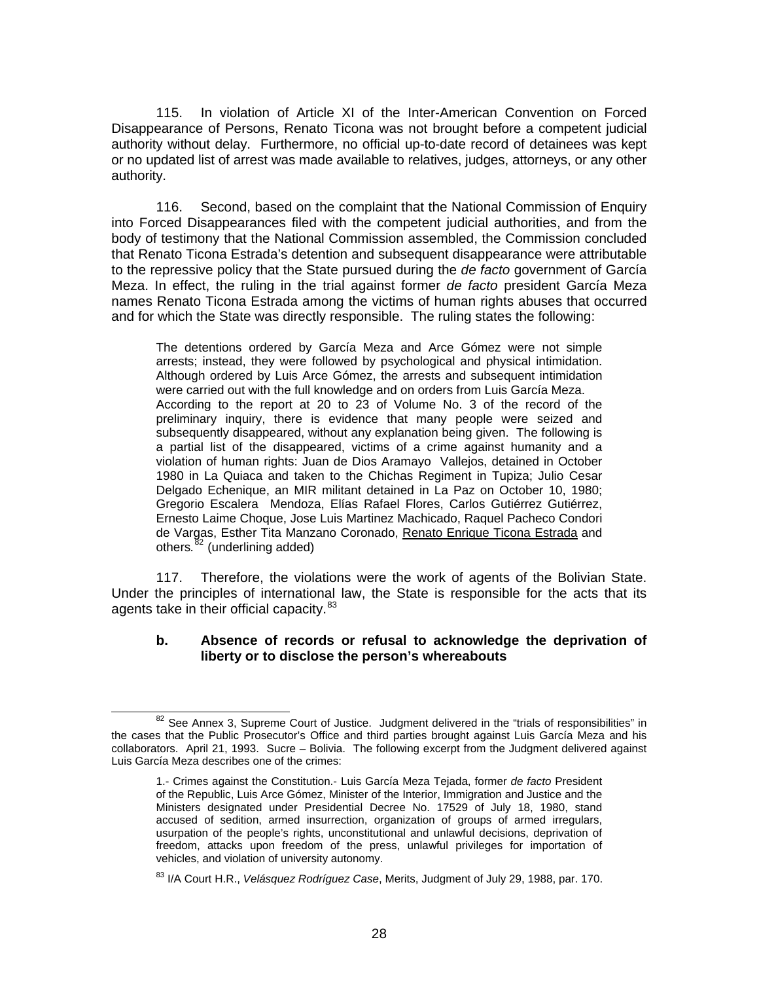115. In violation of Article XI of the Inter-American Convention on Forced Disappearance of Persons, Renato Ticona was not brought before a competent judicial authority without delay. Furthermore, no official up-to-date record of detainees was kept or no updated list of arrest was made available to relatives, judges, attorneys, or any other authority.

116. Second, based on the complaint that the National Commission of Enquiry into Forced Disappearances filed with the competent judicial authorities, and from the body of testimony that the National Commission assembled, the Commission concluded that Renato Ticona Estrada's detention and subsequent disappearance were attributable to the repressive policy that the State pursued during the *de facto* government of García Meza. In effect, the ruling in the trial against former *de facto* president García Meza names Renato Ticona Estrada among the victims of human rights abuses that occurred and for which the State was directly responsible. The ruling states the following:

The detentions ordered by García Meza and Arce Gómez were not simple arrests; instead, they were followed by psychological and physical intimidation. Although ordered by Luis Arce Gómez, the arrests and subsequent intimidation were carried out with the full knowledge and on orders from Luis García Meza. According to the report at 20 to 23 of Volume No. 3 of the record of the preliminary inquiry, there is evidence that many people were seized and subsequently disappeared, without any explanation being given. The following is a partial list of the disappeared, victims of a crime against humanity and a violation of human rights: Juan de Dios Aramayo Vallejos, detained in October 1980 in La Quiaca and taken to the Chichas Regiment in Tupiza; Julio Cesar Delgado Echenique, an MIR militant detained in La Paz on October 10, 1980; Gregorio Escalera Mendoza, Elías Rafael Flores, Carlos Gutiérrez Gutiérrez, Ernesto Laime Choque, Jose Luis Martinez Machicado, Raquel Pacheco Condori de Vargas, Esther Tita Manzano Coronado, Renato Enrique Ticona Estrada and others*.* [82](#page-27-0) (underlining added)

117. Therefore, the violations were the work of agents of the Bolivian State. Under the principles of international law, the State is responsible for the acts that its agents take in their official capacity.<sup>[83](#page-27-1)</sup>

#### **b. Absence of records or refusal to acknowledge the deprivation of liberty or to disclose the person's whereabouts**

<span id="page-27-0"></span><sup>&</sup>lt;sup>82</sup> See Annex 3, Supreme Court of Justice. Judgment delivered in the "trials of responsibilities" in the cases that the Public Prosecutor's Office and third parties brought against Luis García Meza and his collaborators. April 21, 1993. Sucre – Bolivia. The following excerpt from the Judgment delivered against Luis García Meza describes one of the crimes:

<sup>1.-</sup> Crimes against the Constitution.- Luis García Meza Tejada, former *de facto* President of the Republic, Luis Arce Gómez, Minister of the Interior, Immigration and Justice and the Ministers designated under Presidential Decree No. 17529 of July 18, 1980, stand accused of sedition, armed insurrection, organization of groups of armed irregulars, usurpation of the people's rights, unconstitutional and unlawful decisions, deprivation of freedom, attacks upon freedom of the press, unlawful privileges for importation of vehicles, and violation of university autonomy.

<span id="page-27-1"></span><sup>83</sup> I/A Court H.R., *Velásquez Rodríguez Case*, Merits, Judgment of July 29, 1988, par. 170.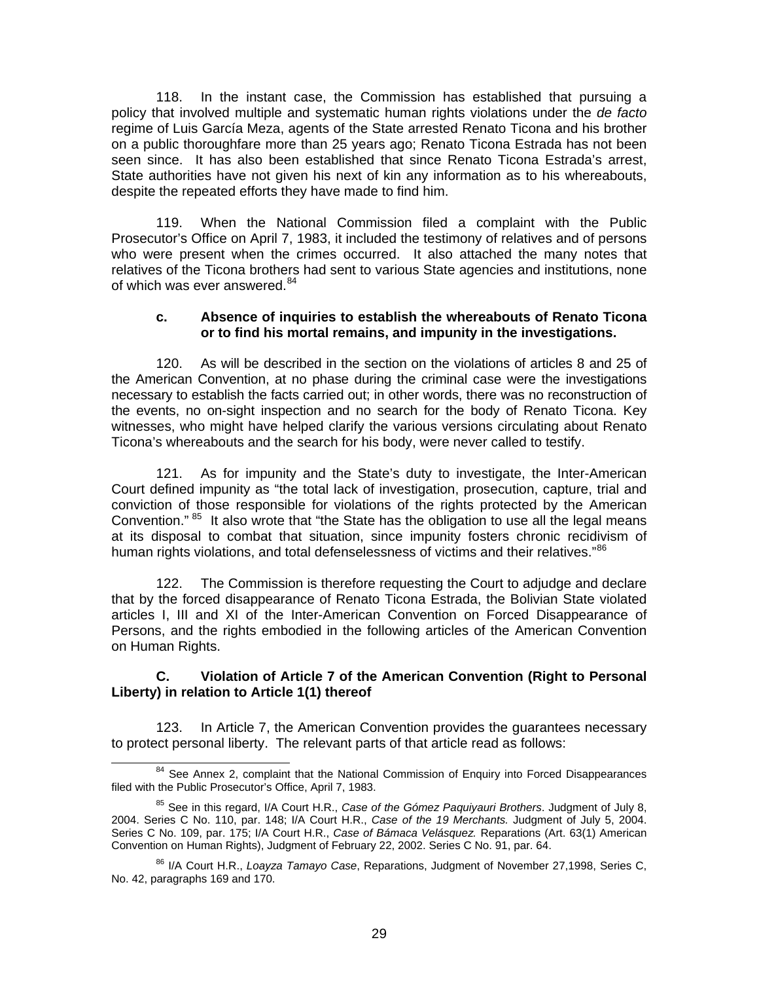118. In the instant case, the Commission has established that pursuing a policy that involved multiple and systematic human rights violations under the *de facto*  regime of Luis García Meza, agents of the State arrested Renato Ticona and his brother on a public thoroughfare more than 25 years ago; Renato Ticona Estrada has not been seen since. It has also been established that since Renato Ticona Estrada's arrest, State authorities have not given his next of kin any information as to his whereabouts, despite the repeated efforts they have made to find him.

119. When the National Commission filed a complaint with the Public Prosecutor's Office on April 7, 1983, it included the testimony of relatives and of persons who were present when the crimes occurred. It also attached the many notes that relatives of the Ticona brothers had sent to various State agencies and institutions, none of which was ever answered.<sup>[84](#page-28-0)</sup>

#### **c. Absence of inquiries to establish the whereabouts of Renato Ticona or to find his mortal remains, and impunity in the investigations.**

120. As will be described in the section on the violations of articles 8 and 25 of the American Convention, at no phase during the criminal case were the investigations necessary to establish the facts carried out; in other words, there was no reconstruction of the events, no on-sight inspection and no search for the body of Renato Ticona. Key witnesses, who might have helped clarify the various versions circulating about Renato Ticona's whereabouts and the search for his body, were never called to testify.

121. As for impunity and the State's duty to investigate, the Inter-American Court defined impunity as "the total lack of investigation, prosecution, capture, trial and conviction of those responsible for violations of the rights protected by the American Convention." <sup>[85](#page-28-1)</sup> It also wrote that "the State has the obligation to use all the legal means at its disposal to combat that situation, since impunity fosters chronic recidivism of human rights violations, and total defenselessness of victims and their relatives."<sup>[86](#page-28-2)</sup>

122. The Commission is therefore requesting the Court to adjudge and declare that by the forced disappearance of Renato Ticona Estrada, the Bolivian State violated articles I, III and XI of the Inter-American Convention on Forced Disappearance of Persons, and the rights embodied in the following articles of the American Convention on Human Rights.

### **C. Violation of Article 7 of the American Convention (Right to Personal Liberty) in relation to Article 1(1) thereof**

123. In Article 7, the American Convention provides the guarantees necessary to protect personal liberty. The relevant parts of that article read as follows:

<span id="page-28-0"></span><sup>&</sup>lt;sup>84</sup> See Annex 2, complaint that the National Commission of Enquiry into Forced Disappearances filed with the Public Prosecutor's Office, April 7, 1983.

<span id="page-28-1"></span><sup>85</sup> See in this regard, I/A Court H.R., *Case of the Gómez Paquiyauri Brothers*. Judgment of July 8, 2004. Series C No. 110, par. 148; I/A Court H.R., *Case of the 19 Merchants.* Judgment of July 5, 2004. Series C No. 109, par. 175; I/A Court H.R., *Case of Bámaca Velásquez.* Reparations (Art. 63(1) American Convention on Human Rights), Judgment of February 22, 2002. Series C No. 91, par. 64.

<span id="page-28-2"></span><sup>86</sup> I/A Court H.R., *Loayza Tamayo Case*, Reparations, Judgment of November 27,1998, Series C, No. 42, paragraphs 169 and 170.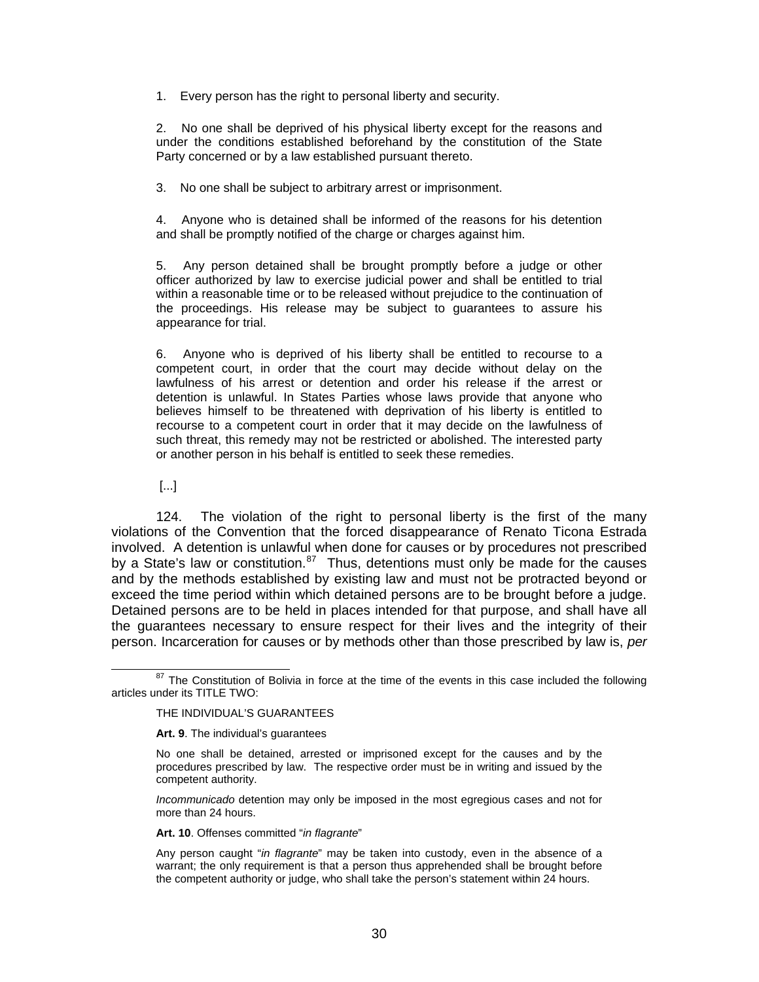1. Every person has the right to personal liberty and security.

2. No one shall be deprived of his physical liberty except for the reasons and under the conditions established beforehand by the constitution of the State Party concerned or by a law established pursuant thereto.

3. No one shall be subject to arbitrary arrest or imprisonment.

4. Anyone who is detained shall be informed of the reasons for his detention and shall be promptly notified of the charge or charges against him.

5. Any person detained shall be brought promptly before a judge or other officer authorized by law to exercise judicial power and shall be entitled to trial within a reasonable time or to be released without prejudice to the continuation of the proceedings. His release may be subject to guarantees to assure his appearance for trial.

6. Anyone who is deprived of his liberty shall be entitled to recourse to a competent court, in order that the court may decide without delay on the lawfulness of his arrest or detention and order his release if the arrest or detention is unlawful. In States Parties whose laws provide that anyone who believes himself to be threatened with deprivation of his liberty is entitled to recourse to a competent court in order that it may decide on the lawfulness of such threat, this remedy may not be restricted or abolished. The interested party or another person in his behalf is entitled to seek these remedies.

[...]

124. The violation of the right to personal liberty is the first of the many violations of the Convention that the forced disappearance of Renato Ticona Estrada involved. A detention is unlawful when done for causes or by procedures not prescribed by a State's law or constitution.<sup>[87](#page-29-0)</sup> Thus, detentions must only be made for the causes and by the methods established by existing law and must not be protracted beyond or exceed the time period within which detained persons are to be brought before a judge. Detained persons are to be held in places intended for that purpose, and shall have all the guarantees necessary to ensure respect for their lives and the integrity of their person. Incarceration for causes or by methods other than those prescribed by law is, *per* 

**Art. 9**. The individual's guarantees

**Art. 10**. Offenses committed "*in flagrante*"

<span id="page-29-0"></span><sup>&</sup>lt;sup>87</sup> The Constitution of Bolivia in force at the time of the events in this case included the following articles under its TITLE TWO:

THE INDIVIDUAL'S GUARANTEES

No one shall be detained, arrested or imprisoned except for the causes and by the procedures prescribed by law. The respective order must be in writing and issued by the competent authority.

*Incommunicado* detention may only be imposed in the most egregious cases and not for more than 24 hours.

Any person caught "*in flagrante*" may be taken into custody, even in the absence of a warrant; the only requirement is that a person thus apprehended shall be brought before the competent authority or judge, who shall take the person's statement within 24 hours.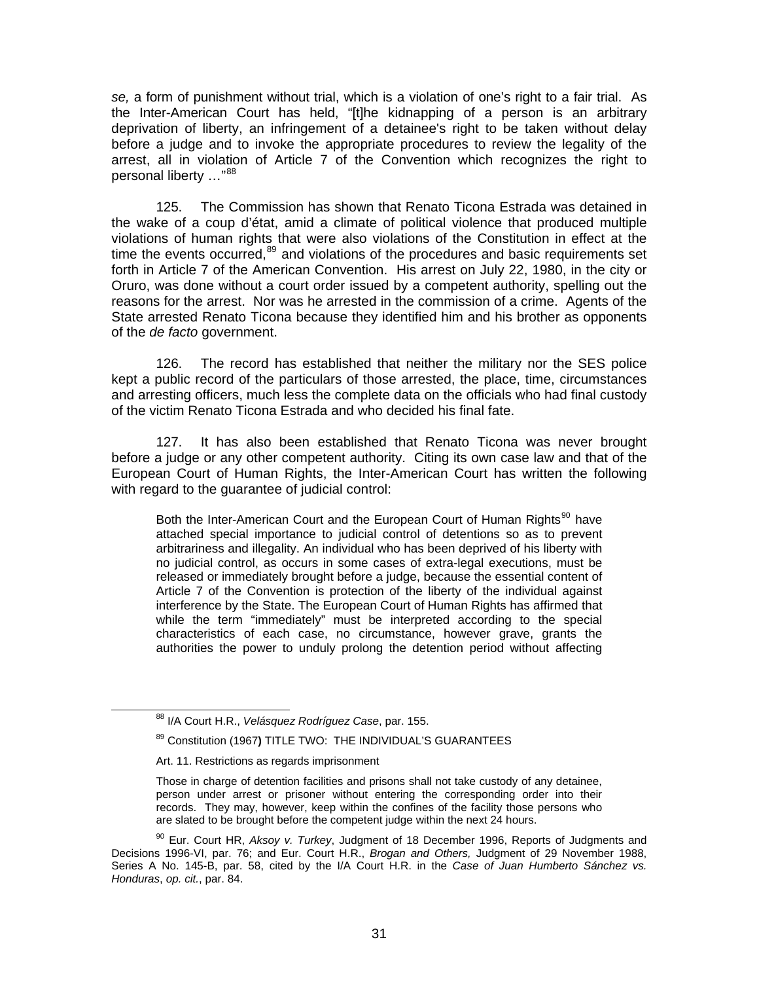*se,* a form of punishment without trial, which is a violation of one's right to a fair trial. As the Inter-American Court has held, "[t]he kidnapping of a person is an arbitrary deprivation of liberty, an infringement of a detainee's right to be taken without delay before a judge and to invoke the appropriate procedures to review the legality of the arrest, all in violation of Article 7 of the Convention which recognizes the right to personal liberty ..."[88](#page-30-0)

125. The Commission has shown that Renato Ticona Estrada was detained in the wake of a coup d'état, amid a climate of political violence that produced multiple violations of human rights that were also violations of the Constitution in effect at the time the events occurred, $89$  and violations of the procedures and basic requirements set forth in Article 7 of the American Convention. His arrest on July 22, 1980, in the city or Oruro, was done without a court order issued by a competent authority, spelling out the reasons for the arrest. Nor was he arrested in the commission of a crime. Agents of the State arrested Renato Ticona because they identified him and his brother as opponents of the *de facto* government.

126. The record has established that neither the military nor the SES police kept a public record of the particulars of those arrested, the place, time, circumstances and arresting officers, much less the complete data on the officials who had final custody of the victim Renato Ticona Estrada and who decided his final fate.

127. It has also been established that Renato Ticona was never brought before a judge or any other competent authority. Citing its own case law and that of the European Court of Human Rights, the Inter-American Court has written the following with regard to the guarantee of judicial control:

Both the Inter-American Court and the European Court of Human Rights<sup>[90](#page-30-2)</sup> have attached special importance to judicial control of detentions so as to prevent arbitrariness and illegality. An individual who has been deprived of his liberty with no judicial control, as occurs in some cases of extra-legal executions, must be released or immediately brought before a judge, because the essential content of Article 7 of the Convention is protection of the liberty of the individual against interference by the State. The European Court of Human Rights has affirmed that while the term "immediately" must be interpreted according to the special characteristics of each case, no circumstance, however grave, grants the authorities the power to unduly prolong the detention period without affecting

<span id="page-30-0"></span> <sup>88</sup> I/A Court H.R., *Velásquez Rodríguez Case*, par. 155.

<sup>89</sup> Constitution (1967**)** TITLE TWO: THE INDIVIDUAL'S GUARANTEES

Art. 11. Restrictions as regards imprisonment

Those in charge of detention facilities and prisons shall not take custody of any detainee, person under arrest or prisoner without entering the corresponding order into their records. They may, however, keep within the confines of the facility those persons who are slated to be brought before the competent judge within the next 24 hours.

<span id="page-30-2"></span><span id="page-30-1"></span><sup>90</sup> Eur. Court HR, *Aksoy v. Turkey*, Judgment of 18 December 1996, Reports of Judgments and Decisions 1996-VI, par. 76; and Eur. Court H.R., *Brogan and Others,* Judgment of 29 November 1988, Series A No. 145-B, par. 58, cited by the I/A Court H.R. in the *Case of Juan Humberto Sánchez vs. Honduras*, *op. cit.*, par. 84.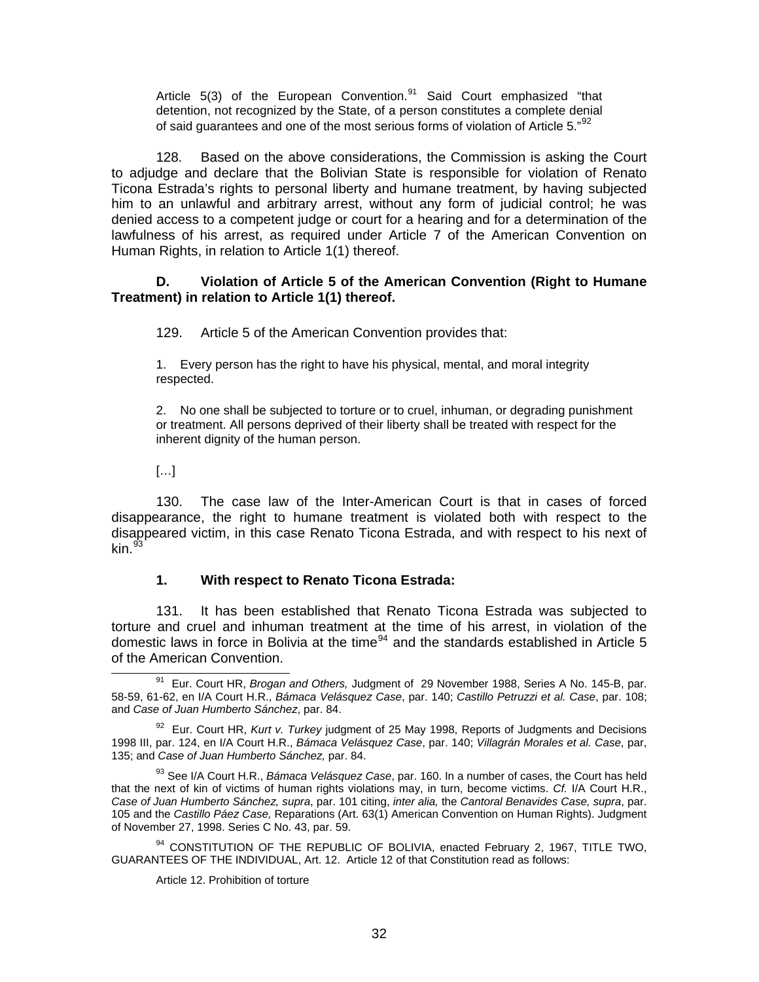Article  $5(3)$  of the European Convention.<sup>[91](#page-31-0)</sup> Said Court emphasized "that detention, not recognized by the State, of a person constitutes a complete denial of said guarantees and one of the most serious forms of violation of Article 5. $^{92}$  $^{92}$  $^{92}$ 

128. Based on the above considerations, the Commission is asking the Court to adjudge and declare that the Bolivian State is responsible for violation of Renato Ticona Estrada's rights to personal liberty and humane treatment, by having subjected him to an unlawful and arbitrary arrest, without any form of judicial control; he was denied access to a competent judge or court for a hearing and for a determination of the lawfulness of his arrest, as required under Article 7 of the American Convention on Human Rights, in relation to Article 1(1) thereof.

### **D. Violation of Article 5 of the American Convention (Right to Humane Treatment) in relation to Article 1(1) thereof.**

129. Article 5 of the American Convention provides that:

1. Every person has the right to have his physical, mental, and moral integrity respected.

2. No one shall be subjected to torture or to cruel, inhuman, or degrading punishment or treatment. All persons deprived of their liberty shall be treated with respect for the inherent dignity of the human person.

[…]

130. The case law of the Inter-American Court is that in cases of forced disappearance, the right to humane treatment is violated both with respect to the disappeared victim, in this case Renato Ticona Estrada, and with respect to his next of kin. $^{93}$  $^{93}$  $^{93}$ 

### **1. With respect to Renato Ticona Estrada:**

131. It has been established that Renato Ticona Estrada was subjected to torture and cruel and inhuman treatment at the time of his arrest, in violation of the domestic laws in force in Bolivia at the time<sup>[94](#page-31-3)</sup> and the standards established in Article 5 of the American Convention.

<span id="page-31-2"></span>93 See I/A Court H.R., *Bámaca Velásquez Case*, par. 160. In a number of cases, the Court has held that the next of kin of victims of human rights violations may, in turn, become victims. *Cf.* I/A Court H.R., *Case of Juan Humberto Sánchez, supra*, par. 101 citing, *inter alia,* the *Cantoral Benavides Case, supra*, par. 105 and the *Castillo Páez Case,* Reparations (Art. 63(1) American Convention on Human Rights). Judgment of November 27, 1998. Series C No. 43, par. 59.

<span id="page-31-3"></span><sup>94</sup> CONSTITUTION OF THE REPUBLIC OF BOLIVIA, enacted February 2, 1967, TITLE TWO, GUARANTEES OF THE INDIVIDUAL, Art. 12. Article 12 of that Constitution read as follows:

Article 12. Prohibition of torture

<span id="page-31-0"></span> <sup>91</sup> Eur. Court HR, *Brogan and Others,* Judgment of 29 November 1988, Series A No. 145-B, par. 58-59, 61-62, en I/A Court H.R., *Bámaca Velásquez Case*, par. 140; *Castillo Petruzzi et al. Case*, par. 108; and *Case of Juan Humberto Sánchez*, par. 84.

<span id="page-31-1"></span><sup>92</sup> Eur. Court HR, *Kurt v. Turkey* judgment of 25 May 1998, Reports of Judgments and Decisions 1998 III, par. 124, en I/A Court H.R., *Bámaca Velásquez Case*, par. 140; *Villagrán Morales et al. Case*, par, 135; and *Case of Juan Humberto Sánchez,* par. 84.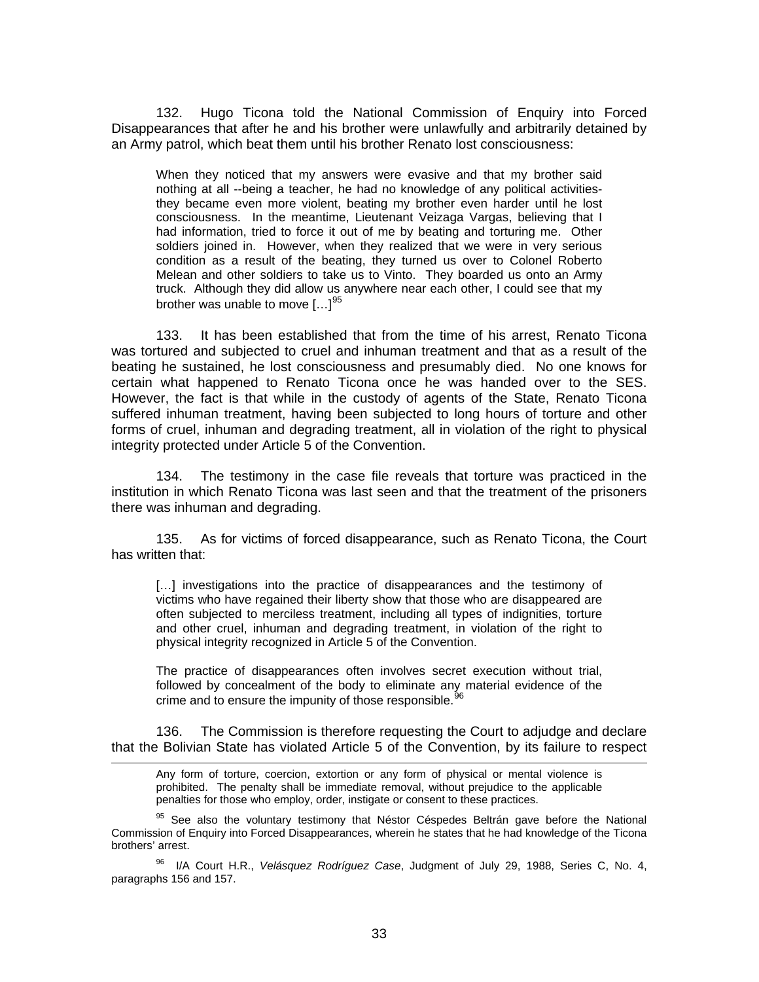132. Hugo Ticona told the National Commission of Enquiry into Forced Disappearances that after he and his brother were unlawfully and arbitrarily detained by an Army patrol, which beat them until his brother Renato lost consciousness:

When they noticed that my answers were evasive and that my brother said nothing at all --being a teacher, he had no knowledge of any political activitiesthey became even more violent, beating my brother even harder until he lost consciousness. In the meantime, Lieutenant Veizaga Vargas, believing that I had information, tried to force it out of me by beating and torturing me. Other soldiers joined in. However, when they realized that we were in very serious condition as a result of the beating, they turned us over to Colonel Roberto Melean and other soldiers to take us to Vinto. They boarded us onto an Army truck. Although they did allow us anywhere near each other, I could see that my brother was unable to move  $[...]^{95}$  $[...]^{95}$  $[...]^{95}$ 

133. It has been established that from the time of his arrest, Renato Ticona was tortured and subjected to cruel and inhuman treatment and that as a result of the beating he sustained, he lost consciousness and presumably died. No one knows for certain what happened to Renato Ticona once he was handed over to the SES. However, the fact is that while in the custody of agents of the State, Renato Ticona suffered inhuman treatment, having been subjected to long hours of torture and other forms of cruel, inhuman and degrading treatment, all in violation of the right to physical integrity protected under Article 5 of the Convention.

134. The testimony in the case file reveals that torture was practiced in the institution in which Renato Ticona was last seen and that the treatment of the prisoners there was inhuman and degrading.

135. As for victims of forced disappearance, such as Renato Ticona, the Court has written that:

[...] investigations into the practice of disappearances and the testimony of victims who have regained their liberty show that those who are disappeared are often subjected to merciless treatment, including all types of indignities, torture and other cruel, inhuman and degrading treatment, in violation of the right to physical integrity recognized in Article 5 of the Convention.

The practice of disappearances often involves secret execution without trial, followed by concealment of the body to eliminate any material evidence of the crime and to ensure the impunity of those responsible. $96$ 

136. The Commission is therefore requesting the Court to adjudge and declare that the Bolivian State has violated Article 5 of the Convention, by its failure to respect

l

Any form of torture, coercion, extortion or any form of physical or mental violence is prohibited. The penalty shall be immediate removal, without prejudice to the applicable penalties for those who employ, order, instigate or consent to these practices.

<span id="page-32-0"></span><sup>95</sup> See also the voluntary testimony that Néstor Céspedes Beltrán gave before the National Commission of Enquiry into Forced Disappearances, wherein he states that he had knowledge of the Ticona brothers' arrest.

<span id="page-32-1"></span>96 I/A Court H.R., *Velásquez Rodríguez Case*, Judgment of July 29, 1988, Series C, No. 4, paragraphs 156 and 157.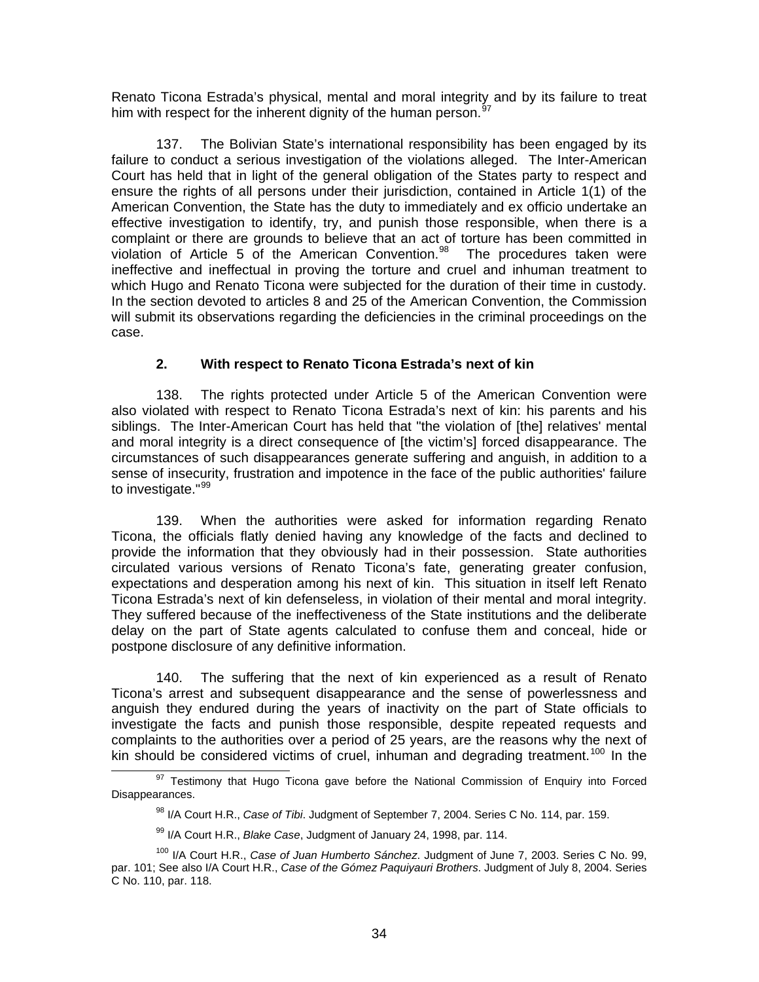Renato Ticona Estrada's physical, mental and moral integrity and by its failure to treat him with respect for the inherent dignity of the human person.<sup>[97](#page-33-0)</sup>

137. The Bolivian State's international responsibility has been engaged by its failure to conduct a serious investigation of the violations alleged. The Inter-American Court has held that in light of the general obligation of the States party to respect and ensure the rights of all persons under their jurisdiction, contained in Article 1(1) of the American Convention, the State has the duty to immediately and ex officio undertake an effective investigation to identify, try, and punish those responsible, when there is a complaint or there are grounds to believe that an act of torture has been committed in violation of Article 5 of the American Convention. $98$  The procedures taken were ineffective and ineffectual in proving the torture and cruel and inhuman treatment to which Hugo and Renato Ticona were subjected for the duration of their time in custody. In the section devoted to articles 8 and 25 of the American Convention, the Commission will submit its observations regarding the deficiencies in the criminal proceedings on the case.

### **2. With respect to Renato Ticona Estrada's next of kin**

138. The rights protected under Article 5 of the American Convention were also violated with respect to Renato Ticona Estrada's next of kin: his parents and his siblings. The Inter-American Court has held that "the violation of [the] relatives' mental and moral integrity is a direct consequence of [the victim's] forced disappearance. The circumstances of such disappearances generate suffering and anguish, in addition to a sense of insecurity, frustration and impotence in the face of the public authorities' failure to investigate."<sup>[99](#page-33-2)</sup>

139. When the authorities were asked for information regarding Renato Ticona, the officials flatly denied having any knowledge of the facts and declined to provide the information that they obviously had in their possession. State authorities circulated various versions of Renato Ticona's fate, generating greater confusion, expectations and desperation among his next of kin. This situation in itself left Renato Ticona Estrada's next of kin defenseless, in violation of their mental and moral integrity. They suffered because of the ineffectiveness of the State institutions and the deliberate delay on the part of State agents calculated to confuse them and conceal, hide or postpone disclosure of any definitive information.

140. The suffering that the next of kin experienced as a result of Renato Ticona's arrest and subsequent disappearance and the sense of powerlessness and anguish they endured during the years of inactivity on the part of State officials to investigate the facts and punish those responsible, despite repeated requests and complaints to the authorities over a period of 25 years, are the reasons why the next of kin should be considered victims of cruel, inhuman and degrading treatment.<sup>[100](#page-33-3)</sup> In the  $\frac{97}{}$  Testimony that Hugo Ticona gave before the National Commission of Enquiry into Forced

<span id="page-33-1"></span><span id="page-33-0"></span>Disappearances.

<sup>98</sup> I/A Court H.R., *Case of Tibi*. Judgment of September 7, 2004. Series C No. 114, par. 159.

<sup>99</sup> I/A Court H.R., *Blake Case*, Judgment of January 24, 1998, par. 114.

<span id="page-33-3"></span><span id="page-33-2"></span><sup>100</sup> I/A Court H.R., *Case of Juan Humberto Sánchez*. Judgment of June 7, 2003. Series C No. 99, par. 101; See also I/A Court H.R., *Case of the Gómez Paquiyauri Brothers*. Judgment of July 8, 2004. Series C No. 110, par. 118.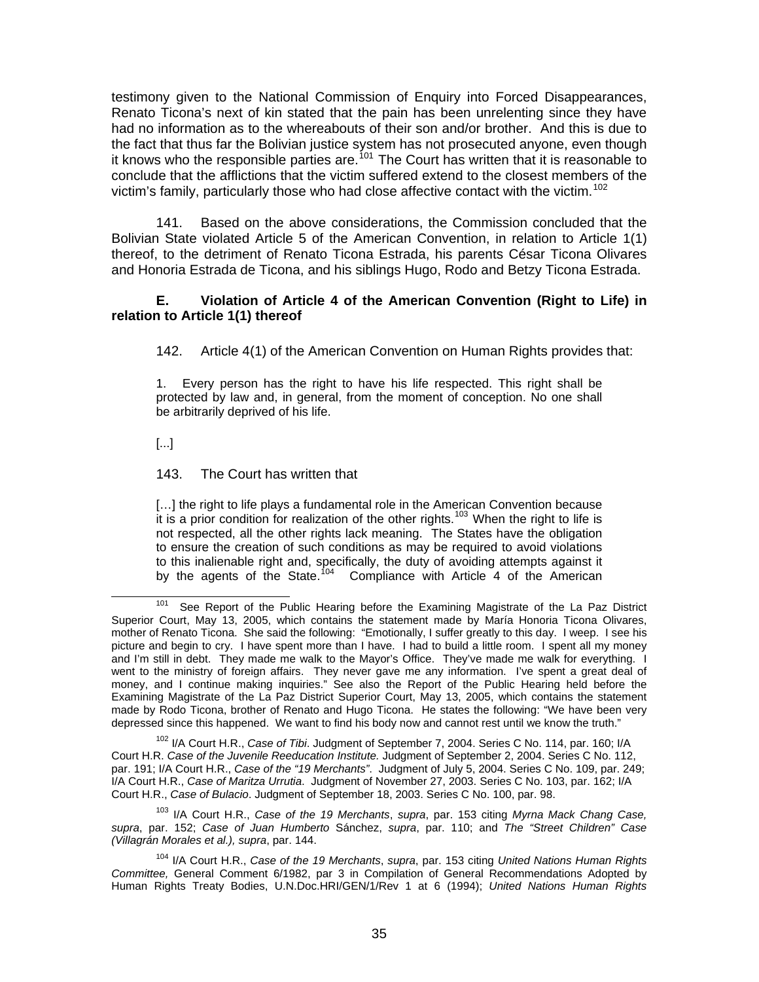testimony given to the National Commission of Enquiry into Forced Disappearances, Renato Ticona's next of kin stated that the pain has been unrelenting since they have had no information as to the whereabouts of their son and/or brother. And this is due to the fact that thus far the Bolivian justice system has not prosecuted anyone, even though it knows who the responsible parties are.<sup>[101](#page-34-0)</sup> The Court has written that it is reasonable to conclude that the afflictions that the victim suffered extend to the closest members of the victim's family, particularly those who had close affective contact with the victim.<sup>[102](#page-34-1)</sup>

141. Based on the above considerations, the Commission concluded that the Bolivian State violated Article 5 of the American Convention, in relation to Article 1(1) thereof, to the detriment of Renato Ticona Estrada, his parents César Ticona Olivares and Honoria Estrada de Ticona, and his siblings Hugo, Rodo and Betzy Ticona Estrada.

### **E. Violation of Article 4 of the American Convention (Right to Life) in relation to Article 1(1) thereof**

142. Article 4(1) of the American Convention on Human Rights provides that:

1. Every person has the right to have his life respected. This right shall be protected by law and, in general, from the moment of conception. No one shall be arbitrarily deprived of his life.

[...]

143. The Court has written that

[...] the right to life plays a fundamental role in the American Convention because it is a prior condition for realization of the other rights.<sup>[103](#page-34-2)</sup> When the right to life is not respected, all the other rights lack meaning. The States have the obligation to ensure the creation of such conditions as may be required to avoid violations to this inalienable right and, specifically, the duty of avoiding attempts against it by the agents of the State.<sup>[104](#page-34-3)</sup> Compliance with Article 4 of the American

<span id="page-34-1"></span>102 I/A Court H.R., *Case of Tibi*. Judgment of September 7, 2004. Series C No. 114, par. 160; I/A Court H.R. *Case of the Juvenile Reeducation Institute.* Judgment of September 2, 2004. Series C No. 112, par. 191; I/A Court H.R., *Case of the "19 Merchants"*. Judgment of July 5, 2004. Series C No. 109, par. 249; I/A Court H.R., *Case of Maritza Urrutia*. Judgment of November 27, 2003. Series C No. 103, par. 162; I/A Court H.R., *Case of Bulacio*. Judgment of September 18, 2003. Series C No. 100, par. 98.

<span id="page-34-2"></span>103 I/A Court H.R., *Case of the 19 Merchants*, *supra*, par. 153 citing *Myrna Mack Chang Case, supra*, par. 152; *Case of Juan Humberto* Sánchez, *supra*, par. 110; and *The "Street Children" Case (Villagrán Morales et al.), supra*, par. 144.

<span id="page-34-0"></span><sup>&</sup>lt;sup>101</sup> See Report of the Public Hearing before the Examining Magistrate of the La Paz District Superior Court, May 13, 2005, which contains the statement made by María Honoria Ticona Olivares, mother of Renato Ticona. She said the following: "Emotionally, I suffer greatly to this day. I weep. I see his picture and begin to cry. I have spent more than I have. I had to build a little room. I spent all my money and I'm still in debt. They made me walk to the Mayor's Office. They've made me walk for everything. I went to the ministry of foreign affairs. They never gave me any information. I've spent a great deal of money, and I continue making inquiries." See also the Report of the Public Hearing held before the Examining Magistrate of the La Paz District Superior Court, May 13, 2005, which contains the statement made by Rodo Ticona, brother of Renato and Hugo Ticona. He states the following: "We have been very depressed since this happened. We want to find his body now and cannot rest until we know the truth."

<span id="page-34-3"></span><sup>104</sup> I/A Court H.R., *Case of the 19 Merchants*, *supra*, par. 153 citing *United Nations Human Rights Committee,* General Comment 6/1982, par 3 in Compilation of General Recommendations Adopted by Human Rights Treaty Bodies, U.N.Doc.HRI/GEN/1/Rev 1 at 6 (1994); *United Nations Human Rights*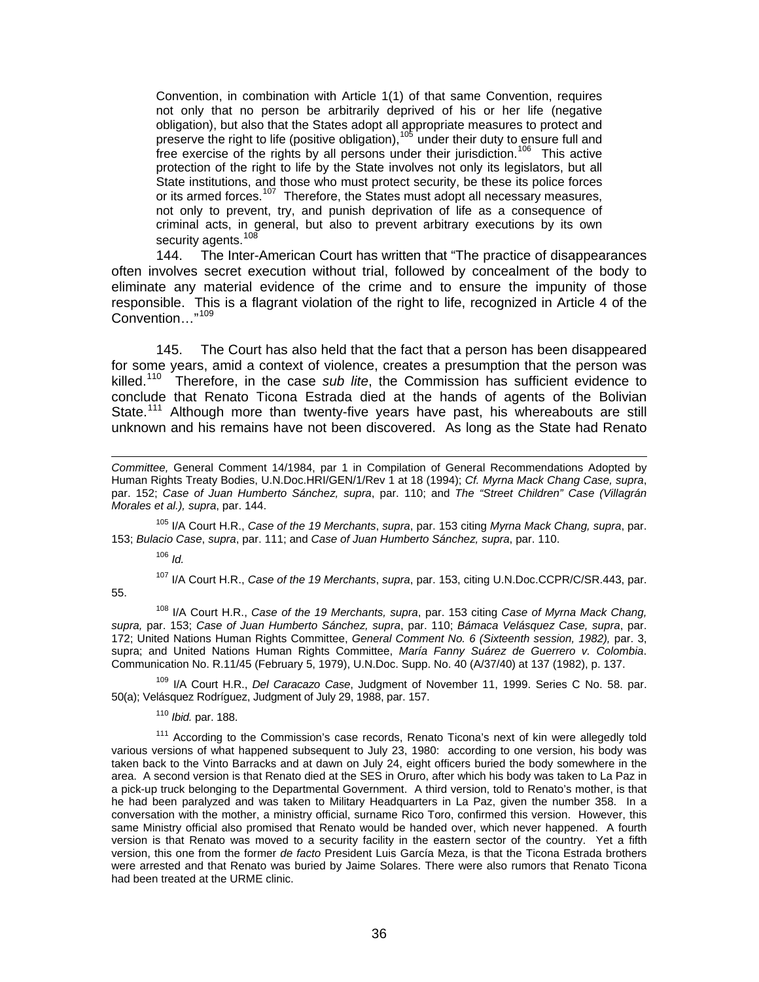Convention, in combination with Article 1(1) of that same Convention, requires not only that no person be arbitrarily deprived of his or her life (negative obligation), but also that the States adopt all appropriate measures to protect and preserve the right to life (positive obligation), <sup>[105](#page-35-0)</sup> under their duty to ensure full and free exercise of the rights by all persons under their jurisdiction.<sup>[106](#page-35-1)</sup> This active protection of the right to life by the State involves not only its legislators, but all State institutions, and those who must protect security, be these its police forces or its armed forces.<sup>[107](#page-35-2)</sup> Therefore, the States must adopt all necessary measures, not only to prevent, try, and punish deprivation of life as a consequence of criminal acts, in general, but also to prevent arbitrary executions by its own security agents.<sup>[108](#page-35-3)</sup>

144. The Inter-American Court has written that "The practice of disappearances often involves secret execution without trial, followed by concealment of the body to eliminate any material evidence of the crime and to ensure the impunity of those responsible. This is a flagrant violation of the right to life, recognized in Article 4 of the Convention…"[109](#page-35-4)

145. The Court has also held that the fact that a person has been disappeared for some years, amid a context of violence, creates a presumption that the person was killed.[110](#page-35-5) Therefore, in the case *sub lite*, the Commission has sufficient evidence to conclude that Renato Ticona Estrada died at the hands of agents of the Bolivian State.<sup>[111](#page-35-6)</sup> Although more than twenty-five years have past, his whereabouts are still unknown and his remains have not been discovered. As long as the State had Renato

<span id="page-35-0"></span>105 I/A Court H.R., *Case of the 19 Merchants*, *supra*, par. 153 citing *Myrna Mack Chang, supra*, par. 153; *Bulacio Case*, *supra*, par. 111; and *Case of Juan Humberto Sánchez, supra*, par. 110.

<sup>106</sup> *Id.*

<span id="page-35-2"></span><span id="page-35-1"></span>55.

l

107 I/A Court H.R., *Case of the 19 Merchants*, *supra*, par. 153, citing U.N.Doc.CCPR/C/SR.443, par.

<span id="page-35-3"></span>108 I/A Court H.R., *Case of the 19 Merchants, supra*, par. 153 citing *Case of Myrna Mack Chang, supra,* par. 153; *Case of Juan Humberto Sánchez, supra*, par. 110; *Bámaca Velásquez Case, supra*, par. 172; United Nations Human Rights Committee, *General Comment No. 6 (Sixteenth session, 1982),* par. 3, supra; and United Nations Human Rights Committee, *María Fanny Suárez de Guerrero v. Colombia*. Communication No. R.11/45 (February 5, 1979), U.N.Doc. Supp. No. 40 (A/37/40) at 137 (1982), p. 137.

<span id="page-35-4"></span>109 I/A Court H.R., *Del Caracazo Case*, Judgment of November 11, 1999. Series C No. 58. par. 50(a); Velásquez Rodríguez, Judgment of July 29, 1988, par. 157.

<sup>110</sup> *Ibid.* par. 188.

<span id="page-35-6"></span><span id="page-35-5"></span><sup>111</sup> According to the Commission's case records, Renato Ticona's next of kin were allegedly told various versions of what happened subsequent to July 23, 1980: according to one version, his body was taken back to the Vinto Barracks and at dawn on July 24, eight officers buried the body somewhere in the area. A second version is that Renato died at the SES in Oruro, after which his body was taken to La Paz in a pick-up truck belonging to the Departmental Government. A third version, told to Renato's mother, is that he had been paralyzed and was taken to Military Headquarters in La Paz, given the number 358. In a conversation with the mother, a ministry official, surname Rico Toro, confirmed this version. However, this same Ministry official also promised that Renato would be handed over, which never happened. A fourth version is that Renato was moved to a security facility in the eastern sector of the country. Yet a fifth version, this one from the former *de facto* President Luis García Meza, is that the Ticona Estrada brothers were arrested and that Renato was buried by Jaime Solares. There were also rumors that Renato Ticona had been treated at the URME clinic.

*Committee,* General Comment 14/1984, par 1 in Compilation of General Recommendations Adopted by Human Rights Treaty Bodies, U.N.Doc.HRI/GEN/1/Rev 1 at 18 (1994); *Cf. Myrna Mack Chang Case, supra*, par. 152; *Case of Juan Humberto Sánchez, supra*, par. 110; and *The "Street Children" Case (Villagrán Morales et al.), supra*, par. 144.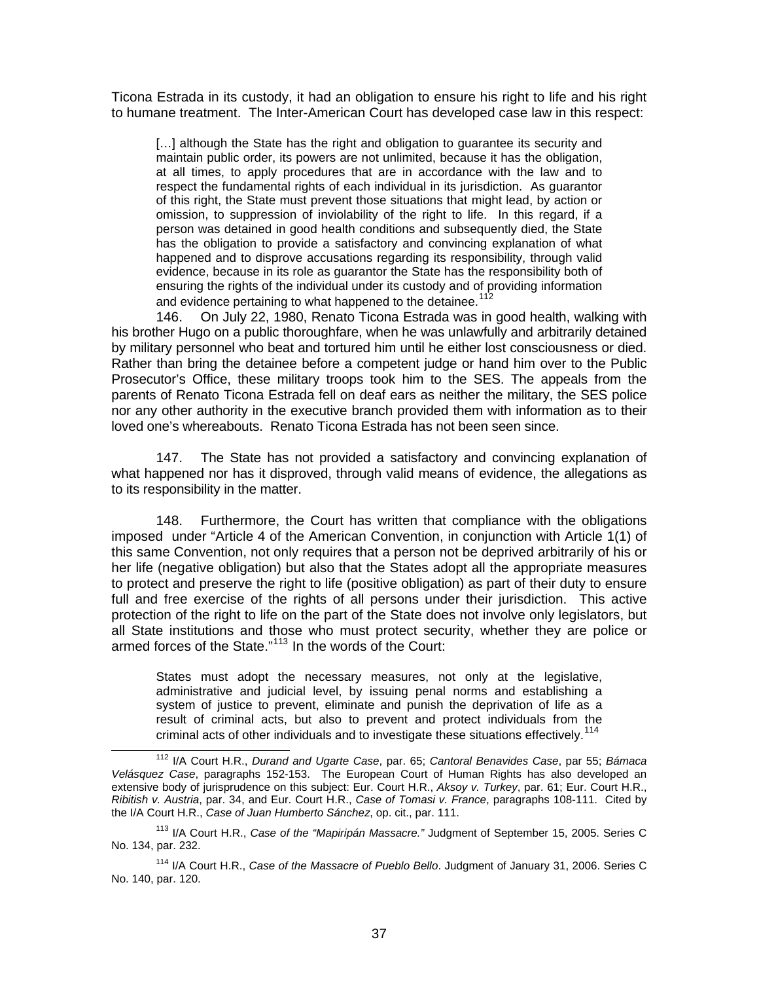Ticona Estrada in its custody, it had an obligation to ensure his right to life and his right to humane treatment. The Inter-American Court has developed case law in this respect:

[...] although the State has the right and obligation to guarantee its security and maintain public order, its powers are not unlimited, because it has the obligation, at all times, to apply procedures that are in accordance with the law and to respect the fundamental rights of each individual in its jurisdiction. As guarantor of this right, the State must prevent those situations that might lead, by action or omission, to suppression of inviolability of the right to life. In this regard, if a person was detained in good health conditions and subsequently died, the State has the obligation to provide a satisfactory and convincing explanation of what happened and to disprove accusations regarding its responsibility, through valid evidence, because in its role as guarantor the State has the responsibility both of ensuring the rights of the individual under its custody and of providing information and evidence pertaining to what happened to the detainee.<sup>[112](#page-36-0)</sup>

146. On July 22, 1980, Renato Ticona Estrada was in good health, walking with his brother Hugo on a public thoroughfare, when he was unlawfully and arbitrarily detained by military personnel who beat and tortured him until he either lost consciousness or died. Rather than bring the detainee before a competent judge or hand him over to the Public Prosecutor's Office, these military troops took him to the SES. The appeals from the parents of Renato Ticona Estrada fell on deaf ears as neither the military, the SES police nor any other authority in the executive branch provided them with information as to their loved one's whereabouts. Renato Ticona Estrada has not been seen since.

147. The State has not provided a satisfactory and convincing explanation of what happened nor has it disproved, through valid means of evidence, the allegations as to its responsibility in the matter.

148. Furthermore, the Court has written that compliance with the obligations imposed under "Article 4 of the American Convention, in conjunction with Article 1(1) of this same Convention, not only requires that a person not be deprived arbitrarily of his or her life (negative obligation) but also that the States adopt all the appropriate measures to protect and preserve the right to life (positive obligation) as part of their duty to ensure full and free exercise of the rights of all persons under their jurisdiction. This active protection of the right to life on the part of the State does not involve only legislators, but all State institutions and those who must protect security, whether they are police or armed forces of the State."[113](#page-36-1) In the words of the Court:

States must adopt the necessary measures, not only at the legislative, administrative and judicial level, by issuing penal norms and establishing a system of justice to prevent, eliminate and punish the deprivation of life as a result of criminal acts, but also to prevent and protect individuals from the criminal acts of other individuals and to investigate these situations effectively.<sup>[114](#page-36-2)</sup>

<span id="page-36-0"></span> <sup>112</sup> I/A Court H.R., *Durand and Ugarte Case*, par. 65; *Cantoral Benavides Case*, par 55; *Bámaca Velásquez Case*, paragraphs 152-153. The European Court of Human Rights has also developed an extensive body of jurisprudence on this subject: Eur. Court H.R., *Aksoy v. Turkey*, par. 61; Eur. Court H.R., *Ribitish v. Austria*, par. 34, and Eur. Court H.R., *Case of Tomasi v. France*, paragraphs 108-111. Cited by the I/A Court H.R., *Case of Juan Humberto Sánchez*, op. cit., par. 111.

<span id="page-36-1"></span><sup>113</sup> I/A Court H.R., *Case of the "Mapiripán Massacre."* Judgment of September 15, 2005. Series C No. 134, par. 232.

<span id="page-36-2"></span><sup>114</sup> I/A Court H.R., *Case of the Massacre of Pueblo Bello*. Judgment of January 31, 2006. Series C No. 140, par. 120.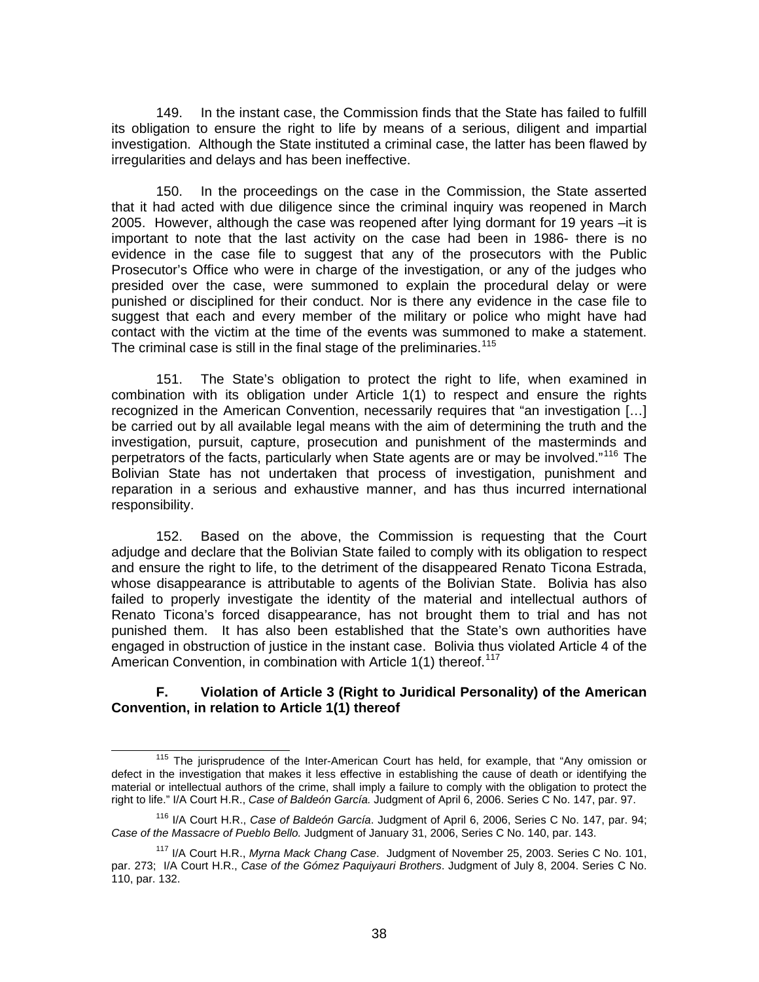149. In the instant case, the Commission finds that the State has failed to fulfill its obligation to ensure the right to life by means of a serious, diligent and impartial investigation. Although the State instituted a criminal case, the latter has been flawed by irregularities and delays and has been ineffective.

150. In the proceedings on the case in the Commission, the State asserted that it had acted with due diligence since the criminal inquiry was reopened in March 2005. However, although the case was reopened after lying dormant for 19 years –it is important to note that the last activity on the case had been in 1986- there is no evidence in the case file to suggest that any of the prosecutors with the Public Prosecutor's Office who were in charge of the investigation, or any of the judges who presided over the case, were summoned to explain the procedural delay or were punished or disciplined for their conduct. Nor is there any evidence in the case file to suggest that each and every member of the military or police who might have had contact with the victim at the time of the events was summoned to make a statement. The criminal case is still in the final stage of the preliminaries.<sup>[115](#page-37-0)</sup>

151. The State's obligation to protect the right to life, when examined in combination with its obligation under Article 1(1) to respect and ensure the rights recognized in the American Convention, necessarily requires that "an investigation […] be carried out by all available legal means with the aim of determining the truth and the investigation, pursuit, capture, prosecution and punishment of the masterminds and perpetrators of the facts, particularly when State agents are or may be involved."<sup>[116](#page-37-1)</sup> The Bolivian State has not undertaken that process of investigation, punishment and reparation in a serious and exhaustive manner, and has thus incurred international responsibility.

152. Based on the above, the Commission is requesting that the Court adjudge and declare that the Bolivian State failed to comply with its obligation to respect and ensure the right to life, to the detriment of the disappeared Renato Ticona Estrada, whose disappearance is attributable to agents of the Bolivian State. Bolivia has also failed to properly investigate the identity of the material and intellectual authors of Renato Ticona's forced disappearance, has not brought them to trial and has not punished them. It has also been established that the State's own authorities have engaged in obstruction of justice in the instant case. Bolivia thus violated Article 4 of the American Convention, in combination with Article 1(1) thereof.<sup>[117](#page-37-2)</sup>

### **F. Violation of Article 3 (Right to Juridical Personality) of the American Convention, in relation to Article 1(1) thereof**

<span id="page-37-0"></span><sup>&</sup>lt;sup>115</sup> The jurisprudence of the Inter-American Court has held, for example, that "Any omission or defect in the investigation that makes it less effective in establishing the cause of death or identifying the material or intellectual authors of the crime, shall imply a failure to comply with the obligation to protect the right to life." I/A Court H.R., *Case of Baldeón García.* Judgment of April 6, 2006. Series C No. 147, par. 97.

<span id="page-37-1"></span><sup>116</sup> I/A Court H.R., *Case of Baldeón García*. Judgment of April 6, 2006, Series C No. 147, par. 94; *Case of the Massacre of Pueblo Bello.* Judgment of January 31, 2006, Series C No. 140, par. 143.

<span id="page-37-2"></span><sup>117</sup> I/A Court H.R., *Myrna Mack Chang Case*. Judgment of November 25, 2003. Series C No. 101, par. 273; I/A Court H.R., *Case of the Gómez Paquiyauri Brothers*. Judgment of July 8, 2004. Series C No. 110, par. 132.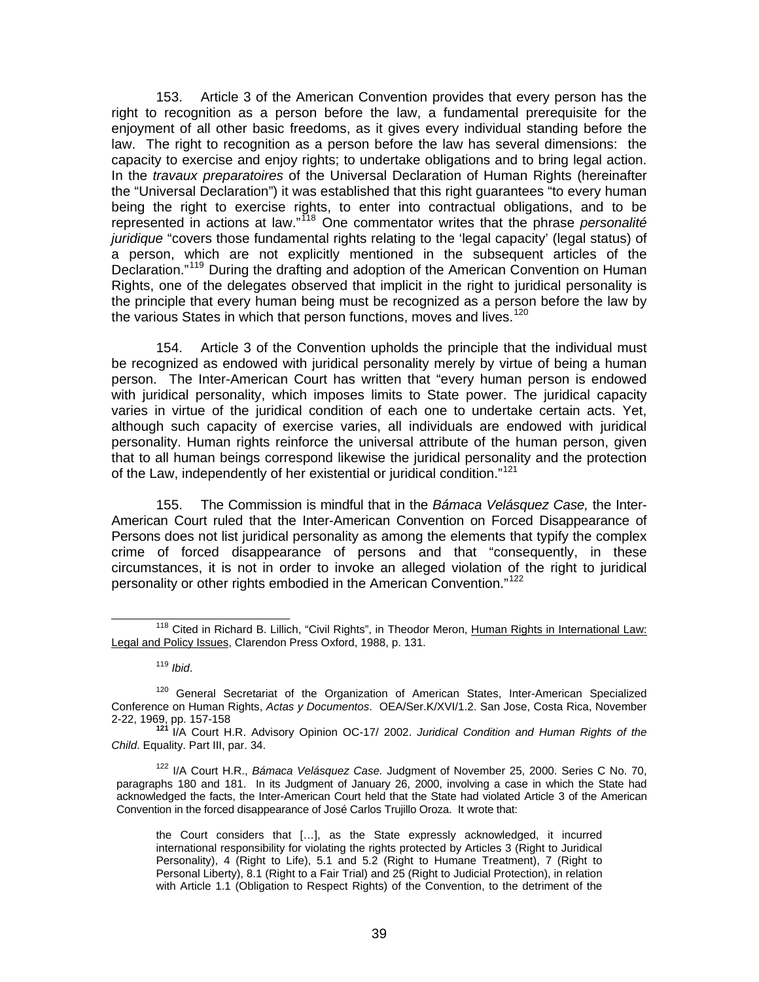153. Article 3 of the American Convention provides that every person has the right to recognition as a person before the law, a fundamental prerequisite for the enjoyment of all other basic freedoms, as it gives every individual standing before the law. The right to recognition as a person before the law has several dimensions: the capacity to exercise and enjoy rights; to undertake obligations and to bring legal action. In the *travaux preparatoires* of the Universal Declaration of Human Rights (hereinafter the "Universal Declaration") it was established that this right guarantees "to every human being the right to exercise rights, to enter into contractual obligations, and to be represented in actions at law."[118](#page-38-0) One commentator writes that the phrase *personalité juridique* "covers those fundamental rights relating to the 'legal capacity' (legal status) of a person, which are not explicitly mentioned in the subsequent articles of the Declaration."<sup>[119](#page-38-1)</sup> During the drafting and adoption of the American Convention on Human Rights, one of the delegates observed that implicit in the right to juridical personality is the principle that every human being must be recognized as a person before the law by the various States in which that person functions, moves and lives.<sup>[120](#page-38-2)</sup>

154. Article 3 of the Convention upholds the principle that the individual must be recognized as endowed with juridical personality merely by virtue of being a human person. The Inter-American Court has written that "every human person is endowed with juridical personality, which imposes limits to State power. The juridical capacity varies in virtue of the juridical condition of each one to undertake certain acts. Yet, although such capacity of exercise varies, all individuals are endowed with juridical personality. Human rights reinforce the universal attribute of the human person, given that to all human beings correspond likewise the juridical personality and the protection of the Law, independently of her existential or juridical condition."<sup>[121](#page-38-3)</sup>

155. The Commission is mindful that in the *Bámaca Velásquez Case,* the Inter-American Court ruled that the Inter-American Convention on Forced Disappearance of Persons does not list juridical personality as among the elements that typify the complex crime of forced disappearance of persons and that "consequently, in these circumstances, it is not in order to invoke an alleged violation of the right to juridical personality or other rights embodied in the American Convention."<sup>[122](#page-38-4)</sup>

<span id="page-38-4"></span>122 I/A Court H.R., *Bámaca Velásquez Case.* Judgment of November 25, 2000. Series C No. 70, paragraphs 180 and 181. In its Judgment of January 26, 2000, involving a case in which the State had acknowledged the facts, the Inter-American Court held that the State had violated Article 3 of the American Convention in the forced disappearance of José Carlos Trujillo Oroza. It wrote that:

<span id="page-38-0"></span><sup>&</sup>lt;sup>118</sup> Cited in Richard B. Lillich, "Civil Rights", in Theodor Meron, Human Rights in International Law: Legal and Policy Issues, Clarendon Press Oxford, 1988, p. 131.

<sup>119</sup> *Ibid*.

<span id="page-38-2"></span><span id="page-38-1"></span><sup>&</sup>lt;sup>120</sup> General Secretariat of the Organization of American States, Inter-American Specialized Conference on Human Rights, *Actas y Documentos*. OEA/Ser.K/XVI/1.2. San Jose, Costa Rica, November

<span id="page-38-3"></span><sup>2-22, 1969,</sup> pp. 157-158 **<sup>121</sup>**I/A Court H.R. Advisory Opinion OC-17/ 2002. *Juridical Condition and Human Rights of the Child*. Equality. Part III, par. 34.

the Court considers that […], as the State expressly acknowledged, it incurred international responsibility for violating the rights protected by Articles 3 (Right to Juridical Personality), 4 (Right to Life), 5.1 and 5.2 (Right to Humane Treatment), 7 (Right to Personal Liberty), 8.1 (Right to a Fair Trial) and 25 (Right to Judicial Protection), in relation with Article 1.1 (Obligation to Respect Rights) of the Convention, to the detriment of the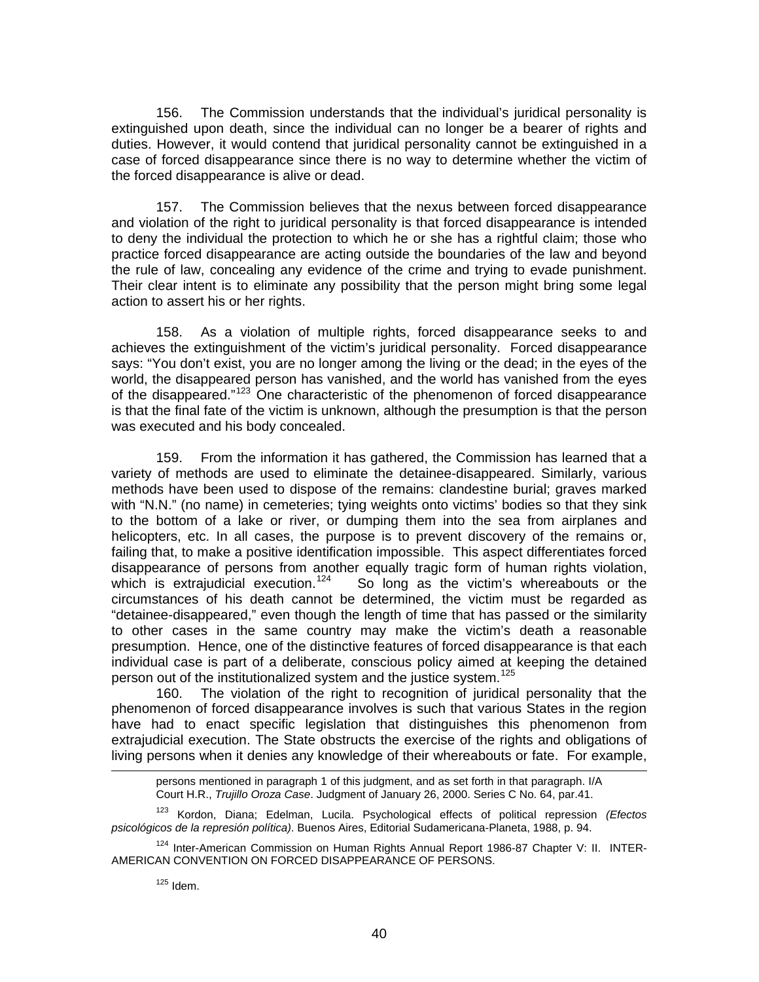156. The Commission understands that the individual's juridical personality is extinguished upon death, since the individual can no longer be a bearer of rights and duties. However, it would contend that juridical personality cannot be extinguished in a case of forced disappearance since there is no way to determine whether the victim of the forced disappearance is alive or dead.

157. The Commission believes that the nexus between forced disappearance and violation of the right to juridical personality is that forced disappearance is intended to deny the individual the protection to which he or she has a rightful claim; those who practice forced disappearance are acting outside the boundaries of the law and beyond the rule of law, concealing any evidence of the crime and trying to evade punishment. Their clear intent is to eliminate any possibility that the person might bring some legal action to assert his or her rights.

158. As a violation of multiple rights, forced disappearance seeks to and achieves the extinguishment of the victim's juridical personality. Forced disappearance says: "You don't exist, you are no longer among the living or the dead; in the eyes of the world, the disappeared person has vanished, and the world has vanished from the eyes of the disappeared."<sup>[123](#page-39-0)</sup> One characteristic of the phenomenon of forced disappearance is that the final fate of the victim is unknown, although the presumption is that the person was executed and his body concealed.

159. From the information it has gathered, the Commission has learned that a variety of methods are used to eliminate the detainee-disappeared. Similarly, various methods have been used to dispose of the remains: clandestine burial; graves marked with "N.N." (no name) in cemeteries; tying weights onto victims' bodies so that they sink to the bottom of a lake or river, or dumping them into the sea from airplanes and helicopters, etc. In all cases, the purpose is to prevent discovery of the remains or, failing that, to make a positive identification impossible. This aspect differentiates forced disappearance of persons from another equally tragic form of human rights violation, which is extrajudicial execution.<sup>124</sup> So long as the victim's whereabouts or the So long as the victim's whereabouts or the circumstances of his death cannot be determined, the victim must be regarded as "detainee-disappeared," even though the length of time that has passed or the similarity to other cases in the same country may make the victim's death a reasonable presumption. Hence, one of the distinctive features of forced disappearance is that each individual case is part of a deliberate, conscious policy aimed at keeping the detained person out of the institutionalized system and the justice system.<sup>[125](#page-39-2)</sup>

160. The violation of the right to recognition of juridical personality that the phenomenon of forced disappearance involves is such that various States in the region have had to enact specific legislation that distinguishes this phenomenon from extrajudicial execution. The State obstructs the exercise of the rights and obligations of living persons when it denies any knowledge of their whereabouts or fate. For example,

persons mentioned in paragraph 1 of this judgment, and as set forth in that paragraph. I/A Court H.R., *Trujillo Oroza Case*. Judgment of January 26, 2000. Series C No. 64, par.41.

<span id="page-39-0"></span>123 Kordon, Diana; Edelman, Lucila. Psychological effects of political repression *(Efectos psicológicos de la represión política)*. Buenos Aires, Editorial Sudamericana-Planeta, 1988, p. 94.

<span id="page-39-2"></span><span id="page-39-1"></span><sup>124</sup> Inter-American Commission on Human Rights Annual Report 1986-87 Chapter V: II. INTER-AMERICAN CONVENTION ON FORCED DISAPPEARANCE OF PERSONS.

  $125$  Idem.

l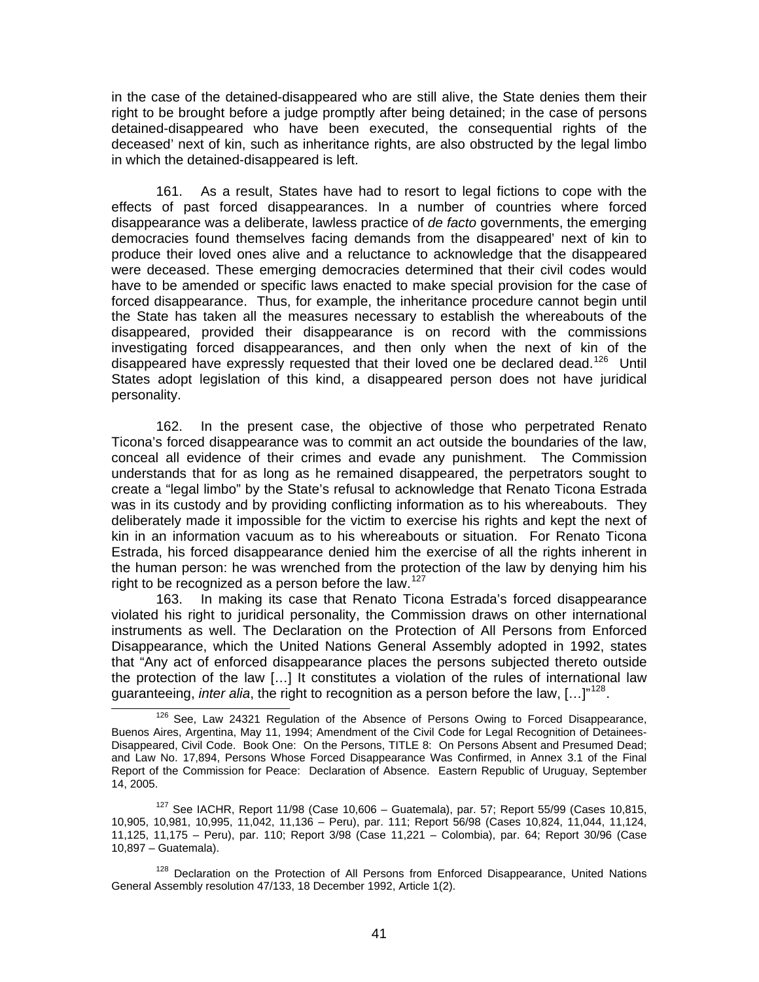in the case of the detained-disappeared who are still alive, the State denies them their right to be brought before a judge promptly after being detained; in the case of persons detained-disappeared who have been executed, the consequential rights of the deceased' next of kin, such as inheritance rights, are also obstructed by the legal limbo in which the detained-disappeared is left.

161. As a result, States have had to resort to legal fictions to cope with the effects of past forced disappearances. In a number of countries where forced disappearance was a deliberate, lawless practice of *de facto* governments, the emerging democracies found themselves facing demands from the disappeared' next of kin to produce their loved ones alive and a reluctance to acknowledge that the disappeared were deceased. These emerging democracies determined that their civil codes would have to be amended or specific laws enacted to make special provision for the case of forced disappearance. Thus, for example, the inheritance procedure cannot begin until the State has taken all the measures necessary to establish the whereabouts of the disappeared, provided their disappearance is on record with the commissions investigating forced disappearances, and then only when the next of kin of the disappeared have expressly requested that their loved one be declared dead.<sup>[126](#page-40-0)</sup> Until States adopt legislation of this kind, a disappeared person does not have juridical personality.

162. In the present case, the objective of those who perpetrated Renato Ticona's forced disappearance was to commit an act outside the boundaries of the law, conceal all evidence of their crimes and evade any punishment. The Commission understands that for as long as he remained disappeared, the perpetrators sought to create a "legal limbo" by the State's refusal to acknowledge that Renato Ticona Estrada was in its custody and by providing conflicting information as to his whereabouts. They deliberately made it impossible for the victim to exercise his rights and kept the next of kin in an information vacuum as to his whereabouts or situation. For Renato Ticona Estrada, his forced disappearance denied him the exercise of all the rights inherent in the human person: he was wrenched from the protection of the law by denying him his right to be recognized as a person before the law. $127$ 

163. In making its case that Renato Ticona Estrada's forced disappearance violated his right to juridical personality, the Commission draws on other international instruments as well. The Declaration on the Protection of All Persons from Enforced Disappearance, which the United Nations General Assembly adopted in 1992, states that "Any act of enforced disappearance places the persons subjected thereto outside the protection of the law […] It constitutes a violation of the rules of international law guaranteeing, *inter alia*, the right to recognition as a person before the law, [...]"<sup>[128](#page-40-2)</sup>.<br><sup>126</sup> See, Law 24321 Regulation of the Absence of Persons Owing to Forced Disappearance,

<span id="page-40-0"></span>Buenos Aires, Argentina, May 11, 1994; Amendment of the Civil Code for Legal Recognition of Detainees-Disappeared, Civil Code. Book One: On the Persons, TITLE 8: On Persons Absent and Presumed Dead; and Law No. 17,894, Persons Whose Forced Disappearance Was Confirmed, in Annex 3.1 of the Final Report of the Commission for Peace: Declaration of Absence. Eastern Republic of Uruguay, September 14, 2005.

<span id="page-40-1"></span> $127$  See IACHR, Report 11/98 (Case 10,606 – Guatemala), par. 57; Report 55/99 (Cases 10,815, 10,905, 10,981, 10,995, 11,042, 11,136 – Peru), par. 111; Report 56/98 (Cases 10,824, 11,044, 11,124, 11,125, 11,175 – Peru), par. 110; Report 3/98 (Case 11,221 – Colombia), par. 64; Report 30/96 (Case 10,897 – Guatemala).

<span id="page-40-2"></span><sup>&</sup>lt;sup>128</sup> Declaration on the Protection of All Persons from Enforced Disappearance, United Nations General Assembly resolution 47/133, 18 December 1992, Article 1(2).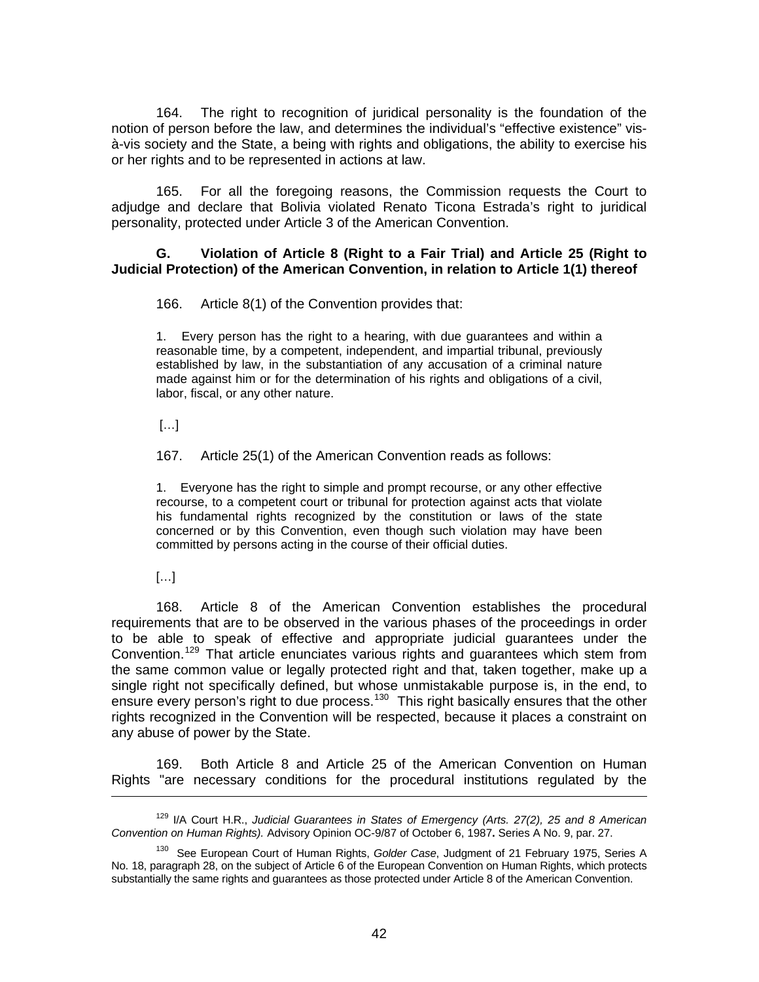164. The right to recognition of juridical personality is the foundation of the notion of person before the law, and determines the individual's "effective existence" visà-vis society and the State, a being with rights and obligations, the ability to exercise his or her rights and to be represented in actions at law.

165. For all the foregoing reasons, the Commission requests the Court to adjudge and declare that Bolivia violated Renato Ticona Estrada's right to juridical personality, protected under Article 3 of the American Convention.

#### **G. Violation of Article 8 (Right to a Fair Trial) and Article 25 (Right to Judicial Protection) of the American Convention, in relation to Article 1(1) thereof**

166. Article 8(1) of the Convention provides that:

1. Every person has the right to a hearing, with due guarantees and within a reasonable time, by a competent, independent, and impartial tribunal, previously established by law, in the substantiation of any accusation of a criminal nature made against him or for the determination of his rights and obligations of a civil, labor, fiscal, or any other nature.

 $[\dots]$ 

167. Article 25(1) of the American Convention reads as follows:

1. Everyone has the right to simple and prompt recourse, or any other effective recourse, to a competent court or tribunal for protection against acts that violate his fundamental rights recognized by the constitution or laws of the state concerned or by this Convention, even though such violation may have been committed by persons acting in the course of their official duties.

[…]

l

168. Article 8 of the American Convention establishes the procedural requirements that are to be observed in the various phases of the proceedings in order to be able to speak of effective and appropriate judicial guarantees under the Convention.<sup>[129](#page-41-0)</sup> That article enunciates various rights and guarantees which stem from the same common value or legally protected right and that, taken together, make up a single right not specifically defined, but whose unmistakable purpose is, in the end, to ensure every person's right to due process.<sup>[130](#page-41-1)</sup> This right basically ensures that the other rights recognized in the Convention will be respected, because it places a constraint on any abuse of power by the State.

169. Both Article 8 and Article 25 of the American Convention on Human Rights "are necessary conditions for the procedural institutions regulated by the

<span id="page-41-0"></span><sup>129</sup> I/A Court H.R., *Judicial Guarantees in States of Emergency (Arts. 27(2), 25 and 8 American Convention on Human Rights).* Advisory Opinion OC-9/87 of October 6, 1987**.** Series A No. 9, par. 27.

<span id="page-41-1"></span><sup>130</sup> See European Court of Human Rights, *Golder Case*, Judgment of 21 February 1975, Series A No. 18, paragraph 28, on the subject of Article 6 of the European Convention on Human Rights, which protects substantially the same rights and guarantees as those protected under Article 8 of the American Convention.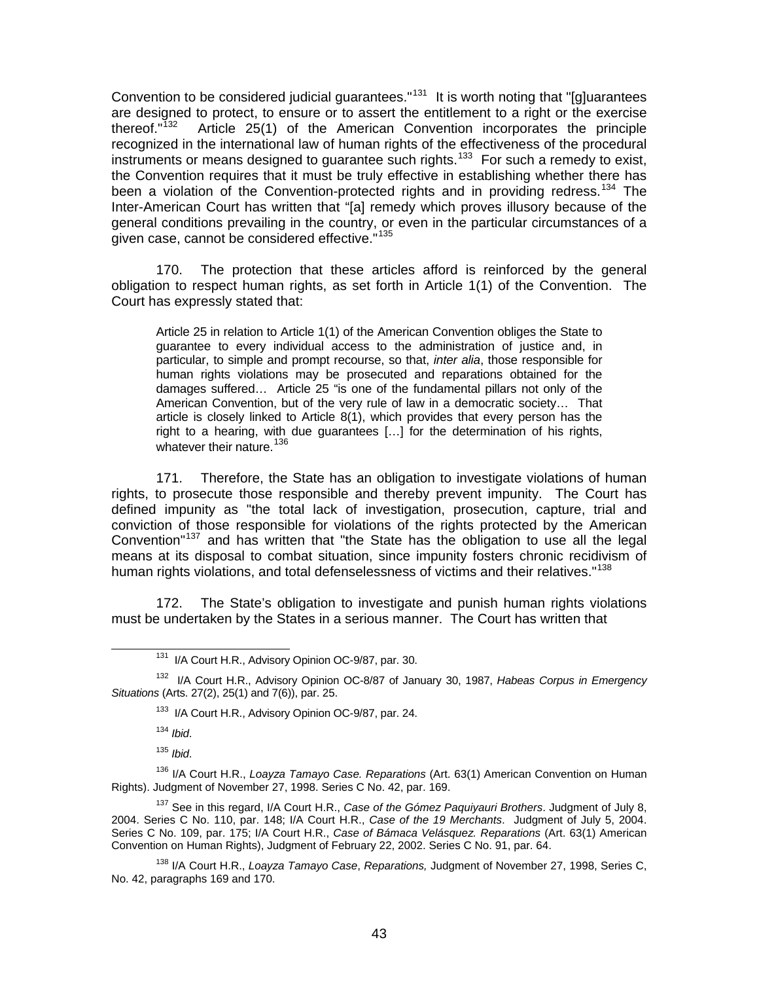Convention to be considered judicial guarantees."<sup>[131](#page-42-0)</sup> It is worth noting that "[g]uarantees are designed to protect, to ensure or to assert the entitlement to a right or the exercise<br>thereof."<sup>132</sup> Article 25(1) of the American Convention incorporates the principle Article 25(1) of the American Convention incorporates the principle recognized in the international law of human rights of the effectiveness of the procedural instruments or means designed to quarantee such rights.<sup>[133](#page-42-2)</sup> For such a remedy to exist, the Convention requires that it must be truly effective in establishing whether there has been a violation of the Convention-protected rights and in providing redress.<sup>[134](#page-42-3)</sup> The Inter-American Court has written that "[a] remedy which proves illusory because of the general conditions prevailing in the country, or even in the particular circumstances of a given case, cannot be considered effective."<sup>[135](#page-42-4)</sup>

170. The protection that these articles afford is reinforced by the general obligation to respect human rights, as set forth in Article 1(1) of the Convention. The Court has expressly stated that:

Article 25 in relation to Article 1(1) of the American Convention obliges the State to guarantee to every individual access to the administration of justice and, in particular, to simple and prompt recourse, so that, *inter alia*, those responsible for human rights violations may be prosecuted and reparations obtained for the damages suffered… Article 25 "is one of the fundamental pillars not only of the American Convention, but of the very rule of law in a democratic society… That article is closely linked to Article 8(1), which provides that every person has the right to a hearing, with due guarantees […] for the determination of his rights, whatever their nature.<sup>[136](#page-42-5)</sup>

171. Therefore, the State has an obligation to investigate violations of human rights, to prosecute those responsible and thereby prevent impunity. The Court has defined impunity as "the total lack of investigation, prosecution, capture, trial and conviction of those responsible for violations of the rights protected by the American Convention"<sup>[137](#page-42-6)</sup> and has written that "the State has the obligation to use all the legal means at its disposal to combat situation, since impunity fosters chronic recidivism of human rights violations, and total defenselessness of victims and their relatives."<sup>[138](#page-42-7)</sup>

172. The State's obligation to investigate and punish human rights violations must be undertaken by the States in a serious manner. The Court has written that

<sup>134</sup> *Ibid*.

<sup>135</sup> *Ibid*.

<span id="page-42-5"></span><span id="page-42-4"></span><span id="page-42-3"></span>136 I/A Court H.R., *Loayza Tamayo Case. Reparations* (Art. 63(1) American Convention on Human Rights). Judgment of November 27, 1998. Series C No. 42, par. 169.

<span id="page-42-6"></span>137 See in this regard, I/A Court H.R., *Case of the Gómez Paquiyauri Brothers*. Judgment of July 8, 2004. Series C No. 110, par. 148; I/A Court H.R., *Case of the 19 Merchants*. Judgment of July 5, 2004. Series C No. 109, par. 175; I/A Court H.R., *Case of Bámaca Velásquez. Reparations* (Art. 63(1) American Convention on Human Rights), Judgment of February 22, 2002. Series C No. 91, par. 64.

<span id="page-42-7"></span>138 I/A Court H.R., *Loayza Tamayo Case*, *Reparations,* Judgment of November 27, 1998, Series C, No. 42, paragraphs 169 and 170.

<sup>&</sup>lt;sup>131</sup> I/A Court H.R., Advisory Opinion OC-9/87, par. 30.

<span id="page-42-2"></span><span id="page-42-1"></span><span id="page-42-0"></span><sup>132</sup> I/A Court H.R., Advisory Opinion OC-8/87 of January 30, 1987, *Habeas Corpus in Emergency Situations* (Arts. 27(2), 25(1) and 7(6)), par. 25.

<sup>&</sup>lt;sup>133</sup> I/A Court H.R., Advisory Opinion OC-9/87, par. 24.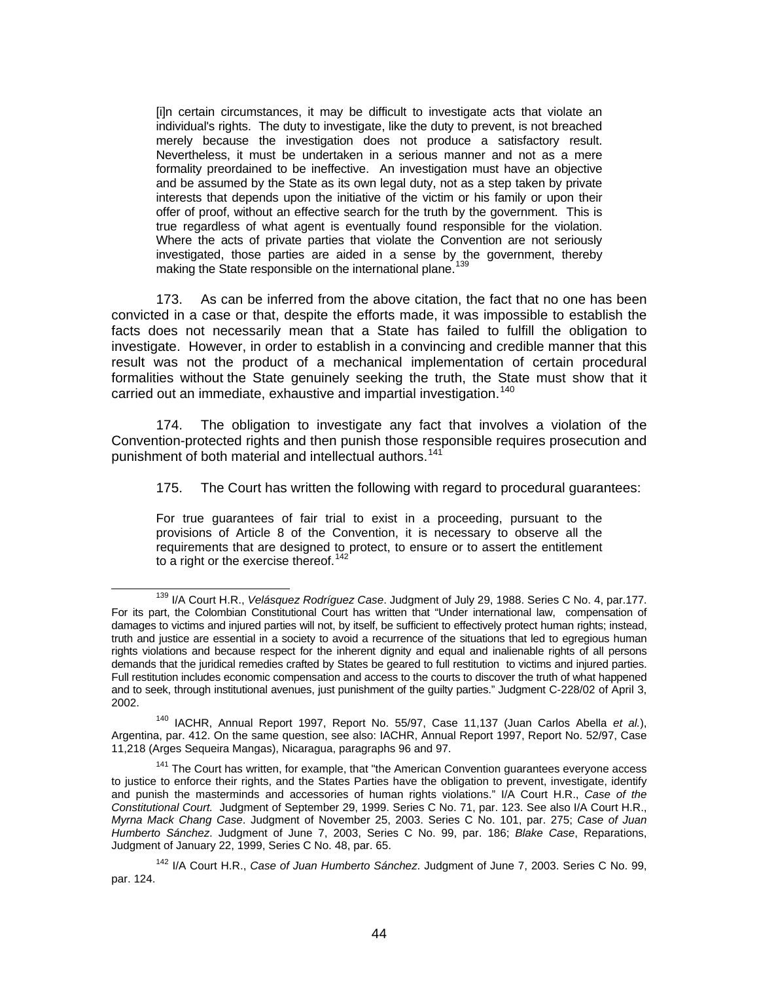[i]n certain circumstances, it may be difficult to investigate acts that violate an individual's rights. The duty to investigate, like the duty to prevent, is not breached merely because the investigation does not produce a satisfactory result. Nevertheless, it must be undertaken in a serious manner and not as a mere formality preordained to be ineffective. An investigation must have an objective and be assumed by the State as its own legal duty, not as a step taken by private interests that depends upon the initiative of the victim or his family or upon their offer of proof, without an effective search for the truth by the government. This is true regardless of what agent is eventually found responsible for the violation. Where the acts of private parties that violate the Convention are not seriously investigated, those parties are aided in a sense by the government, thereby making the State responsible on the international plane.<sup>[139](#page-43-0)</sup>

173. As can be inferred from the above citation, the fact that no one has been convicted in a case or that, despite the efforts made, it was impossible to establish the facts does not necessarily mean that a State has failed to fulfill the obligation to investigate. However, in order to establish in a convincing and credible manner that this result was not the product of a mechanical implementation of certain procedural formalities without the State genuinely seeking the truth, the State must show that it carried out an immediate, exhaustive and impartial investigation.<sup>[140](#page-43-1)</sup>

174. The obligation to investigate any fact that involves a violation of the Convention-protected rights and then punish those responsible requires prosecution and punishment of both material and intellectual authors.<sup>[141](#page-43-2)</sup>

175. The Court has written the following with regard to procedural guarantees:

For true guarantees of fair trial to exist in a proceeding, pursuant to the provisions of Article 8 of the Convention, it is necessary to observe all the requirements that are designed to protect, to ensure or to assert the entitlement to a right or the exercise thereof.  $142$ 

<span id="page-43-0"></span> <sup>139</sup> I/A Court H.R., *Velásquez Rodríguez Case*. Judgment of July 29, 1988. Series C No. 4, par.177. For its part, the Colombian Constitutional Court has written that "Under international law, compensation of damages to victims and injured parties will not, by itself, be sufficient to effectively protect human rights; instead, truth and justice are essential in a society to avoid a recurrence of the situations that led to egregious human rights violations and because respect for the inherent dignity and equal and inalienable rights of all persons demands that the juridical remedies crafted by States be geared to full restitution to victims and injured parties. Full restitution includes economic compensation and access to the courts to discover the truth of what happened and to seek, through institutional avenues, just punishment of the guilty parties." Judgment C-228/02 of April 3, 2002.

<span id="page-43-1"></span><sup>140</sup> IACHR, Annual Report 1997, Report No. 55/97, Case 11,137 (Juan Carlos Abella *et al.*), Argentina, par. 412. On the same question, see also: IACHR, Annual Report 1997, Report No. 52/97, Case 11,218 (Arges Sequeira Mangas), Nicaragua, paragraphs 96 and 97.

<span id="page-43-2"></span><sup>&</sup>lt;sup>141</sup> The Court has written, for example, that "the American Convention guarantees everyone access to justice to enforce their rights, and the States Parties have the obligation to prevent, investigate, identify and punish the masterminds and accessories of human rights violations." I/A Court H.R., *Case of the Constitutional Court.* Judgment of September 29, 1999. Series C No. 71, par. 123. See also I/A Court H.R., *Myrna Mack Chang Case*. Judgment of November 25, 2003. Series C No. 101, par. 275; *Case of Juan Humberto Sánchez*. Judgment of June 7, 2003, Series C No. 99, par. 186; *Blake Case*, Reparations, Judgment of January 22, 1999, Series C No. 48, par. 65.

<span id="page-43-3"></span><sup>142</sup> I/A Court H.R., *Case of Juan Humberto Sánchez*. Judgment of June 7, 2003. Series C No. 99, par. 124.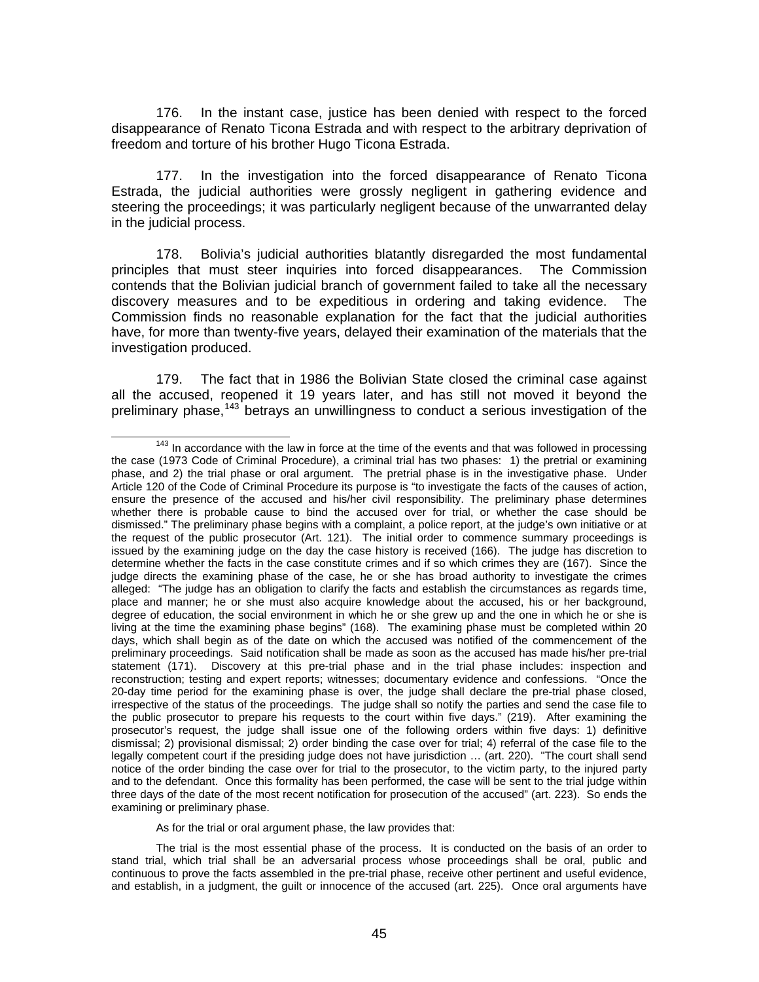176. In the instant case, justice has been denied with respect to the forced disappearance of Renato Ticona Estrada and with respect to the arbitrary deprivation of freedom and torture of his brother Hugo Ticona Estrada.

177. In the investigation into the forced disappearance of Renato Ticona Estrada, the judicial authorities were grossly negligent in gathering evidence and steering the proceedings; it was particularly negligent because of the unwarranted delay in the judicial process.

178. Bolivia's judicial authorities blatantly disregarded the most fundamental principles that must steer inquiries into forced disappearances. The Commission contends that the Bolivian judicial branch of government failed to take all the necessary discovery measures and to be expeditious in ordering and taking evidence. The Commission finds no reasonable explanation for the fact that the judicial authorities have, for more than twenty-five years, delayed their examination of the materials that the investigation produced.

179. The fact that in 1986 the Bolivian State closed the criminal case against all the accused, reopened it 19 years later, and has still not moved it beyond the preliminary phase,<sup>[143](#page-44-0)</sup> betrays an unwillingness to conduct a serious investigation of the

As for the trial or oral argument phase, the law provides that:

The trial is the most essential phase of the process. It is conducted on the basis of an order to stand trial, which trial shall be an adversarial process whose proceedings shall be oral, public and continuous to prove the facts assembled in the pre-trial phase, receive other pertinent and useful evidence, and establish, in a judgment, the guilt or innocence of the accused (art. 225). Once oral arguments have

<span id="page-44-0"></span> $143$  In accordance with the law in force at the time of the events and that was followed in processing the case (1973 Code of Criminal Procedure), a criminal trial has two phases: 1) the pretrial or examining phase, and 2) the trial phase or oral argument. The pretrial phase is in the investigative phase. Under Article 120 of the Code of Criminal Procedure its purpose is "to investigate the facts of the causes of action, ensure the presence of the accused and his/her civil responsibility. The preliminary phase determines whether there is probable cause to bind the accused over for trial, or whether the case should be dismissed." The preliminary phase begins with a complaint, a police report, at the judge's own initiative or at the request of the public prosecutor (Art. 121). The initial order to commence summary proceedings is issued by the examining judge on the day the case history is received (166). The judge has discretion to determine whether the facts in the case constitute crimes and if so which crimes they are (167). Since the judge directs the examining phase of the case, he or she has broad authority to investigate the crimes alleged: "The judge has an obligation to clarify the facts and establish the circumstances as regards time, place and manner; he or she must also acquire knowledge about the accused, his or her background, degree of education, the social environment in which he or she grew up and the one in which he or she is living at the time the examining phase begins" (168). The examining phase must be completed within 20 days, which shall begin as of the date on which the accused was notified of the commencement of the preliminary proceedings. Said notification shall be made as soon as the accused has made his/her pre-trial statement (171). Discovery at this pre-trial phase and in the trial phase includes: inspection and reconstruction; testing and expert reports; witnesses; documentary evidence and confessions. "Once the 20-day time period for the examining phase is over, the judge shall declare the pre-trial phase closed, irrespective of the status of the proceedings. The judge shall so notify the parties and send the case file to the public prosecutor to prepare his requests to the court within five days." (219). After examining the prosecutor's request, the judge shall issue one of the following orders within five days: 1) definitive dismissal; 2) provisional dismissal; 2) order binding the case over for trial; 4) referral of the case file to the legally competent court if the presiding judge does not have jurisdiction … (art. 220). "The court shall send notice of the order binding the case over for trial to the prosecutor, to the victim party, to the injured party and to the defendant. Once this formality has been performed, the case will be sent to the trial judge within three days of the date of the most recent notification for prosecution of the accused" (art. 223). So ends the examining or preliminary phase.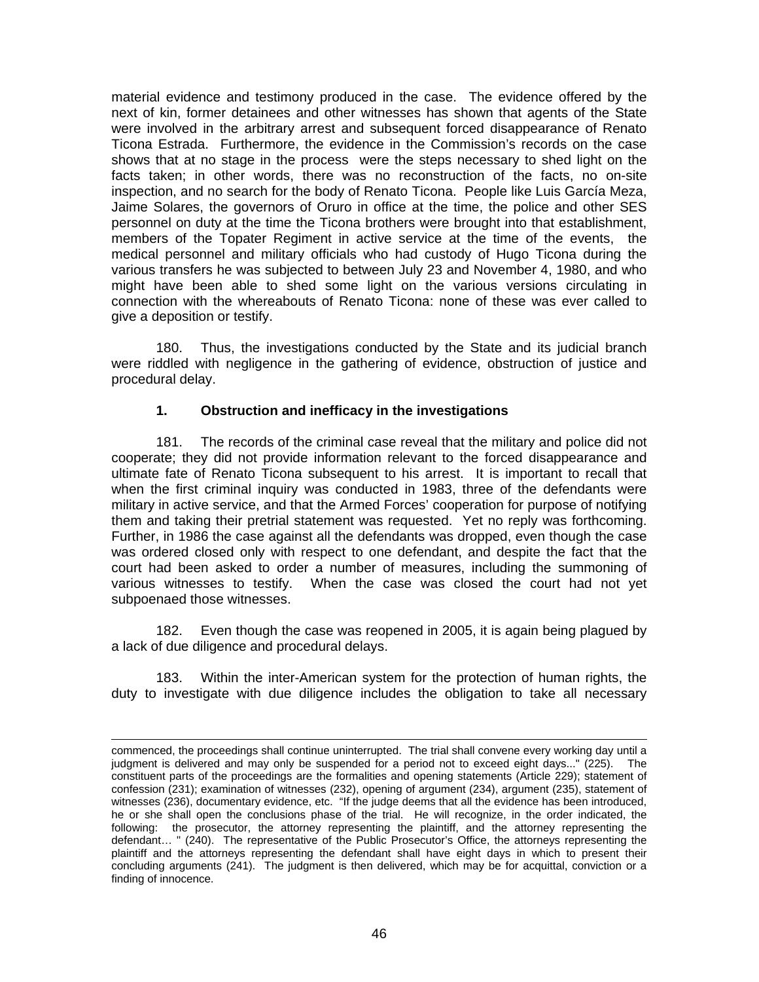material evidence and testimony produced in the case. The evidence offered by the next of kin, former detainees and other witnesses has shown that agents of the State were involved in the arbitrary arrest and subsequent forced disappearance of Renato Ticona Estrada. Furthermore, the evidence in the Commission's records on the case shows that at no stage in the process were the steps necessary to shed light on the facts taken; in other words, there was no reconstruction of the facts, no on-site inspection, and no search for the body of Renato Ticona. People like Luis García Meza, Jaime Solares, the governors of Oruro in office at the time, the police and other SES personnel on duty at the time the Ticona brothers were brought into that establishment, members of the Topater Regiment in active service at the time of the events, the medical personnel and military officials who had custody of Hugo Ticona during the various transfers he was subjected to between July 23 and November 4, 1980, and who might have been able to shed some light on the various versions circulating in connection with the whereabouts of Renato Ticona: none of these was ever called to give a deposition or testify.

180. Thus, the investigations conducted by the State and its judicial branch were riddled with negligence in the gathering of evidence, obstruction of justice and procedural delay.

### **1. Obstruction and inefficacy in the investigations**

181. The records of the criminal case reveal that the military and police did not cooperate; they did not provide information relevant to the forced disappearance and ultimate fate of Renato Ticona subsequent to his arrest. It is important to recall that when the first criminal inquiry was conducted in 1983, three of the defendants were military in active service, and that the Armed Forces' cooperation for purpose of notifying them and taking their pretrial statement was requested. Yet no reply was forthcoming. Further, in 1986 the case against all the defendants was dropped, even though the case was ordered closed only with respect to one defendant, and despite the fact that the court had been asked to order a number of measures, including the summoning of various witnesses to testify. When the case was closed the court had not yet subpoenaed those witnesses.

182. Even though the case was reopened in 2005, it is again being plagued by a lack of due diligence and procedural delays.

183. Within the inter-American system for the protection of human rights, the duty to investigate with due diligence includes the obligation to take all necessary

l

commenced, the proceedings shall continue uninterrupted. The trial shall convene every working day until a judgment is delivered and may only be suspended for a period not to exceed eight days..." (225). The constituent parts of the proceedings are the formalities and opening statements (Article 229); statement of confession (231); examination of witnesses (232), opening of argument (234), argument (235), statement of witnesses (236), documentary evidence, etc. "If the judge deems that all the evidence has been introduced, he or she shall open the conclusions phase of the trial. He will recognize, in the order indicated, the following: the prosecutor, the attorney representing the plaintiff, and the attorney representing the defendant… " (240). The representative of the Public Prosecutor's Office, the attorneys representing the plaintiff and the attorneys representing the defendant shall have eight days in which to present their concluding arguments (241). The judgment is then delivered, which may be for acquittal, conviction or a finding of innocence.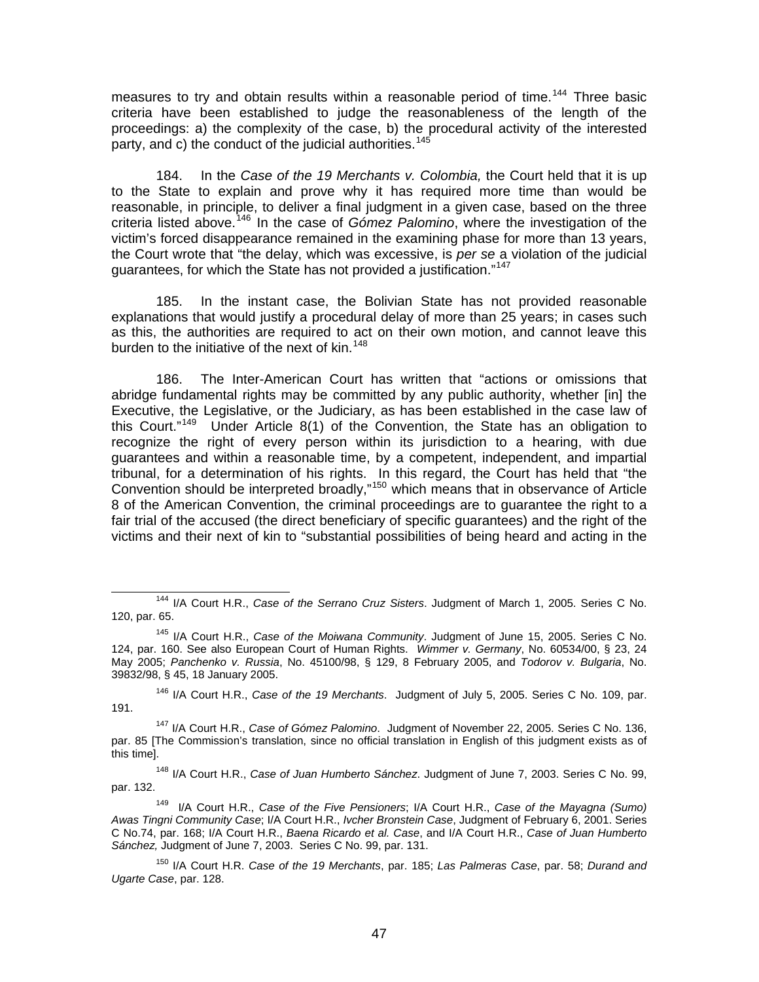measures to try and obtain results within a reasonable period of time.<sup>[144](#page-46-0)</sup> Three basic criteria have been established to judge the reasonableness of the length of the proceedings: a) the complexity of the case, b) the procedural activity of the interested party, and c) the conduct of the judicial authorities.<sup>[145](#page-46-1)</sup>

184. In the *Case of the 19 Merchants v. Colombia,* the Court held that it is up to the State to explain and prove why it has required more time than would be reasonable, in principle, to deliver a final judgment in a given case, based on the three criteria listed above.<sup>[146](#page-46-2)</sup> In the case of *Gómez Palomino*, where the investigation of the victim's forced disappearance remained in the examining phase for more than 13 years, the Court wrote that "the delay, which was excessive, is *per se* a violation of the judicial guarantees, for which the State has not provided a justification."<sup>[147](#page-46-3)</sup>

185. In the instant case, the Bolivian State has not provided reasonable explanations that would justify a procedural delay of more than 25 years; in cases such as this, the authorities are required to act on their own motion, and cannot leave this burden to the initiative of the next of kin.<sup>[148](#page-46-4)</sup>

186. The Inter-American Court has written that "actions or omissions that abridge fundamental rights may be committed by any public authority, whether [in] the Executive, the Legislative, or the Judiciary, as has been established in the case law of this Court."[149](#page-46-5) Under Article 8(1) of the Convention, the State has an obligation to recognize the right of every person within its jurisdiction to a hearing, with due guarantees and within a reasonable time, by a competent, independent, and impartial tribunal, for a determination of his rights. In this regard, the Court has held that "the Convention should be interpreted broadly,"[150](#page-46-6) which means that in observance of Article 8 of the American Convention, the criminal proceedings are to guarantee the right to a fair trial of the accused (the direct beneficiary of specific guarantees) and the right of the victims and their next of kin to "substantial possibilities of being heard and acting in the

<span id="page-46-2"></span>146 I/A Court H.R., *Case of the 19 Merchants*. Judgment of July 5, 2005. Series C No. 109, par. 191.

<span id="page-46-3"></span>147 I/A Court H.R., *Case of Gómez Palomino*. Judgment of November 22, 2005. Series C No. 136, par. 85 [The Commission's translation, since no official translation in English of this judgment exists as of this time].

<span id="page-46-4"></span>148 I/A Court H.R., *Case of Juan Humberto Sánchez*. Judgment of June 7, 2003. Series C No. 99, par. 132.

<span id="page-46-5"></span>149 I/A Court H.R., *Case of the Five Pensioners*; I/A Court H.R., *Case of the Mayagna (Sumo) Awas Tingni Community Case*; I/A Court H.R., *Ivcher Bronstein Case*, Judgment of February 6, 2001. Series C No.74, par. 168; I/A Court H.R., *Baena Ricardo et al. Case*, and I/A Court H.R., *Case of Juan Humberto Sánchez,* Judgment of June 7, 2003. Series C No. 99, par. 131.

<span id="page-46-6"></span>150 I/A Court H.R. *Case of the 19 Merchants*, par. 185; *Las Palmeras Case*, par. 58; *Durand and Ugarte Case*, par. 128.

<span id="page-46-0"></span> <sup>144</sup> I/A Court H.R., *Case of the Serrano Cruz Sisters*. Judgment of March 1, 2005. Series C No. 120, par. 65.

<span id="page-46-1"></span><sup>145</sup> I/A Court H.R., *Case of the Moiwana Community*. Judgment of June 15, 2005. Series C No. 124, par. 160. See also European Court of Human Rights. *Wimmer v. Germany*, No. 60534/00, § 23, 24 May 2005; *Panchenko v. Russia*, No. 45100/98, § 129, 8 February 2005, and *Todorov v. Bulgaria*, No. 39832/98, § 45, 18 January 2005.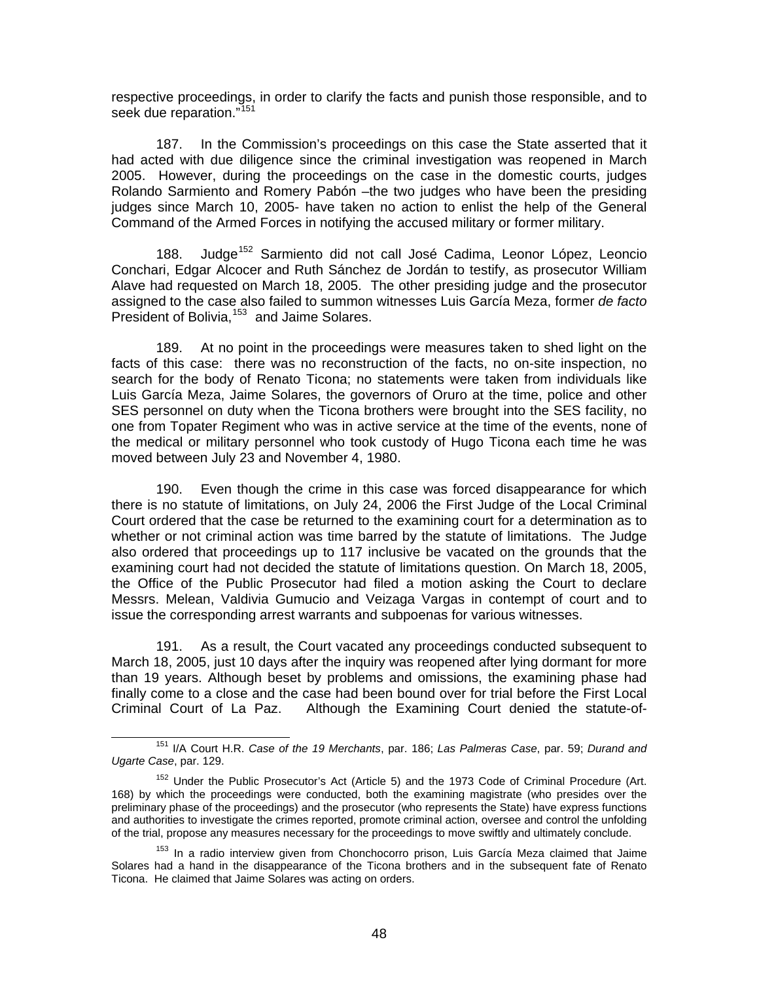respective proceedings, in order to clarify the facts and punish those responsible, and to seek due reparation."<sup>[151](#page-47-0)</sup>

187. In the Commission's proceedings on this case the State asserted that it had acted with due diligence since the criminal investigation was reopened in March 2005. However, during the proceedings on the case in the domestic courts, judges Rolando Sarmiento and Romery Pabón –the two judges who have been the presiding judges since March 10, 2005- have taken no action to enlist the help of the General Command of the Armed Forces in notifying the accused military or former military.

188. Judge<sup>[152](#page-47-1)</sup> Sarmiento did not call José Cadima, Leonor López, Leoncio Conchari, Edgar Alcocer and Ruth Sánchez de Jordán to testify, as prosecutor William Alave had requested on March 18, 2005. The other presiding judge and the prosecutor assigned to the case also failed to summon witnesses Luis García Meza, former *de facto*  President of Bolivia,<sup>[153](#page-47-2)</sup> and Jaime Solares.

189. At no point in the proceedings were measures taken to shed light on the facts of this case: there was no reconstruction of the facts, no on-site inspection, no search for the body of Renato Ticona; no statements were taken from individuals like Luis García Meza, Jaime Solares, the governors of Oruro at the time, police and other SES personnel on duty when the Ticona brothers were brought into the SES facility, no one from Topater Regiment who was in active service at the time of the events, none of the medical or military personnel who took custody of Hugo Ticona each time he was moved between July 23 and November 4, 1980.

190. Even though the crime in this case was forced disappearance for which there is no statute of limitations, on July 24, 2006 the First Judge of the Local Criminal Court ordered that the case be returned to the examining court for a determination as to whether or not criminal action was time barred by the statute of limitations. The Judge also ordered that proceedings up to 117 inclusive be vacated on the grounds that the examining court had not decided the statute of limitations question. On March 18, 2005, the Office of the Public Prosecutor had filed a motion asking the Court to declare Messrs. Melean, Valdivia Gumucio and Veizaga Vargas in contempt of court and to issue the corresponding arrest warrants and subpoenas for various witnesses.

191. As a result, the Court vacated any proceedings conducted subsequent to March 18, 2005, just 10 days after the inquiry was reopened after lying dormant for more than 19 years. Although beset by problems and omissions, the examining phase had finally come to a close and the case had been bound over for trial before the First Local Criminal Court of La Paz. Although the Examining Court denied the statute-of-

<span id="page-47-0"></span> <sup>151</sup> I/A Court H.R. *Case of the 19 Merchants*, par. 186; *Las Palmeras Case*, par. 59; *Durand and Ugarte Case*, par. 129.

<span id="page-47-1"></span><sup>&</sup>lt;sup>152</sup> Under the Public Prosecutor's Act (Article 5) and the 1973 Code of Criminal Procedure (Art. 168) by which the proceedings were conducted, both the examining magistrate (who presides over the preliminary phase of the proceedings) and the prosecutor (who represents the State) have express functions and authorities to investigate the crimes reported, promote criminal action, oversee and control the unfolding of the trial, propose any measures necessary for the proceedings to move swiftly and ultimately conclude.

<span id="page-47-2"></span><sup>&</sup>lt;sup>153</sup> In a radio interview given from Chonchocorro prison, Luis García Meza claimed that Jaime Solares had a hand in the disappearance of the Ticona brothers and in the subsequent fate of Renato Ticona. He claimed that Jaime Solares was acting on orders.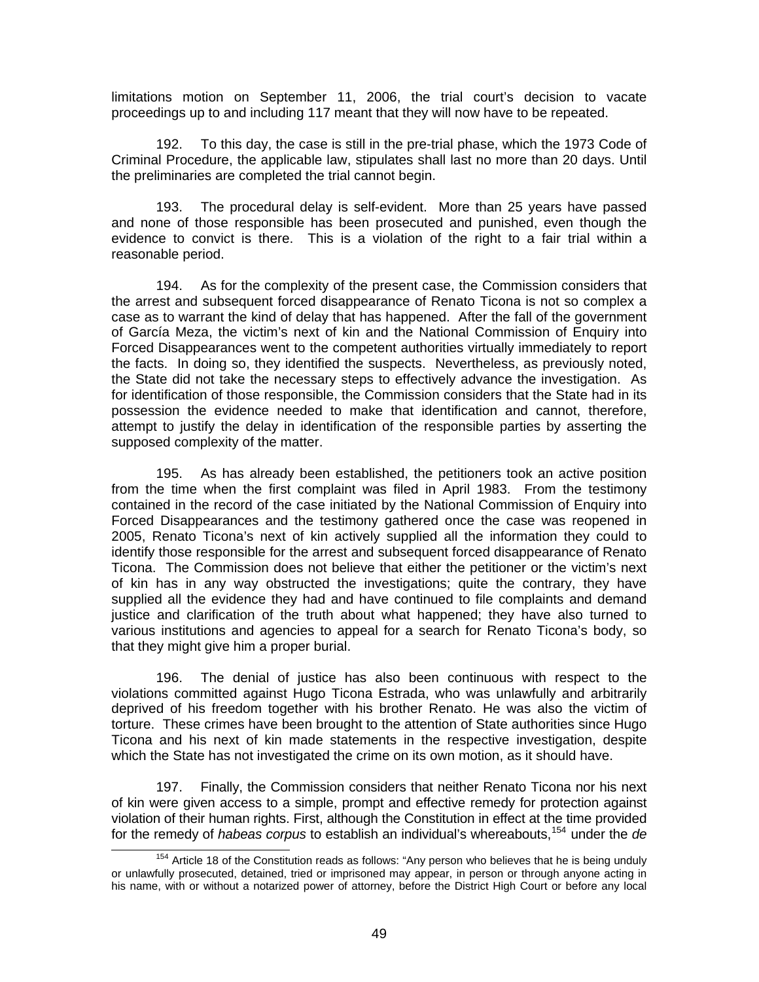limitations motion on September 11, 2006, the trial court's decision to vacate proceedings up to and including 117 meant that they will now have to be repeated.

192. To this day, the case is still in the pre-trial phase, which the 1973 Code of Criminal Procedure, the applicable law, stipulates shall last no more than 20 days. Until the preliminaries are completed the trial cannot begin.

193. The procedural delay is self-evident. More than 25 years have passed and none of those responsible has been prosecuted and punished, even though the evidence to convict is there. This is a violation of the right to a fair trial within a reasonable period.

194. As for the complexity of the present case, the Commission considers that the arrest and subsequent forced disappearance of Renato Ticona is not so complex a case as to warrant the kind of delay that has happened. After the fall of the government of García Meza, the victim's next of kin and the National Commission of Enquiry into Forced Disappearances went to the competent authorities virtually immediately to report the facts. In doing so, they identified the suspects. Nevertheless, as previously noted, the State did not take the necessary steps to effectively advance the investigation. As for identification of those responsible, the Commission considers that the State had in its possession the evidence needed to make that identification and cannot, therefore, attempt to justify the delay in identification of the responsible parties by asserting the supposed complexity of the matter.

195. As has already been established, the petitioners took an active position from the time when the first complaint was filed in April 1983. From the testimony contained in the record of the case initiated by the National Commission of Enquiry into Forced Disappearances and the testimony gathered once the case was reopened in 2005, Renato Ticona's next of kin actively supplied all the information they could to identify those responsible for the arrest and subsequent forced disappearance of Renato Ticona. The Commission does not believe that either the petitioner or the victim's next of kin has in any way obstructed the investigations; quite the contrary, they have supplied all the evidence they had and have continued to file complaints and demand justice and clarification of the truth about what happened; they have also turned to various institutions and agencies to appeal for a search for Renato Ticona's body, so that they might give him a proper burial.

196. The denial of justice has also been continuous with respect to the violations committed against Hugo Ticona Estrada, who was unlawfully and arbitrarily deprived of his freedom together with his brother Renato. He was also the victim of torture. These crimes have been brought to the attention of State authorities since Hugo Ticona and his next of kin made statements in the respective investigation, despite which the State has not investigated the crime on its own motion, as it should have.

197. Finally, the Commission considers that neither Renato Ticona nor his next of kin were given access to a simple, prompt and effective remedy for protection against violation of their human rights. First, although the Constitution in effect at the time provided for the remedy of *habeas corpus* to establish an individual's whereabouts,[154](#page-48-0) under the *de* 

<span id="page-48-0"></span><sup>&</sup>lt;sup>154</sup> Article 18 of the Constitution reads as follows: "Any person who believes that he is being unduly or unlawfully prosecuted, detained, tried or imprisoned may appear, in person or through anyone acting in his name, with or without a notarized power of attorney, before the District High Court or before any local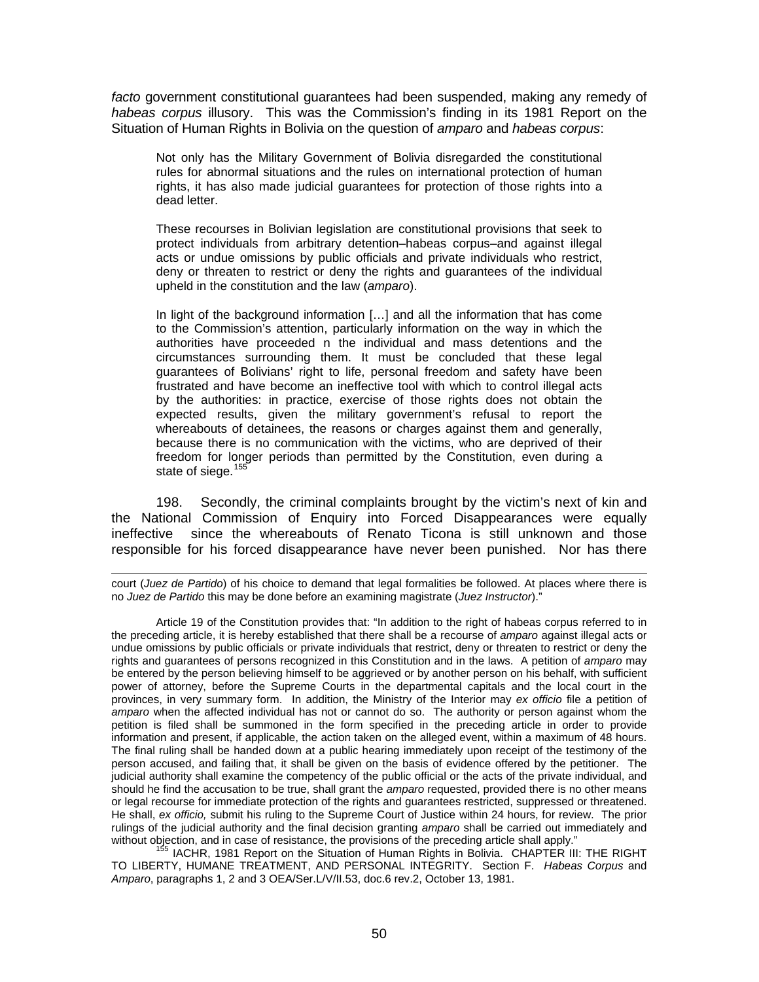*facto* government constitutional guarantees had been suspended, making any remedy of *habeas corpus* illusory. This was the Commission's finding in its 1981 Report on the Situation of Human Rights in Bolivia on the question of *amparo* and *habeas corpus*:

Not only has the Military Government of Bolivia disregarded the constitutional rules for abnormal situations and the rules on international protection of human rights, it has also made judicial guarantees for protection of those rights into a dead letter.

These recourses in Bolivian legislation are constitutional provisions that seek to protect individuals from arbitrary detention–habeas corpus–and against illegal acts or undue omissions by public officials and private individuals who restrict, deny or threaten to restrict or deny the rights and guarantees of the individual upheld in the constitution and the law (*amparo*).

In light of the background information […] and all the information that has come to the Commission's attention, particularly information on the way in which the authorities have proceeded n the individual and mass detentions and the circumstances surrounding them. It must be concluded that these legal guarantees of Bolivians' right to life, personal freedom and safety have been frustrated and have become an ineffective tool with which to control illegal acts by the authorities: in practice, exercise of those rights does not obtain the expected results, given the military government's refusal to report the whereabouts of detainees, the reasons or charges against them and generally, because there is no communication with the victims, who are deprived of their freedom for longer periods than permitted by the Constitution, even during a state of siege.<sup>[155](#page-49-0)</sup>

198. Secondly, the criminal complaints brought by the victim's next of kin and the National Commission of Enquiry into Forced Disappearances were equally ineffective since the whereabouts of Renato Ticona is still unknown and those responsible for his forced disappearance have never been punished. Nor has there

court (*Juez de Partido*) of his choice to demand that legal formalities be followed. At places where there is no *Juez de Partido* this may be done before an examining magistrate (*Juez Instructor*)."

l

Article 19 of the Constitution provides that: "In addition to the right of habeas corpus referred to in the preceding article, it is hereby established that there shall be a recourse of *amparo* against illegal acts or undue omissions by public officials or private individuals that restrict, deny or threaten to restrict or deny the rights and guarantees of persons recognized in this Constitution and in the laws. A petition of *amparo* may be entered by the person believing himself to be aggrieved or by another person on his behalf, with sufficient power of attorney, before the Supreme Courts in the departmental capitals and the local court in the provinces, in very summary form. In addition, the Ministry of the Interior may *ex officio* file a petition of *amparo* when the affected individual has not or cannot do so. The authority or person against whom the petition is filed shall be summoned in the form specified in the preceding article in order to provide information and present, if applicable, the action taken on the alleged event, within a maximum of 48 hours. The final ruling shall be handed down at a public hearing immediately upon receipt of the testimony of the person accused, and failing that, it shall be given on the basis of evidence offered by the petitioner. The judicial authority shall examine the competency of the public official or the acts of the private individual, and should he find the accusation to be true, shall grant the *amparo* requested, provided there is no other means or legal recourse for immediate protection of the rights and guarantees restricted, suppressed or threatened. He shall, *ex officio,* submit his ruling to the Supreme Court of Justice within 24 hours, for review. The prior rulings of the judicial authority and the final decision granting *amparo* shall be carried out immediately and<br>without objection, and in case of resistance, the provisions of the preceding article shall apply."

<span id="page-49-0"></span>IACHR, 1981 Report on the Situation of Human Rights in Bolivia. CHAPTER III: THE RIGHT TO LIBERTY, HUMANE TREATMENT, AND PERSONAL INTEGRITY. Section F. *Habeas Corpus* and *Amparo*, paragraphs 1, 2 and 3 OEA/Ser.L/V/II.53, doc.6 rev.2, October 13, 1981.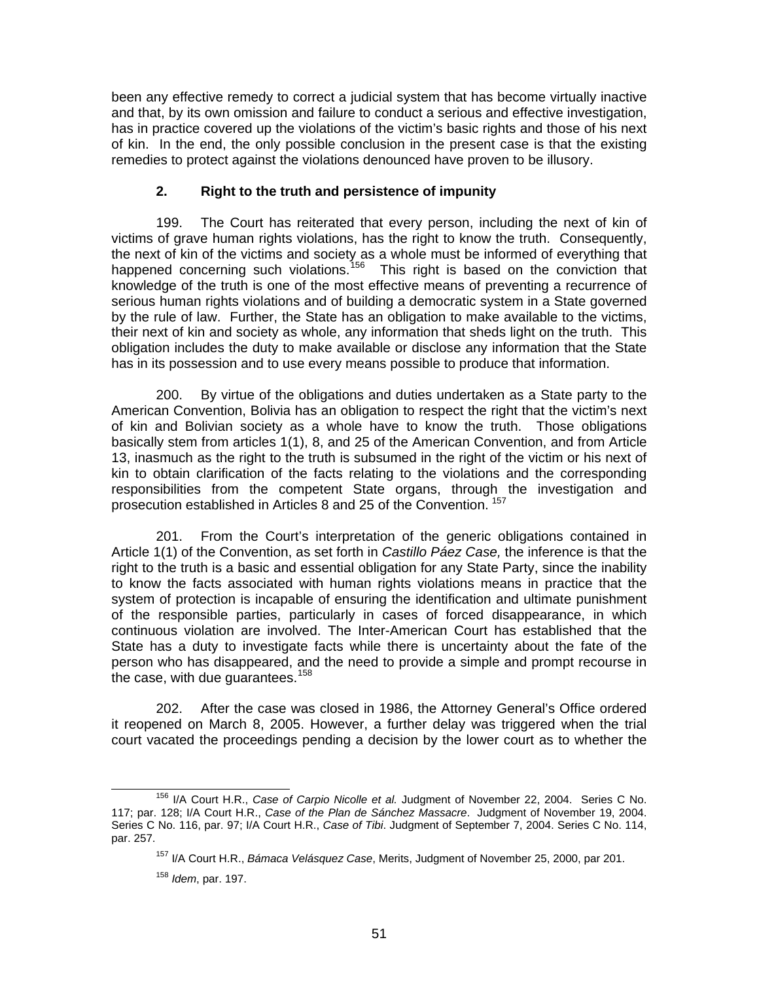been any effective remedy to correct a judicial system that has become virtually inactive and that, by its own omission and failure to conduct a serious and effective investigation, has in practice covered up the violations of the victim's basic rights and those of his next of kin. In the end, the only possible conclusion in the present case is that the existing remedies to protect against the violations denounced have proven to be illusory.

### **2. Right to the truth and persistence of impunity**

199. The Court has reiterated that every person, including the next of kin of victims of grave human rights violations, has the right to know the truth. Consequently, the next of kin of the victims and society as a whole must be informed of everything that happened concerning such violations.<sup>[156](#page-50-0)</sup> This right is based on the conviction that knowledge of the truth is one of the most effective means of preventing a recurrence of serious human rights violations and of building a democratic system in a State governed by the rule of law. Further, the State has an obligation to make available to the victims, their next of kin and society as whole, any information that sheds light on the truth. This obligation includes the duty to make available or disclose any information that the State has in its possession and to use every means possible to produce that information.

200. By virtue of the obligations and duties undertaken as a State party to the American Convention, Bolivia has an obligation to respect the right that the victim's next of kin and Bolivian society as a whole have to know the truth. Those obligations basically stem from articles 1(1), 8, and 25 of the American Convention, and from Article 13, inasmuch as the right to the truth is subsumed in the right of the victim or his next of kin to obtain clarification of the facts relating to the violations and the corresponding responsibilities from the competent State organs, through the investigation and prosecution established in Articles 8 and 25 of the Convention. [157](#page-50-1)

201. From the Court's interpretation of the generic obligations contained in Article 1(1) of the Convention, as set forth in *Castillo Páez Case,* the inference is that the right to the truth is a basic and essential obligation for any State Party, since the inability to know the facts associated with human rights violations means in practice that the system of protection is incapable of ensuring the identification and ultimate punishment of the responsible parties, particularly in cases of forced disappearance, in which continuous violation are involved. The Inter-American Court has established that the State has a duty to investigate facts while there is uncertainty about the fate of the person who has disappeared, and the need to provide a simple and prompt recourse in the case, with due guarantees. $158$ 

202. After the case was closed in 1986, the Attorney General's Office ordered it reopened on March 8, 2005. However, a further delay was triggered when the trial court vacated the proceedings pending a decision by the lower court as to whether the

<span id="page-50-2"></span><span id="page-50-1"></span><span id="page-50-0"></span> <sup>156</sup> I/A Court H.R., *Case of Carpio Nicolle et al.* Judgment of November 22, 2004. Series C No. 117; par. 128; I/A Court H.R., *Case of the Plan de Sánchez Massacre*. Judgment of November 19, 2004. Series C No. 116, par. 97; I/A Court H.R., *Case of Tibi*. Judgment of September 7, 2004. Series C No. 114, par. 257.

<sup>157</sup> I/A Court H.R., *Bámaca Velásquez Case*, Merits, Judgment of November 25, 2000, par 201.

<sup>158</sup> *Idem*, par. 197.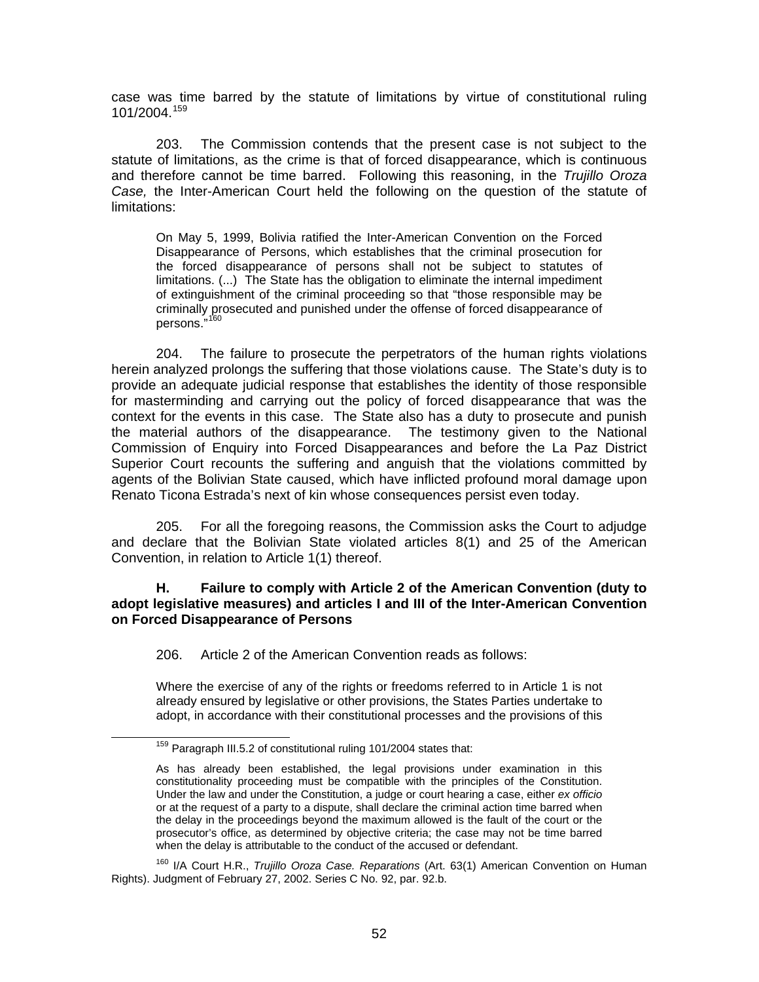case was time barred by the statute of limitations by virtue of constitutional ruling  $101/2004$ <sup> $159$ </sup>

203. The Commission contends that the present case is not subject to the statute of limitations, as the crime is that of forced disappearance, which is continuous and therefore cannot be time barred. Following this reasoning, in the *Trujillo Oroza Case,* the Inter-American Court held the following on the question of the statute of limitations:

On May 5, 1999, Bolivia ratified the Inter-American Convention on the Forced Disappearance of Persons, which establishes that the criminal prosecution for the forced disappearance of persons shall not be subject to statutes of limitations. (...) The State has the obligation to eliminate the internal impediment of extinguishment of the criminal proceeding so that "those responsible may be criminally prosecuted and punished under the offense of forced disappearance of persons."

204. The failure to prosecute the perpetrators of the human rights violations herein analyzed prolongs the suffering that those violations cause. The State's duty is to provide an adequate judicial response that establishes the identity of those responsible for masterminding and carrying out the policy of forced disappearance that was the context for the events in this case. The State also has a duty to prosecute and punish the material authors of the disappearance. The testimony given to the National Commission of Enquiry into Forced Disappearances and before the La Paz District Superior Court recounts the suffering and anguish that the violations committed by agents of the Bolivian State caused, which have inflicted profound moral damage upon Renato Ticona Estrada's next of kin whose consequences persist even today.

205. For all the foregoing reasons, the Commission asks the Court to adjudge and declare that the Bolivian State violated articles 8(1) and 25 of the American Convention, in relation to Article 1(1) thereof.

#### **H. Failure to comply with Article 2 of the American Convention (duty to adopt legislative measures) and articles I and III of the Inter-American Convention on Forced Disappearance of Persons**

206. Article 2 of the American Convention reads as follows:

Where the exercise of any of the rights or freedoms referred to in Article 1 is not already ensured by legislative or other provisions, the States Parties undertake to adopt, in accordance with their constitutional processes and the provisions of this

<span id="page-51-1"></span>160 I/A Court H.R., *Trujillo Oroza Case. Reparations* (Art. 63(1) American Convention on Human Rights). Judgment of February 27, 2002. Series C No. 92, par. 92.b.

<span id="page-51-0"></span> <sup>159</sup> Paragraph III.5.2 of constitutional ruling 101/2004 states that:

As has already been established, the legal provisions under examination in this constitutionality proceeding must be compatible with the principles of the Constitution. Under the law and under the Constitution, a judge or court hearing a case, either *ex officio*  or at the request of a party to a dispute, shall declare the criminal action time barred when the delay in the proceedings beyond the maximum allowed is the fault of the court or the prosecutor's office, as determined by objective criteria; the case may not be time barred when the delay is attributable to the conduct of the accused or defendant.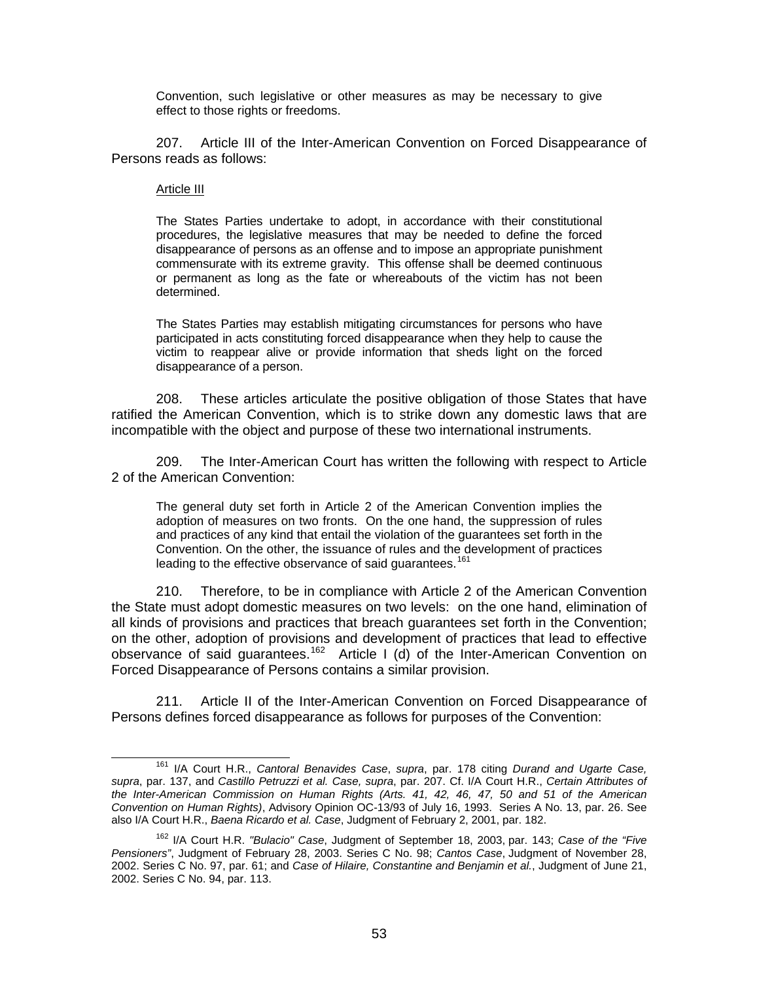Convention, such legislative or other measures as may be necessary to give effect to those rights or freedoms.

207. Article III of the Inter-American Convention on Forced Disappearance of Persons reads as follows:

#### Article III

The States Parties undertake to adopt, in accordance with their constitutional procedures, the legislative measures that may be needed to define the forced disappearance of persons as an offense and to impose an appropriate punishment commensurate with its extreme gravity. This offense shall be deemed continuous or permanent as long as the fate or whereabouts of the victim has not been determined.

The States Parties may establish mitigating circumstances for persons who have participated in acts constituting forced disappearance when they help to cause the victim to reappear alive or provide information that sheds light on the forced disappearance of a person.

208. These articles articulate the positive obligation of those States that have ratified the American Convention, which is to strike down any domestic laws that are incompatible with the object and purpose of these two international instruments.

209. The Inter-American Court has written the following with respect to Article 2 of the American Convention:

The general duty set forth in Article 2 of the American Convention implies the adoption of measures on two fronts. On the one hand, the suppression of rules and practices of any kind that entail the violation of the guarantees set forth in the Convention. On the other, the issuance of rules and the development of practices leading to the effective observance of said guarantees.<sup>[161](#page-52-0)</sup>

210. Therefore, to be in compliance with Article 2 of the American Convention the State must adopt domestic measures on two levels: on the one hand, elimination of all kinds of provisions and practices that breach guarantees set forth in the Convention; on the other, adoption of provisions and development of practices that lead to effective observance of said guarantees.<sup>[162](#page-52-1)</sup> Article I (d) of the Inter-American Convention on Forced Disappearance of Persons contains a similar provision.

211. Article II of the Inter-American Convention on Forced Disappearance of Persons defines forced disappearance as follows for purposes of the Convention:

<span id="page-52-0"></span> <sup>161</sup> I/A Court H.R., *Cantoral Benavides Case*, *supra*, par. 178 citing *Durand and Ugarte Case, supra*, par. 137, and *Castillo Petruzzi et al. Case, supra*, par. 207. Cf. I/A Court H.R., *Certain Attributes of the Inter-American Commission on Human Rights (Arts. 41, 42, 46, 47, 50 and 51 of the American Convention on Human Rights)*, Advisory Opinion OC-13/93 of July 16, 1993. Series A No. 13, par. 26. See also I/A Court H.R., *Baena Ricardo et al. Case*, Judgment of February 2, 2001, par. 182.

<span id="page-52-1"></span><sup>162</sup> I/A Court H.R. *"Bulacio" Case*, Judgment of September 18, 2003, par. 143; *Case of the "Five Pensioners"*, Judgment of February 28, 2003. Series C No. 98; *Cantos Case*, Judgment of November 28, 2002. Series C No. 97, par. 61; and *Case of Hilaire, Constantine and Benjamin et al.*, Judgment of June 21, 2002. Series C No. 94, par. 113.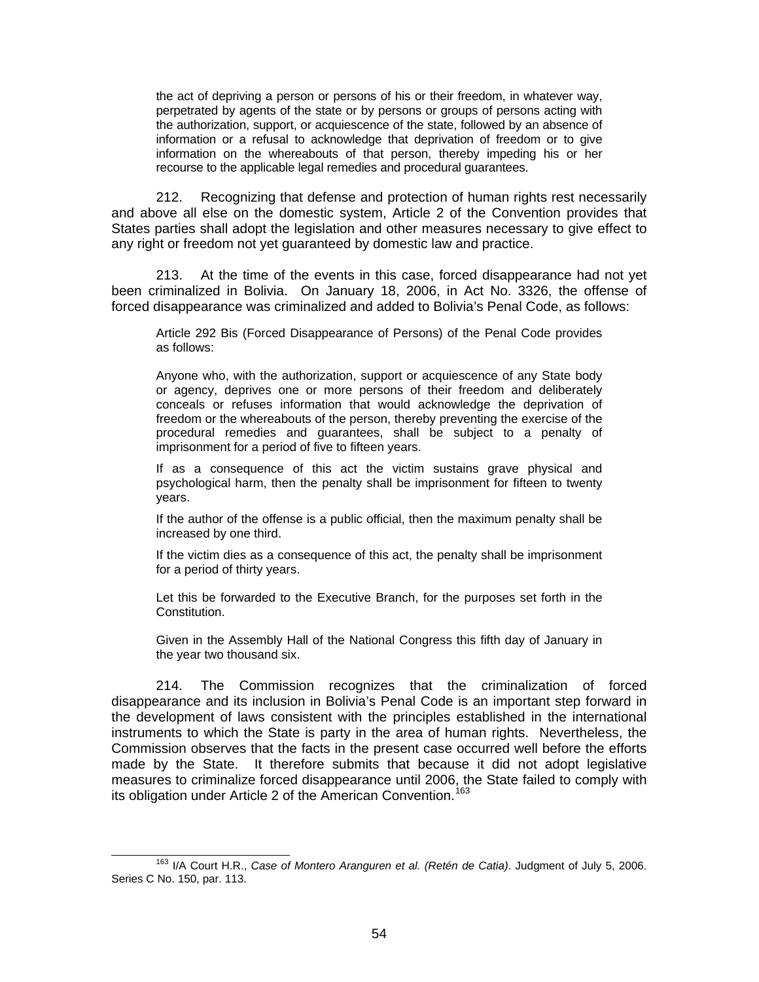the act of depriving a person or persons of his or their freedom, in whatever way, perpetrated by agents of the state or by persons or groups of persons acting with the authorization, support, or acquiescence of the state, followed by an absence of information or a refusal to acknowledge that deprivation of freedom or to give information on the whereabouts of that person, thereby impeding his or her recourse to the applicable legal remedies and procedural guarantees.

212. Recognizing that defense and protection of human rights rest necessarily and above all else on the domestic system, Article 2 of the Convention provides that States parties shall adopt the legislation and other measures necessary to give effect to any right or freedom not yet guaranteed by domestic law and practice.

213. At the time of the events in this case, forced disappearance had not yet been criminalized in Bolivia. On January 18, 2006, in Act No. 3326, the offense of forced disappearance was criminalized and added to Bolivia's Penal Code, as follows:

Article 292 Bis (Forced Disappearance of Persons) of the Penal Code provides as follows:

Anyone who, with the authorization, support or acquiescence of any State body or agency, deprives one or more persons of their freedom and deliberately conceals or refuses information that would acknowledge the deprivation of freedom or the whereabouts of the person, thereby preventing the exercise of the procedural remedies and guarantees, shall be subject to a penalty of imprisonment for a period of five to fifteen years.

If as a consequence of this act the victim sustains grave physical and psychological harm, then the penalty shall be imprisonment for fifteen to twenty years.

If the author of the offense is a public official, then the maximum penalty shall be increased by one third.

If the victim dies as a consequence of this act, the penalty shall be imprisonment for a period of thirty years.

Let this be forwarded to the Executive Branch, for the purposes set forth in the Constitution.

Given in the Assembly Hall of the National Congress this fifth day of January in the year two thousand six.

214. The Commission recognizes that the criminalization of forced disappearance and its inclusion in Bolivia's Penal Code is an important step forward in the development of laws consistent with the principles established in the international instruments to which the State is party in the area of human rights. Nevertheless, the Commission observes that the facts in the present case occurred well before the efforts made by the State. It therefore submits that because it did not adopt legislative measures to criminalize forced disappearance until 2006, the State failed to comply with its obligation under Article 2 of the American Convention.<sup>[163](#page-53-0)</sup>

<span id="page-53-0"></span> <sup>163</sup> I/A Court H.R., *Case of Montero Aranguren et al. (Retén de Catia)*. Judgment of July 5, 2006. Series C No. 150, par. 113.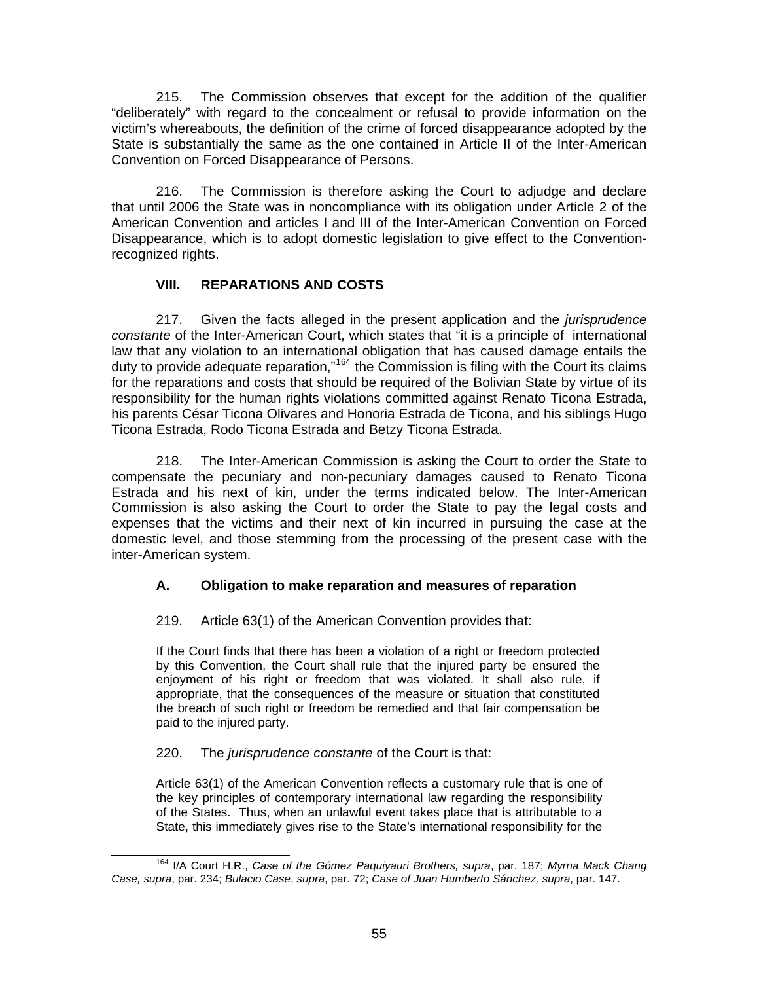215. The Commission observes that except for the addition of the qualifier "deliberately" with regard to the concealment or refusal to provide information on the victim's whereabouts, the definition of the crime of forced disappearance adopted by the State is substantially the same as the one contained in Article II of the Inter-American Convention on Forced Disappearance of Persons.

216. The Commission is therefore asking the Court to adjudge and declare that until 2006 the State was in noncompliance with its obligation under Article 2 of the American Convention and articles I and III of the Inter-American Convention on Forced Disappearance, which is to adopt domestic legislation to give effect to the Conventionrecognized rights.

### **VIII. REPARATIONS AND COSTS**

217. Given the facts alleged in the present application and the *jurisprudence constante* of the Inter-American Court, which states that "it is a principle of international law that any violation to an international obligation that has caused damage entails the duty to provide adequate reparation,"[164](#page-54-0) the Commission is filing with the Court its claims for the reparations and costs that should be required of the Bolivian State by virtue of its responsibility for the human rights violations committed against Renato Ticona Estrada, his parents César Ticona Olivares and Honoria Estrada de Ticona, and his siblings Hugo Ticona Estrada, Rodo Ticona Estrada and Betzy Ticona Estrada.

218. The Inter-American Commission is asking the Court to order the State to compensate the pecuniary and non-pecuniary damages caused to Renato Ticona Estrada and his next of kin, under the terms indicated below. The Inter-American Commission is also asking the Court to order the State to pay the legal costs and expenses that the victims and their next of kin incurred in pursuing the case at the domestic level, and those stemming from the processing of the present case with the inter-American system.

# **A. Obligation to make reparation and measures of reparation**

219. Article 63(1) of the American Convention provides that:

If the Court finds that there has been a violation of a right or freedom protected by this Convention, the Court shall rule that the injured party be ensured the enjoyment of his right or freedom that was violated. It shall also rule, if appropriate, that the consequences of the measure or situation that constituted the breach of such right or freedom be remedied and that fair compensation be paid to the injured party.

### 220. The *jurisprudence constante* of the Court is that:

Article 63(1) of the American Convention reflects a customary rule that is one of the key principles of contemporary international law regarding the responsibility of the States. Thus, when an unlawful event takes place that is attributable to a State, this immediately gives rise to the State's international responsibility for the

<span id="page-54-0"></span> <sup>164</sup> I/A Court H.R., *Case of the Gómez Paquiyauri Brothers, supra*, par. 187; *Myrna Mack Chang Case, supra*, par. 234; *Bulacio Case*, *supra*, par. 72; *Case of Juan Humberto Sánchez, supra*, par. 147.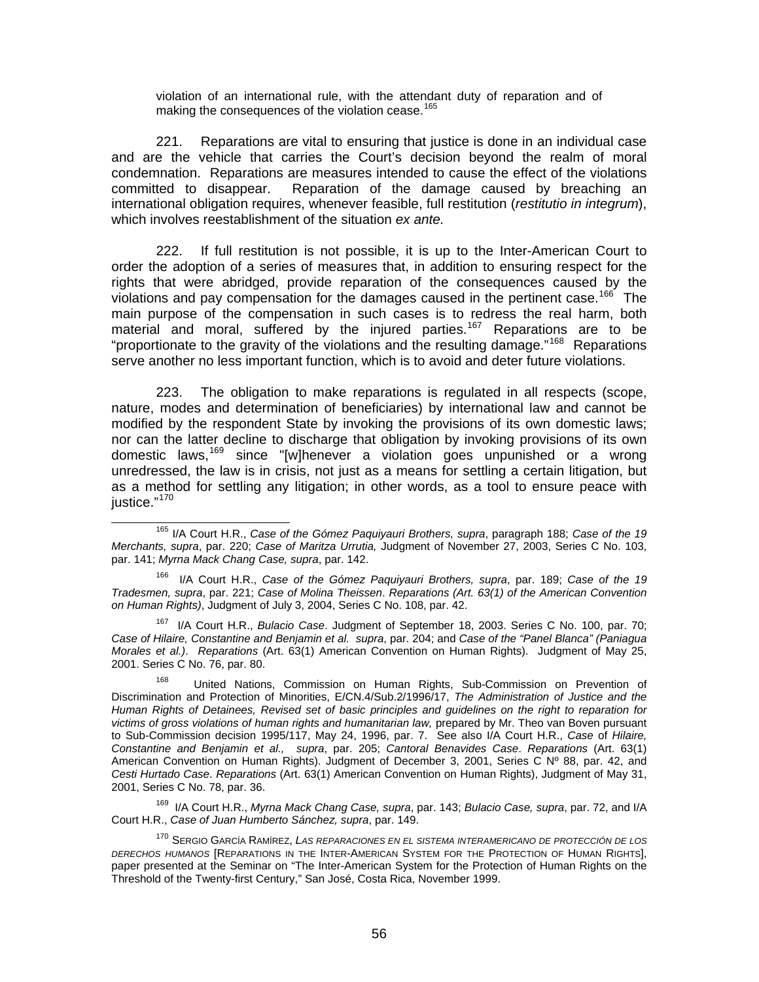violation of an international rule, with the attendant duty of reparation and of making the consequences of the violation cease.<sup>[165](#page-55-0)</sup>

221. Reparations are vital to ensuring that justice is done in an individual case and are the vehicle that carries the Court's decision beyond the realm of moral condemnation. Reparations are measures intended to cause the effect of the violations committed to disappear. Reparation of the damage caused by breaching an international obligation requires, whenever feasible, full restitution (*restitutio in integrum*), which involves reestablishment of the situation *ex ante.*

222. If full restitution is not possible, it is up to the Inter-American Court to order the adoption of a series of measures that, in addition to ensuring respect for the rights that were abridged, provide reparation of the consequences caused by the violations and pay compensation for the damages caused in the pertinent case.<sup>[166](#page-55-1)</sup> The main purpose of the compensation in such cases is to redress the real harm, both material and moral, suffered by the injured parties.<sup>[167](#page-55-2)</sup> Reparations are to be "proportionate to the gravity of the violations and the resulting damage."<sup>[168](#page-55-3)</sup> Reparations serve another no less important function, which is to avoid and deter future violations.

223. The obligation to make reparations is regulated in all respects (scope, nature, modes and determination of beneficiaries) by international law and cannot be modified by the respondent State by invoking the provisions of its own domestic laws; nor can the latter decline to discharge that obligation by invoking provisions of its own domestic laws,[169](#page-55-4) since "[w]henever a violation goes unpunished or a wrong unredressed, the law is in crisis, not just as a means for settling a certain litigation, but as a method for settling any litigation; in other words, as a tool to ensure peace with justice."<sup>[170](#page-55-5)</sup>

<span id="page-55-2"></span>167 I/A Court H.R., *Bulacio Case*. Judgment of September 18, 2003. Series C No. 100, par. 70; *Case of Hilaire, Constantine and Benjamin et al. supra*, par. 204; and *Case of the "Panel Blanca" (Paniagua Morales et al.)*. *Reparations* (Art. 63(1) American Convention on Human Rights). Judgment of May 25, 2001. Series C No. 76, par. 80.

<span id="page-55-3"></span>168 United Nations, Commission on Human Rights, Sub-Commission on Prevention of Discrimination and Protection of Minorities, E/CN.4/Sub.2/1996/17, *The Administration of Justice and the Human Rights of Detainees, Revised set of basic principles and guidelines on the right to reparation for victims of gross violations of human rights and humanitarian law,* prepared by Mr. Theo van Boven pursuant to Sub-Commission decision 1995/117, May 24, 1996, par. 7. See also I/A Court H.R., *Case* of *Hilaire, Constantine and Benjamin et al., supra*, par. 205; *Cantoral Benavides Case*. *Reparations* (Art. 63(1) American Convention on Human Rights). Judgment of December 3, 2001, Series C Nº 88, par. 42, and *Cesti Hurtado Case*. *Reparations* (Art. 63(1) American Convention on Human Rights), Judgment of May 31, 2001, Series C No. 78, par. 36.

<span id="page-55-4"></span>169 I/A Court H.R., *Myrna Mack Chang Case, supra*, par. 143; *Bulacio Case, supra*, par. 72, and I/A Court H.R., *Case of Juan Humberto Sánchez, supra*, par. 149.

<span id="page-55-5"></span>170 SERGIO GARCÍA RAMÍREZ, *LAS REPARACIONES EN EL SISTEMA INTERAMERICANO DE PROTECCIÓN DE LOS DERECHOS HUMANOS* [REPARATIONS IN THE INTER-AMERICAN SYSTEM FOR THE PROTECTION OF HUMAN RIGHTS], paper presented at the Seminar on "The Inter-American System for the Protection of Human Rights on the Threshold of the Twenty-first Century," San José, Costa Rica, November 1999.

<span id="page-55-0"></span> <sup>165</sup> I/A Court H.R., *Case of the Gómez Paquiyauri Brothers, supra*, paragraph 188; *Case of the 19 Merchants, supra*, par. 220; *Case of Maritza Urrutia,* Judgment of November 27, 2003, Series C No. 103, par. 141; *Myrna Mack Chang Case, supra*, par. 142.

<span id="page-55-1"></span><sup>166</sup> I/A Court H.R., *Case of the Gómez Paquiyauri Brothers, supra*, par. 189; *Case of the 19 Tradesmen, supra*, par. 221; *Case of Molina Theissen*. *Reparations (Art. 63(1) of the American Convention on Human Rights)*, Judgment of July 3, 2004, Series C No. 108, par. 42.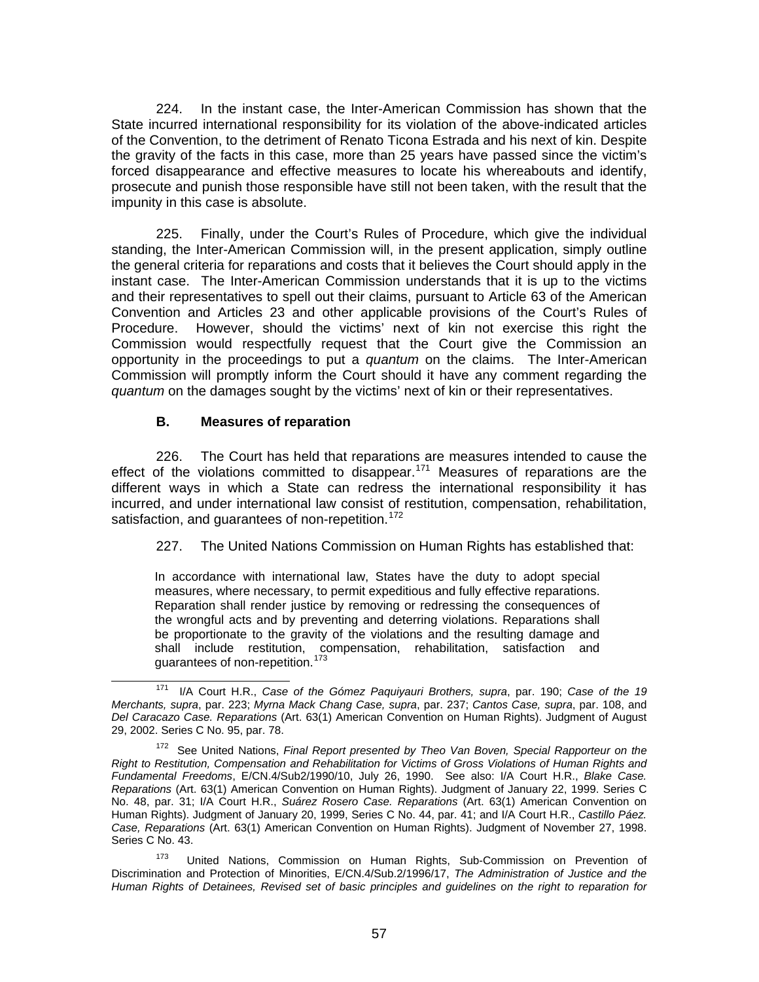224. In the instant case, the Inter-American Commission has shown that the State incurred international responsibility for its violation of the above-indicated articles of the Convention, to the detriment of Renato Ticona Estrada and his next of kin. Despite the gravity of the facts in this case, more than 25 years have passed since the victim's forced disappearance and effective measures to locate his whereabouts and identify, prosecute and punish those responsible have still not been taken, with the result that the impunity in this case is absolute.

225. Finally, under the Court's Rules of Procedure, which give the individual standing, the Inter-American Commission will, in the present application, simply outline the general criteria for reparations and costs that it believes the Court should apply in the instant case. The Inter-American Commission understands that it is up to the victims and their representatives to spell out their claims, pursuant to Article 63 of the American Convention and Articles 23 and other applicable provisions of the Court's Rules of Procedure. However, should the victims' next of kin not exercise this right the Commission would respectfully request that the Court give the Commission an opportunity in the proceedings to put a *quantum* on the claims. The Inter-American Commission will promptly inform the Court should it have any comment regarding the *quantum* on the damages sought by the victims' next of kin or their representatives.

### **B. Measures of reparation**

226. The Court has held that reparations are measures intended to cause the effect of the violations committed to disappear.<sup>[171](#page-56-0)</sup> Measures of reparations are the different ways in which a State can redress the international responsibility it has incurred, and under international law consist of restitution, compensation, rehabilitation, satisfaction, and guarantees of non-repetition.<sup>[172](#page-56-1)</sup>

227. The United Nations Commission on Human Rights has established that:

In accordance with international law, States have the duty to adopt special measures, where necessary, to permit expeditious and fully effective reparations. Reparation shall render justice by removing or redressing the consequences of the wrongful acts and by preventing and deterring violations. Reparations shall be proportionate to the gravity of the violations and the resulting damage and shall include restitution, compensation, rehabilitation, satisfaction and guarantees of non-repetition.<sup>[173](#page-56-2)</sup>

<span id="page-56-0"></span> <sup>171</sup> I/A Court H.R., *Case of the Gómez Paquiyauri Brothers, supra*, par. 190; *Case of the 19 Merchants, supra*, par. 223; *Myrna Mack Chang Case, supra*, par. 237; *Cantos Case, supra*, par. 108, and *Del Caracazo Case. Reparations* (Art. 63(1) American Convention on Human Rights). Judgment of August 29, 2002. Series C No. 95, par. 78.

<span id="page-56-1"></span><sup>172</sup> See United Nations, *Final Report presented by Theo Van Boven, Special Rapporteur on the Right to Restitution, Compensation and Rehabilitation for Victims of Gross Violations of Human Rights and Fundamental Freedoms*, E/CN.4/Sub2/1990/10, July 26, 1990. See also: I/A Court H.R., *Blake Case. Reparations* (Art. 63(1) American Convention on Human Rights). Judgment of January 22, 1999. Series C No. 48, par. 31; I/A Court H.R., *Suárez Rosero Case. Reparations* (Art. 63(1) American Convention on Human Rights). Judgment of January 20, 1999, Series C No. 44, par. 41; and I/A Court H.R., *Castillo Páez. Case, Reparations* (Art. 63(1) American Convention on Human Rights). Judgment of November 27, 1998. Series C No. 43.

<span id="page-56-2"></span><sup>&</sup>lt;sup>173</sup> United Nations, Commission on Human Rights, Sub-Commission on Prevention of Discrimination and Protection of Minorities, E/CN.4/Sub.2/1996/17, *The Administration of Justice and the Human Rights of Detainees, Revised set of basic principles and guidelines on the right to reparation for*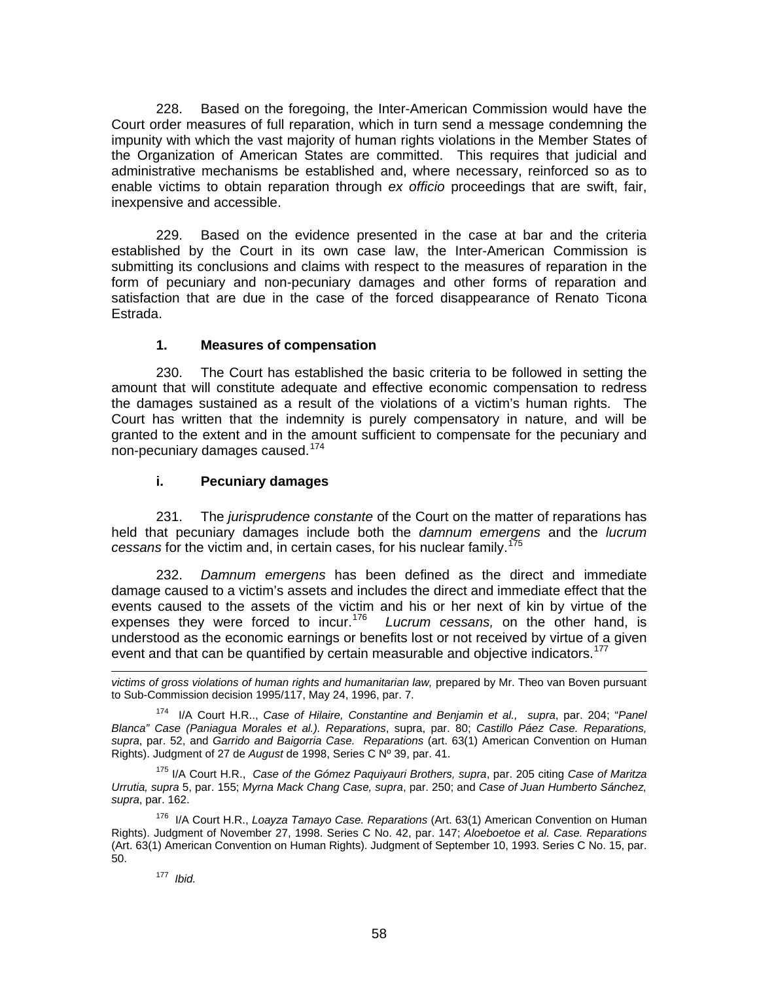228. Based on the foregoing, the Inter-American Commission would have the Court order measures of full reparation, which in turn send a message condemning the impunity with which the vast majority of human rights violations in the Member States of the Organization of American States are committed. This requires that judicial and administrative mechanisms be established and, where necessary, reinforced so as to enable victims to obtain reparation through *ex officio* proceedings that are swift, fair, inexpensive and accessible.

229. Based on the evidence presented in the case at bar and the criteria established by the Court in its own case law, the Inter-American Commission is submitting its conclusions and claims with respect to the measures of reparation in the form of pecuniary and non-pecuniary damages and other forms of reparation and satisfaction that are due in the case of the forced disappearance of Renato Ticona Estrada.

### **1. Measures of compensation**

230. The Court has established the basic criteria to be followed in setting the amount that will constitute adequate and effective economic compensation to redress the damages sustained as a result of the violations of a victim's human rights. The Court has written that the indemnity is purely compensatory in nature, and will be granted to the extent and in the amount sufficient to compensate for the pecuniary and non-pecuniary damages caused.[174](#page-57-0)

### **i. Pecuniary damages**

231. The *jurisprudence constante* of the Court on the matter of reparations has held that pecuniary damages include both the *damnum emergens* and the *lucrum cessans* for the victim and, in certain cases, for his nuclear family.[175](#page-57-1)

232. *Damnum emergens* has been defined as the direct and immediate damage caused to a victim's assets and includes the direct and immediate effect that the events caused to the assets of the victim and his or her next of kin by virtue of the expenses they were forced to incur.[176](#page-57-2) *Lucrum cessans,* on the other hand, is understood as the economic earnings or benefits lost or not received by virtue of a given event and that can be quantified by certain measurable and objective indicators.<sup>[177](#page-57-3)</sup>

*victims of gross violations of human rights and humanitarian law,* prepared by Mr. Theo van Boven pursuant to Sub-Commission decision 1995/117, May 24, 1996, par. 7.

<span id="page-57-0"></span>174 I/A Court H.R.., *Case of Hilaire, Constantine and Benjamin et al., supra*, par. 204; "*Panel Blanca" Case (Paniagua Morales et al.). Reparations*, supra, par. 80; *Castillo Páez Case. Reparations, supra*, par. 52, and *Garrido and Baigorria Case. Reparations* (art. 63(1) American Convention on Human Rights). Judgment of 27 de *August* de 1998, Series C Nº 39, par. 41.

<span id="page-57-1"></span>175 I/A Court H.R., *Case of the Gómez Paquiyauri Brothers, supra*, par. 205 citing *Case of Maritza Urrutia, supra* 5, par. 155; *Myrna Mack Chang Case, supra*, par. 250; and *Case of Juan Humberto Sánchez, supra*, par. 162.

<span id="page-57-3"></span><span id="page-57-2"></span>176 I/A Court H.R., *Loayza Tamayo Case. Reparations* (Art. 63(1) American Convention on Human Rights). Judgment of November 27, 1998. Series C No. 42, par. 147; *Aloeboetoe et al. Case. Reparations* (Art. 63(1) American Convention on Human Rights). Judgment of September 10, 1993. Series C No. 15, par. 50.

# 177 *Ibid.*

l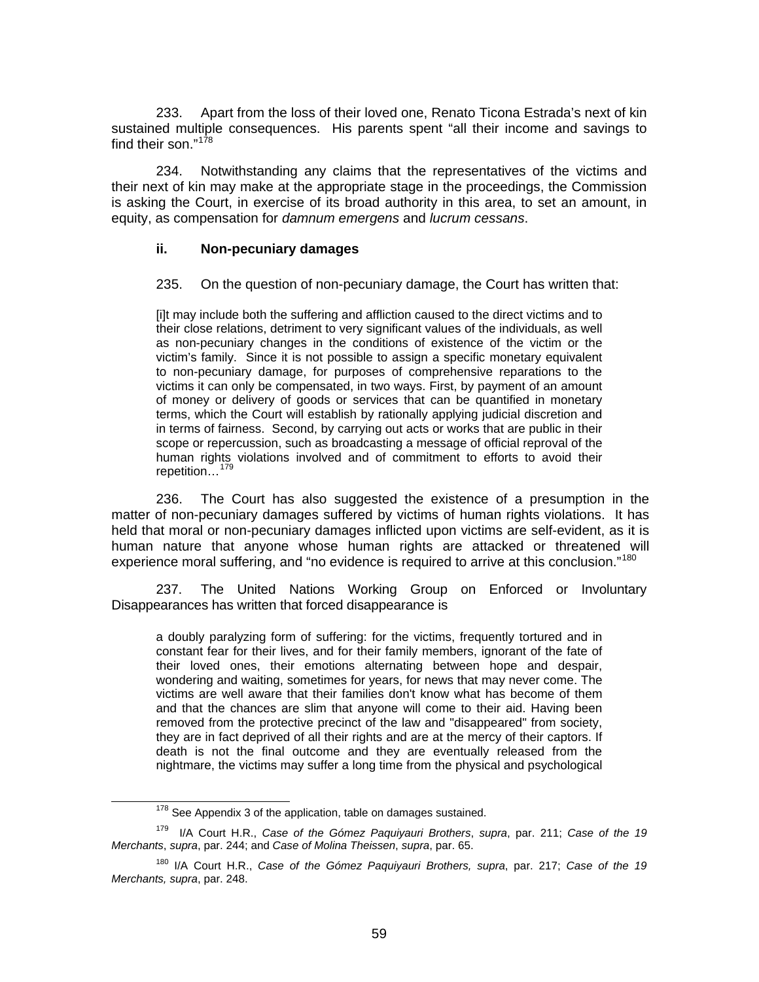233. Apart from the loss of their loved one, Renato Ticona Estrada's next of kin sustained multiple consequences. His parents spent "all their income and savings to find their son."<sup>[178](#page-58-0)</sup>

234. Notwithstanding any claims that the representatives of the victims and their next of kin may make at the appropriate stage in the proceedings, the Commission is asking the Court, in exercise of its broad authority in this area, to set an amount, in equity, as compensation for *damnum emergens* and *lucrum cessans*.

#### **ii. Non-pecuniary damages**

235. On the question of non-pecuniary damage, the Court has written that:

[i]t may include both the suffering and affliction caused to the direct victims and to their close relations, detriment to very significant values of the individuals, as well as non-pecuniary changes in the conditions of existence of the victim or the victim's family. Since it is not possible to assign a specific monetary equivalent to non-pecuniary damage, for purposes of comprehensive reparations to the victims it can only be compensated, in two ways. First, by payment of an amount of money or delivery of goods or services that can be quantified in monetary terms, which the Court will establish by rationally applying judicial discretion and in terms of fairness. Second, by carrying out acts or works that are public in their scope or repercussion, such as broadcasting a message of official reproval of the human rights violations involved and of commitment to efforts to avoid their repetition…[179](#page-58-1)

236. The Court has also suggested the existence of a presumption in the matter of non-pecuniary damages suffered by victims of human rights violations. It has held that moral or non-pecuniary damages inflicted upon victims are self-evident, as it is human nature that anyone whose human rights are attacked or threatened will experience moral suffering, and "no evidence is required to arrive at this conclusion."<sup>[180](#page-58-2)</sup>

237. The United Nations Working Group on Enforced or Involuntary Disappearances has written that forced disappearance is

a doubly paralyzing form of suffering: for the victims, frequently tortured and in constant fear for their lives, and for their family members, ignorant of the fate of their loved ones, their emotions alternating between hope and despair, wondering and waiting, sometimes for years, for news that may never come. The victims are well aware that their families don't know what has become of them and that the chances are slim that anyone will come to their aid. Having been removed from the protective precinct of the law and "disappeared" from society, they are in fact deprived of all their rights and are at the mercy of their captors. If death is not the final outcome and they are eventually released from the nightmare, the victims may suffer a long time from the physical and psychological

 $178$  See Appendix 3 of the application, table on damages sustained.

<span id="page-58-1"></span><span id="page-58-0"></span><sup>179</sup> I/A Court H.R., *Case of the Gómez Paquiyauri Brothers*, *supra*, par. 211; *Case of the 19 Merchants*, *supra*, par. 244; and *Case of Molina Theissen*, *supra*, par. 65.

<span id="page-58-2"></span><sup>180</sup> I/A Court H.R., *Case of the Gómez Paquiyauri Brothers, supra*, par. 217; *Case of the 19 Merchants, supra*, par. 248.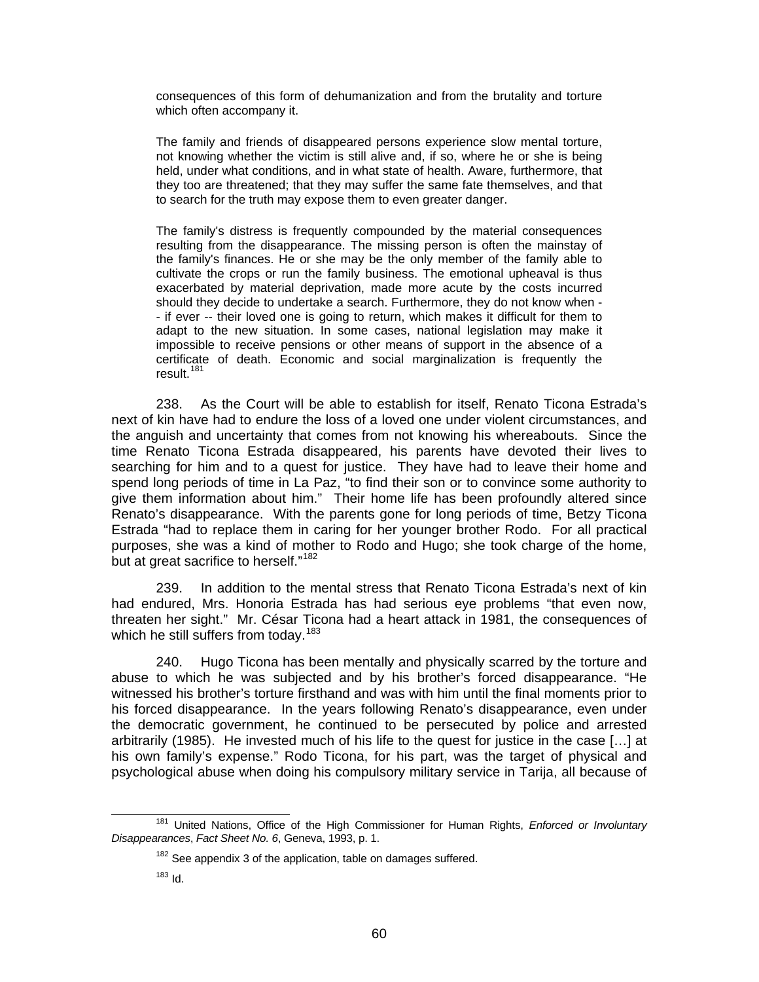consequences of this form of dehumanization and from the brutality and torture which often accompany it.

The family and friends of disappeared persons experience slow mental torture, not knowing whether the victim is still alive and, if so, where he or she is being held, under what conditions, and in what state of health. Aware, furthermore, that they too are threatened; that they may suffer the same fate themselves, and that to search for the truth may expose them to even greater danger.

The family's distress is frequently compounded by the material consequences resulting from the disappearance. The missing person is often the mainstay of the family's finances. He or she may be the only member of the family able to cultivate the crops or run the family business. The emotional upheaval is thus exacerbated by material deprivation, made more acute by the costs incurred should they decide to undertake a search. Furthermore, they do not know when - - if ever -- their loved one is going to return, which makes it difficult for them to adapt to the new situation. In some cases, national legislation may make it impossible to receive pensions or other means of support in the absence of a certificate of death. Economic and social marginalization is frequently the result.[181](#page-59-0)

238. As the Court will be able to establish for itself, Renato Ticona Estrada's next of kin have had to endure the loss of a loved one under violent circumstances, and the anguish and uncertainty that comes from not knowing his whereabouts. Since the time Renato Ticona Estrada disappeared, his parents have devoted their lives to searching for him and to a quest for justice. They have had to leave their home and spend long periods of time in La Paz, "to find their son or to convince some authority to give them information about him." Their home life has been profoundly altered since Renato's disappearance. With the parents gone for long periods of time, Betzy Ticona Estrada "had to replace them in caring for her younger brother Rodo. For all practical purposes, she was a kind of mother to Rodo and Hugo; she took charge of the home, but at great sacrifice to herself."<sup>[182](#page-59-1)</sup>

239. In addition to the mental stress that Renato Ticona Estrada's next of kin had endured, Mrs. Honoria Estrada has had serious eye problems "that even now, threaten her sight." Mr. César Ticona had a heart attack in 1981, the consequences of which he still suffers from today.<sup>[183](#page-59-2)</sup>

240. Hugo Ticona has been mentally and physically scarred by the torture and abuse to which he was subjected and by his brother's forced disappearance. "He witnessed his brother's torture firsthand and was with him until the final moments prior to his forced disappearance. In the years following Renato's disappearance, even under the democratic government, he continued to be persecuted by police and arrested arbitrarily (1985). He invested much of his life to the quest for justice in the case […] at his own family's expense." Rodo Ticona, for his part, was the target of physical and psychological abuse when doing his compulsory military service in Tarija, all because of

<span id="page-59-2"></span><span id="page-59-1"></span><span id="page-59-0"></span> <sup>181</sup> United Nations, Office of the High Commissioner for Human Rights, *Enforced or Involuntary Disappearances*, *Fact Sheet No. 6*, Geneva, 1993, p. 1.

 $182$  See appendix 3 of the application, table on damages suffered.

 $183$  Id.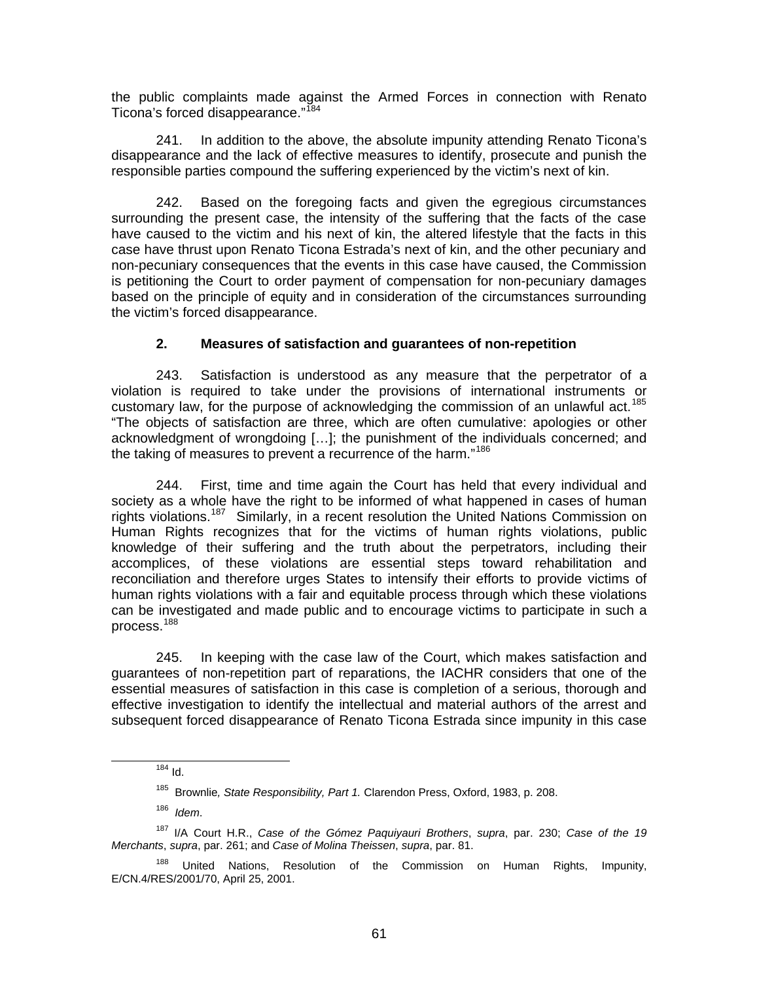the public complaints made against the Armed Forces in connection with Renato Ticona's forced disappearance."<sup>[184](#page-60-0)</sup>

241. In addition to the above, the absolute impunity attending Renato Ticona's disappearance and the lack of effective measures to identify, prosecute and punish the responsible parties compound the suffering experienced by the victim's next of kin.

242. Based on the foregoing facts and given the egregious circumstances surrounding the present case, the intensity of the suffering that the facts of the case have caused to the victim and his next of kin, the altered lifestyle that the facts in this case have thrust upon Renato Ticona Estrada's next of kin, and the other pecuniary and non-pecuniary consequences that the events in this case have caused, the Commission is petitioning the Court to order payment of compensation for non-pecuniary damages based on the principle of equity and in consideration of the circumstances surrounding the victim's forced disappearance.

### **2. Measures of satisfaction and guarantees of non-repetition**

243. Satisfaction is understood as any measure that the perpetrator of a violation is required to take under the provisions of international instruments or customary law, for the purpose of acknowledging the commission of an unlawful act.<sup>[185](#page-60-1)</sup> "The objects of satisfaction are three, which are often cumulative: apologies or other acknowledgment of wrongdoing […]; the punishment of the individuals concerned; and the taking of measures to prevent a recurrence of the harm."<sup>[186](#page-60-2)</sup>

244. First, time and time again the Court has held that every individual and society as a whole have the right to be informed of what happened in cases of human rights violations.<sup>[187](#page-60-3)</sup> Similarly, in a recent resolution the United Nations Commission on Human Rights recognizes that for the victims of human rights violations, public knowledge of their suffering and the truth about the perpetrators, including their accomplices, of these violations are essential steps toward rehabilitation and reconciliation and therefore urges States to intensify their efforts to provide victims of human rights violations with a fair and equitable process through which these violations can be investigated and made public and to encourage victims to participate in such a process.[188](#page-60-4)

245. In keeping with the case law of the Court, which makes satisfaction and guarantees of non-repetition part of reparations, the IACHR considers that one of the essential measures of satisfaction in this case is completion of a serious, thorough and effective investigation to identify the intellectual and material authors of the arrest and subsequent forced disappearance of Renato Ticona Estrada since impunity in this case

186 *Idem*.

 $184$  Id.

<sup>185</sup> Brownlie*, State Responsibility, Part 1.* Clarendon Press, Oxford, 1983, p. 208.

<span id="page-60-3"></span><span id="page-60-2"></span><span id="page-60-1"></span><span id="page-60-0"></span><sup>187</sup> I/A Court H.R., *Case of the Gómez Paquiyauri Brothers*, *supra*, par. 230; *Case of the 19 Merchants*, *supra*, par. 261; and *Case of Molina Theissen*, *supra*, par. 81.

<span id="page-60-4"></span>United Nations, Resolution of the Commission on Human Rights, Impunity, E/CN.4/RES/2001/70, April 25, 2001.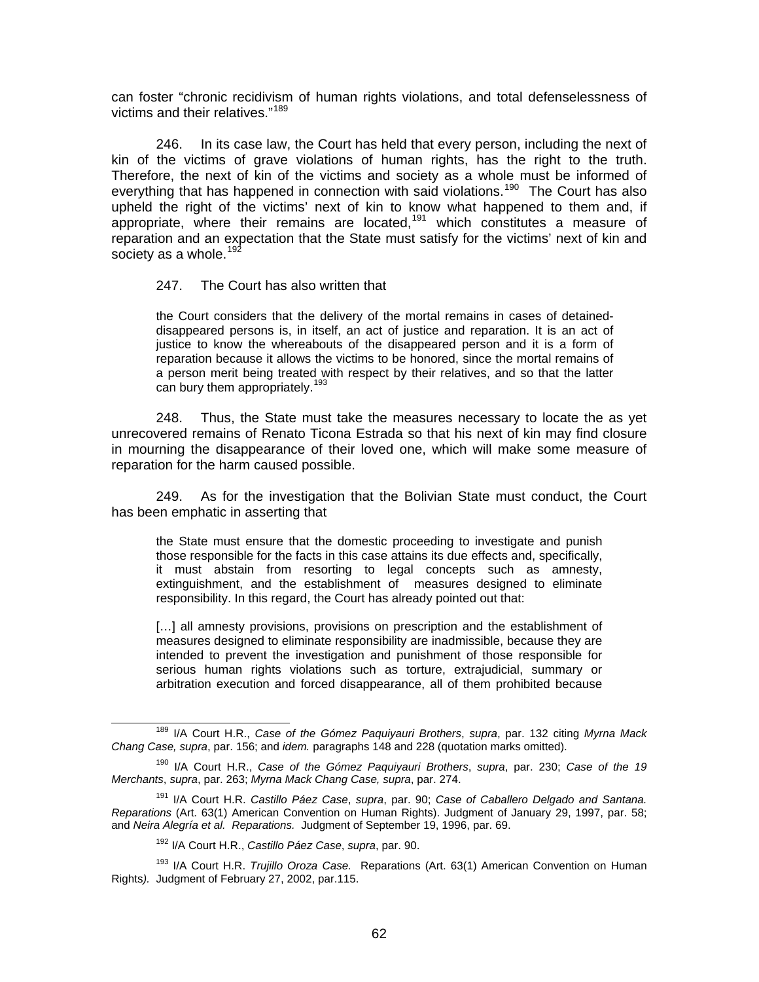can foster "chronic recidivism of human rights violations, and total defenselessness of victims and their relatives."[189](#page-61-0)

246. In its case law, the Court has held that every person, including the next of kin of the victims of grave violations of human rights, has the right to the truth. Therefore, the next of kin of the victims and society as a whole must be informed of everything that has happened in connection with said violations.<sup>[190](#page-61-1)</sup> The Court has also upheld the right of the victims' next of kin to know what happened to them and, if appropriate, where their remains are located,<sup>[191](#page-61-2)</sup> which constitutes a measure of reparation and an expectation that the State must satisfy for the victims' next of kin and society as a whole.  $192$ 

#### 247. The Court has also written that

the Court considers that the delivery of the mortal remains in cases of detaineddisappeared persons is, in itself, an act of justice and reparation. It is an act of justice to know the whereabouts of the disappeared person and it is a form of reparation because it allows the victims to be honored, since the mortal remains of a person merit being treated with respect by their relatives, and so that the latter can bury them appropriately.<sup>[193](#page-61-4)</sup>

248. Thus, the State must take the measures necessary to locate the as yet unrecovered remains of Renato Ticona Estrada so that his next of kin may find closure in mourning the disappearance of their loved one, which will make some measure of reparation for the harm caused possible.

249. As for the investigation that the Bolivian State must conduct, the Court has been emphatic in asserting that

the State must ensure that the domestic proceeding to investigate and punish those responsible for the facts in this case attains its due effects and, specifically, it must abstain from resorting to legal concepts such as amnesty, extinguishment, and the establishment of measures designed to eliminate responsibility. In this regard, the Court has already pointed out that:

[...] all amnesty provisions, provisions on prescription and the establishment of measures designed to eliminate responsibility are inadmissible, because they are intended to prevent the investigation and punishment of those responsible for serious human rights violations such as torture, extrajudicial, summary or arbitration execution and forced disappearance, all of them prohibited because

<span id="page-61-0"></span> <sup>189</sup> I/A Court H.R., *Case of the Gómez Paquiyauri Brothers*, *supra*, par. 132 citing *Myrna Mack Chang Case, supra*, par. 156; and *idem.* paragraphs 148 and 228 (quotation marks omitted).

<span id="page-61-1"></span><sup>190</sup> I/A Court H.R., *Case of the Gómez Paquiyauri Brothers*, *supra*, par. 230; *Case of the 19 Merchants*, *supra*, par. 263; *Myrna Mack Chang Case, supra*, par. 274.

<span id="page-61-2"></span><sup>191</sup> I/A Court H.R. *Castillo Páez Case*, *supra*, par. 90; *Case of Caballero Delgado and Santana. Reparations* (Art. 63(1) American Convention on Human Rights). Judgment of January 29, 1997, par. 58; and *Neira Alegría et al. Reparations.* Judgment of September 19, 1996, par. 69.

<sup>192</sup> I/A Court H.R., *Castillo Páez Case*, *supra*, par. 90.

<span id="page-61-4"></span><span id="page-61-3"></span><sup>193</sup> I/A Court H.R. *Trujillo Oroza Case.* Reparations (Art. 63(1) American Convention on Human Rights*).* Judgment of February 27, 2002, par.115.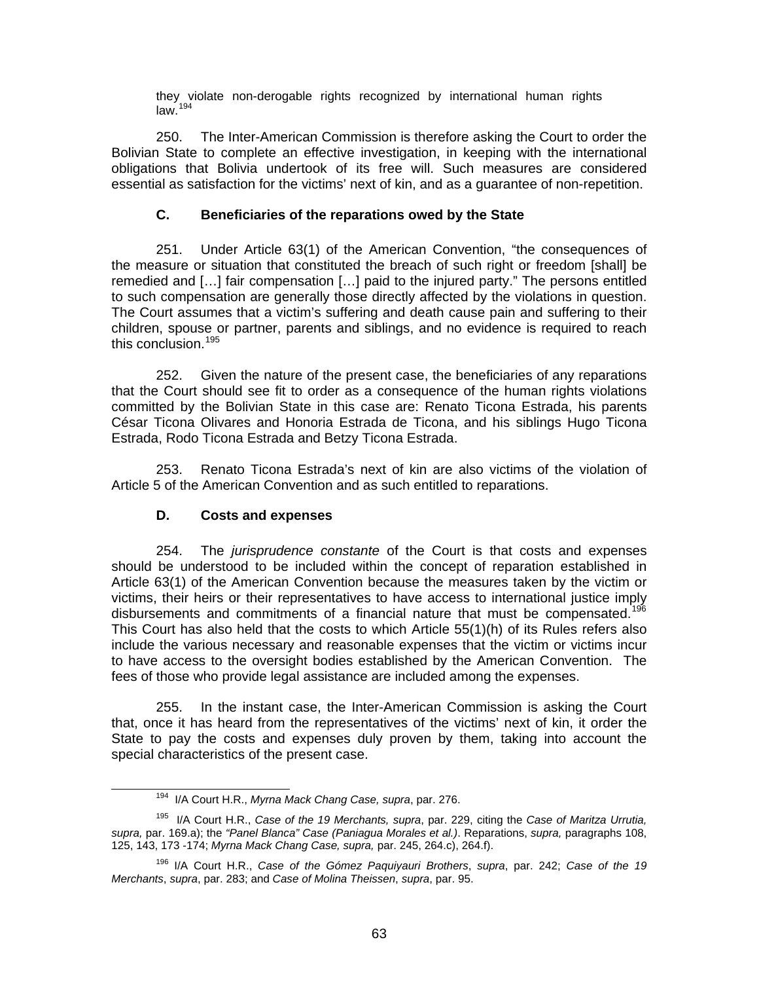they violate non-derogable rights recognized by international human rights  $law.<sup>194</sup>$  $law.<sup>194</sup>$  $law.<sup>194</sup>$ 

250. The Inter-American Commission is therefore asking the Court to order the Bolivian State to complete an effective investigation, in keeping with the international obligations that Bolivia undertook of its free will. Such measures are considered essential as satisfaction for the victims' next of kin, and as a guarantee of non-repetition.

### **C. Beneficiaries of the reparations owed by the State**

251. Under Article 63(1) of the American Convention, "the consequences of the measure or situation that constituted the breach of such right or freedom [shall] be remedied and […] fair compensation […] paid to the injured party." The persons entitled to such compensation are generally those directly affected by the violations in question. The Court assumes that a victim's suffering and death cause pain and suffering to their children, spouse or partner, parents and siblings, and no evidence is required to reach this conclusion.<sup>[195](#page-62-1)</sup>

252. Given the nature of the present case, the beneficiaries of any reparations that the Court should see fit to order as a consequence of the human rights violations committed by the Bolivian State in this case are: Renato Ticona Estrada, his parents César Ticona Olivares and Honoria Estrada de Ticona, and his siblings Hugo Ticona Estrada, Rodo Ticona Estrada and Betzy Ticona Estrada.

253. Renato Ticona Estrada's next of kin are also victims of the violation of Article 5 of the American Convention and as such entitled to reparations.

### **D. Costs and expenses**

254. The *jurisprudence constante* of the Court is that costs and expenses should be understood to be included within the concept of reparation established in Article 63(1) of the American Convention because the measures taken by the victim or victims, their heirs or their representatives to have access to international justice imply disbursements and commitments of a financial nature that must be compensated.<sup>19</sup> This Court has also held that the costs to which Article 55(1)(h) of its Rules refers also include the various necessary and reasonable expenses that the victim or victims incur to have access to the oversight bodies established by the American Convention. The fees of those who provide legal assistance are included among the expenses.

255. In the instant case, the Inter-American Commission is asking the Court that, once it has heard from the representatives of the victims' next of kin, it order the State to pay the costs and expenses duly proven by them, taking into account the special characteristics of the present case.

 <sup>194</sup> I/A Court H.R., *Myrna Mack Chang Case, supra*, par. 276.

<span id="page-62-1"></span><span id="page-62-0"></span><sup>195</sup> I/A Court H.R., *Case of the 19 Merchants, supra*, par. 229, citing the *Case of Maritza Urrutia, supra,* par. 169.a); the *"Panel Blanca" Case (Paniagua Morales et al.)*. Reparations, *supra,* paragraphs 108, 125, 143, 173 -174; *Myrna Mack Chang Case, supra,* par. 245, 264.c), 264.f).

<span id="page-62-2"></span><sup>196</sup> I/A Court H.R., *Case of the Gómez Paquiyauri Brothers*, *supra*, par. 242; *Case of the 19 Merchants*, *supra*, par. 283; and *Case of Molina Theissen*, *supra*, par. 95.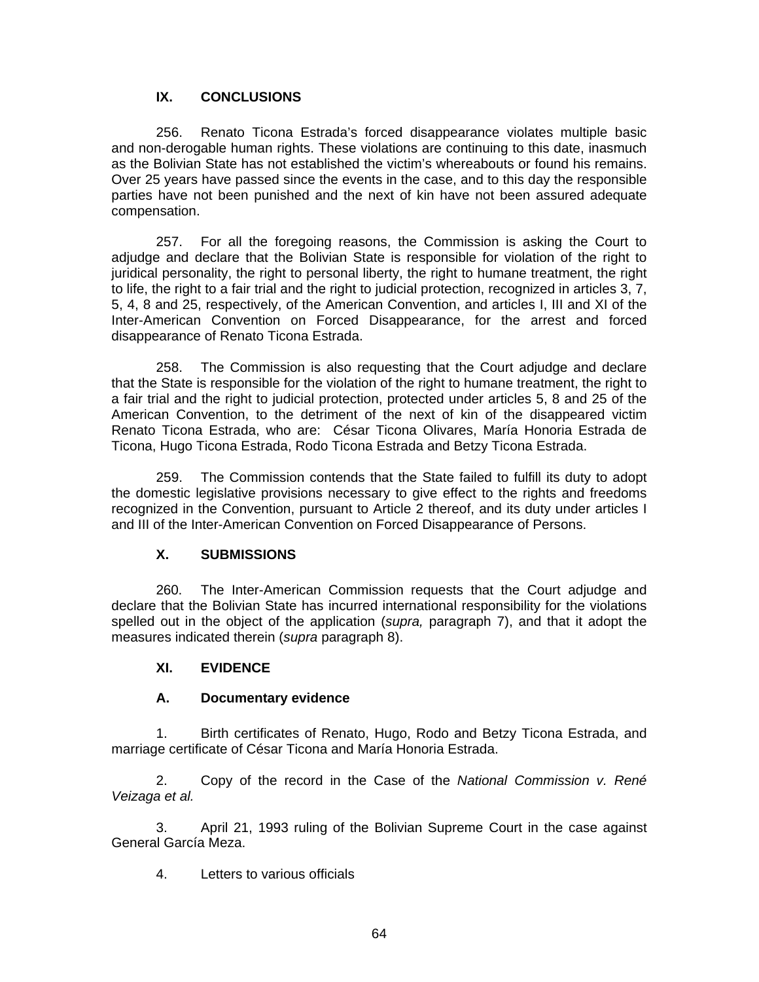### **IX. CONCLUSIONS**

256. Renato Ticona Estrada's forced disappearance violates multiple basic and non-derogable human rights. These violations are continuing to this date, inasmuch as the Bolivian State has not established the victim's whereabouts or found his remains. Over 25 years have passed since the events in the case, and to this day the responsible parties have not been punished and the next of kin have not been assured adequate compensation.

257. For all the foregoing reasons, the Commission is asking the Court to adjudge and declare that the Bolivian State is responsible for violation of the right to juridical personality, the right to personal liberty, the right to humane treatment, the right to life, the right to a fair trial and the right to judicial protection, recognized in articles 3, 7, 5, 4, 8 and 25, respectively, of the American Convention, and articles I, III and XI of the Inter-American Convention on Forced Disappearance, for the arrest and forced disappearance of Renato Ticona Estrada.

258. The Commission is also requesting that the Court adjudge and declare that the State is responsible for the violation of the right to humane treatment, the right to a fair trial and the right to judicial protection, protected under articles 5, 8 and 25 of the American Convention, to the detriment of the next of kin of the disappeared victim Renato Ticona Estrada, who are: César Ticona Olivares, María Honoria Estrada de Ticona, Hugo Ticona Estrada, Rodo Ticona Estrada and Betzy Ticona Estrada.

259. The Commission contends that the State failed to fulfill its duty to adopt the domestic legislative provisions necessary to give effect to the rights and freedoms recognized in the Convention, pursuant to Article 2 thereof, and its duty under articles I and III of the Inter-American Convention on Forced Disappearance of Persons.

### **X. SUBMISSIONS**

260. The Inter-American Commission requests that the Court adjudge and declare that the Bolivian State has incurred international responsibility for the violations spelled out in the object of the application (*supra,* paragraph 7), and that it adopt the measures indicated therein (*supra* paragraph 8).

### **XI. EVIDENCE**

#### **A. Documentary evidence**

1. Birth certificates of Renato, Hugo, Rodo and Betzy Ticona Estrada, and marriage certificate of César Ticona and María Honoria Estrada.

2. Copy of the record in the Case of the *National Commission v. René Veizaga et al.*

3. April 21, 1993 ruling of the Bolivian Supreme Court in the case against General García Meza.

4. Letters to various officials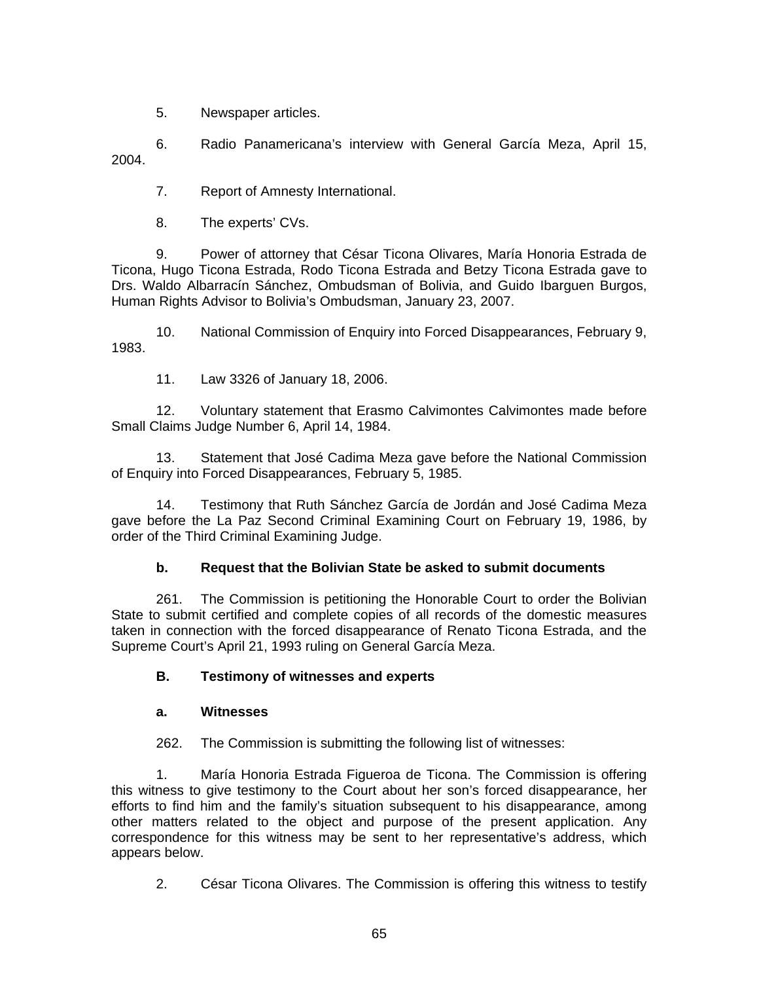5. Newspaper articles.

6. Radio Panamericana's interview with General García Meza, April 15, 2004.

7. Report of Amnesty International.

8. The experts' CVs.

9. Power of attorney that César Ticona Olivares, María Honoria Estrada de Ticona, Hugo Ticona Estrada, Rodo Ticona Estrada and Betzy Ticona Estrada gave to Drs. Waldo Albarracín Sánchez, Ombudsman of Bolivia, and Guido Ibarguen Burgos, Human Rights Advisor to Bolivia's Ombudsman, January 23, 2007.

10. National Commission of Enquiry into Forced Disappearances, February 9, 1983.

11. Law 3326 of January 18, 2006.

12. Voluntary statement that Erasmo Calvimontes Calvimontes made before Small Claims Judge Number 6, April 14, 1984.

13. Statement that José Cadima Meza gave before the National Commission of Enquiry into Forced Disappearances, February 5, 1985.

14. Testimony that Ruth Sánchez García de Jordán and José Cadima Meza gave before the La Paz Second Criminal Examining Court on February 19, 1986, by order of the Third Criminal Examining Judge.

# **b. Request that the Bolivian State be asked to submit documents**

261. The Commission is petitioning the Honorable Court to order the Bolivian State to submit certified and complete copies of all records of the domestic measures taken in connection with the forced disappearance of Renato Ticona Estrada, and the Supreme Court's April 21, 1993 ruling on General García Meza.

# **B. Testimony of witnesses and experts**

# **a. Witnesses**

262. The Commission is submitting the following list of witnesses:

 1. María Honoria Estrada Figueroa de Ticona. The Commission is offering this witness to give testimony to the Court about her son's forced disappearance, her efforts to find him and the family's situation subsequent to his disappearance, among other matters related to the object and purpose of the present application. Any correspondence for this witness may be sent to her representative's address, which appears below.

2. César Ticona Olivares. The Commission is offering this witness to testify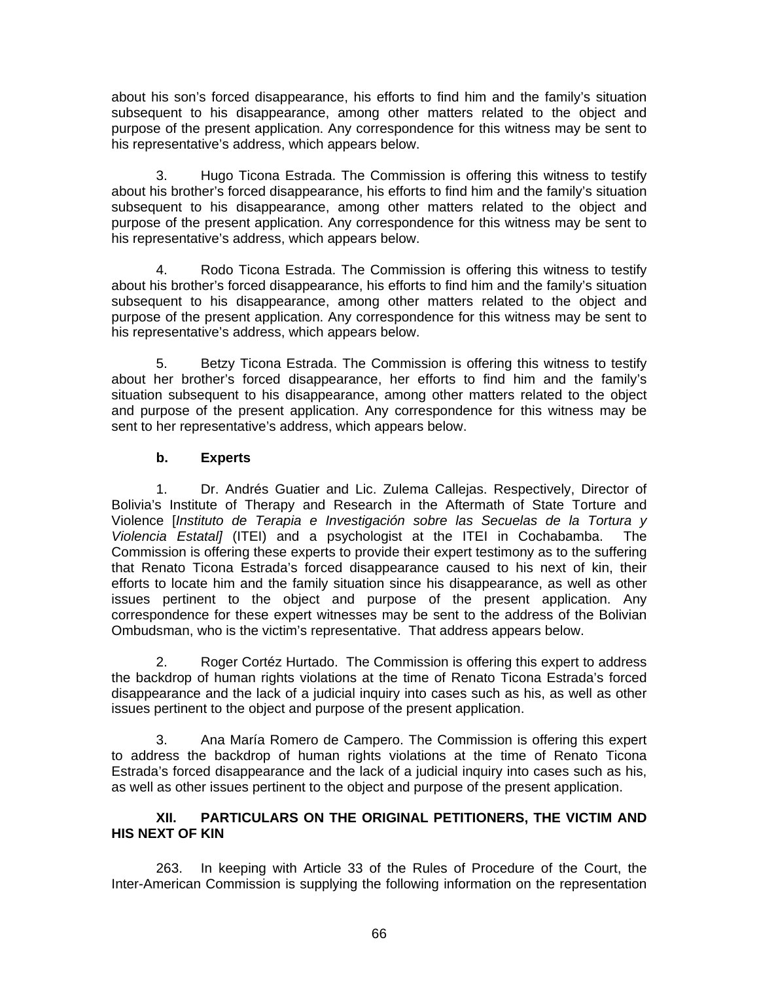about his son's forced disappearance, his efforts to find him and the family's situation subsequent to his disappearance, among other matters related to the object and purpose of the present application. Any correspondence for this witness may be sent to his representative's address, which appears below.

 3. Hugo Ticona Estrada. The Commission is offering this witness to testify about his brother's forced disappearance, his efforts to find him and the family's situation subsequent to his disappearance, among other matters related to the object and purpose of the present application. Any correspondence for this witness may be sent to his representative's address, which appears below.

 4. Rodo Ticona Estrada. The Commission is offering this witness to testify about his brother's forced disappearance, his efforts to find him and the family's situation subsequent to his disappearance, among other matters related to the object and purpose of the present application. Any correspondence for this witness may be sent to his representative's address, which appears below.

 5. Betzy Ticona Estrada. The Commission is offering this witness to testify about her brother's forced disappearance, her efforts to find him and the family's situation subsequent to his disappearance, among other matters related to the object and purpose of the present application. Any correspondence for this witness may be sent to her representative's address, which appears below.

## **b. Experts**

 1. Dr. Andrés Guatier and Lic. Zulema Callejas. Respectively, Director of Bolivia's Institute of Therapy and Research in the Aftermath of State Torture and Violence [*Instituto de Terapia e Investigación sobre las Secuelas de la Tortura y Violencia Estatal]* (ITEI) and a psychologist at the ITEI in Cochabamba. The Commission is offering these experts to provide their expert testimony as to the suffering that Renato Ticona Estrada's forced disappearance caused to his next of kin, their efforts to locate him and the family situation since his disappearance, as well as other issues pertinent to the object and purpose of the present application. Any correspondence for these expert witnesses may be sent to the address of the Bolivian Ombudsman, who is the victim's representative. That address appears below.

 2. Roger Cortéz Hurtado. The Commission is offering this expert to address the backdrop of human rights violations at the time of Renato Ticona Estrada's forced disappearance and the lack of a judicial inquiry into cases such as his, as well as other issues pertinent to the object and purpose of the present application.

 3. Ana María Romero de Campero. The Commission is offering this expert to address the backdrop of human rights violations at the time of Renato Ticona Estrada's forced disappearance and the lack of a judicial inquiry into cases such as his, as well as other issues pertinent to the object and purpose of the present application.

## **XII. PARTICULARS ON THE ORIGINAL PETITIONERS, THE VICTIM AND HIS NEXT OF KIN**

263. In keeping with Article 33 of the Rules of Procedure of the Court, the Inter-American Commission is supplying the following information on the representation